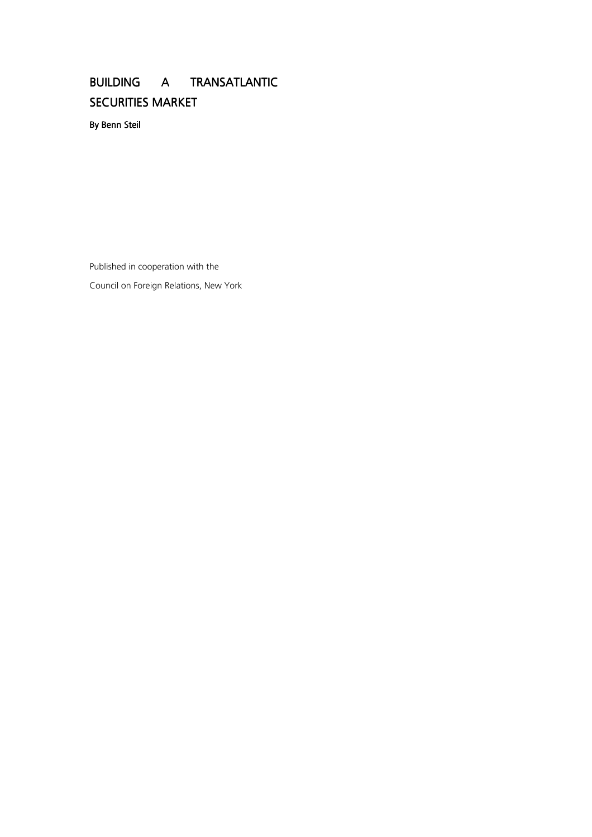# BUILDING A TRANSATLANTIC SECURITIES MARKET

By Benn Steil

Published in cooperation with the

Council on Foreign Relations, New York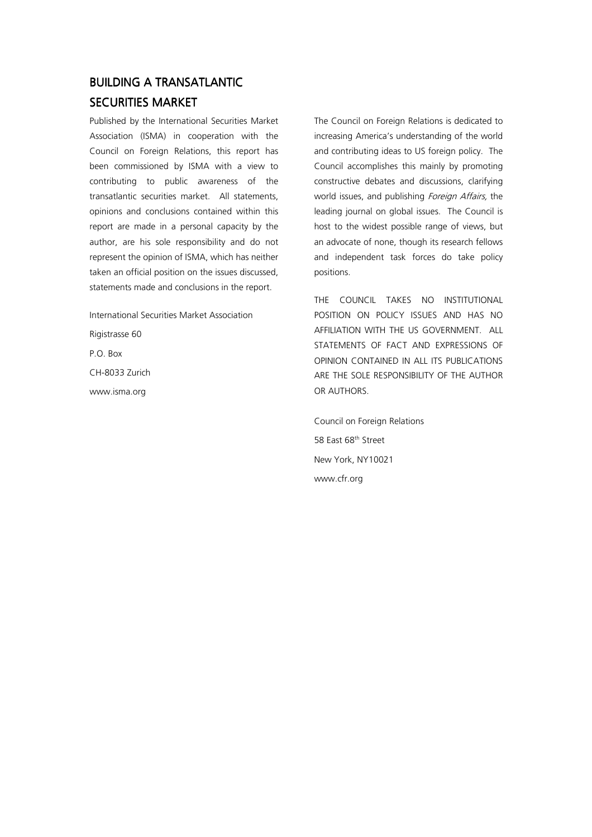# **BUILDING A TRANSATLANTIC SECURITIES MARKET**

Published by the International Securities Market Association (ISMA) in cooperation with the Council on Foreign Relations, this report has been commissioned by ISMA with a view to contributing to public awareness of the transatlantic securities market. All statements, opinions and conclusions contained within this report are made in a personal capacity by the author, are his sole responsibility and do not represent the opinion of ISMA, which has neither taken an official position on the issues discussed, statements made and conclusions in the report.

International Securities Market Association Rigistrasse 60 P.O. Box CH-8033 Zurich www.isma.org

The Council on Foreign Relations is dedicated to increasing America's understanding of the world and contributing ideas to US foreign policy. The Council accomplishes this mainly by promoting constructive debates and discussions, clarifying world issues, and publishing Foreign Affairs, the leading journal on global issues. The Council is host to the widest possible range of views, but an advocate of none, though its research fellows and independent task forces do take policy positions.

THE COUNCIL TAKES NO INSTITUTIONAL POSITION ON POLICY ISSUES AND HAS NO AFFILIATION WITH THE US GOVERNMENT. ALL STATEMENTS OF FACT AND EXPRESSIONS OF OPINION CONTAINED IN ALL ITS PUBLICATIONS ARE THE SOLE RESPONSIBILITY OF THE AUTHOR OR AUTHORS.

Council on Foreign Relations 58 East 68<sup>th</sup> Street New York, NY10021 www.cfr.org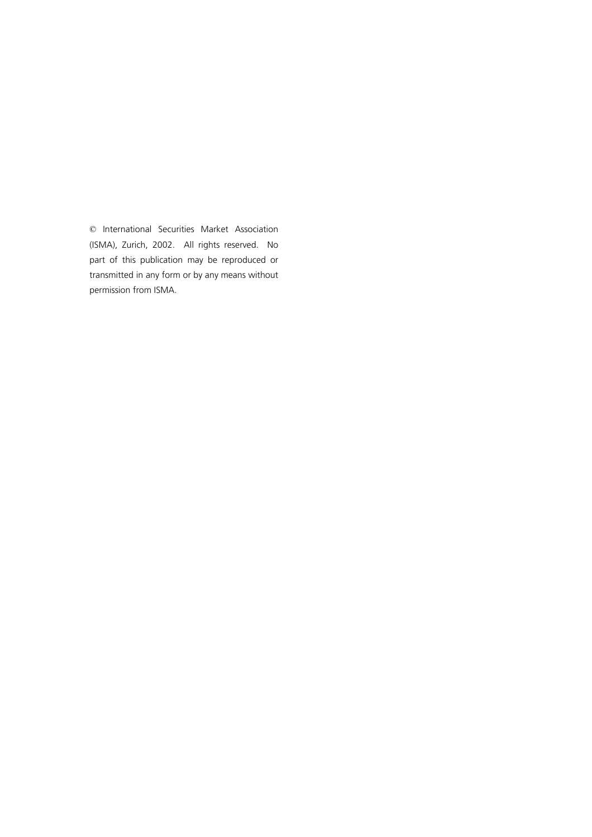© International Securities Market Association (ISMA), Zurich, 2002. All rights reserved. No part of this publication may be reproduced or transmitted in any form or by any means without permission from ISMA.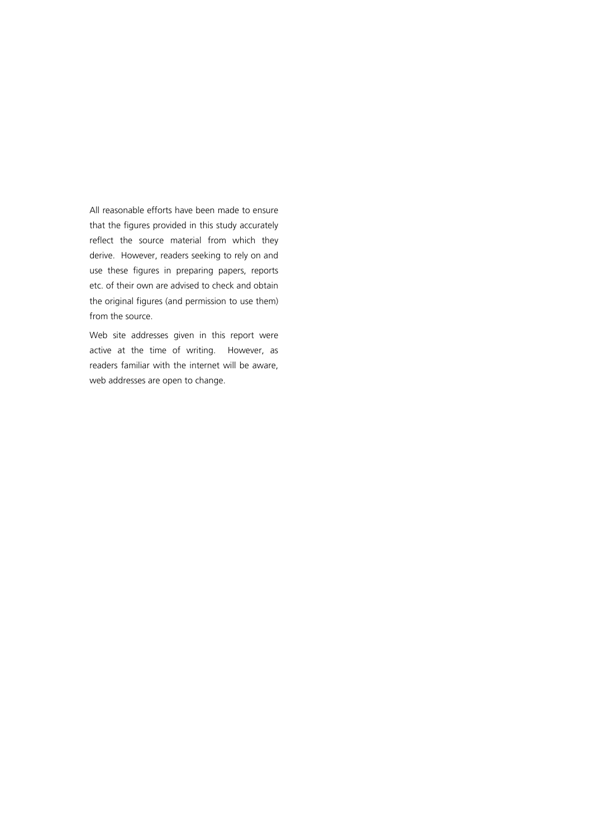All reasonable efforts have been made to ensure that the figures provided in this study accurately reflect the source material from which they derive. However, readers seeking to rely on and use these figures in preparing papers, reports etc. of their own are advised to check and obtain the original figures (and permission to use them) from the source.

Web site addresses given in this report were active at the time of writing. However, as readers familiar with the internet will be aware, web addresses are open to change.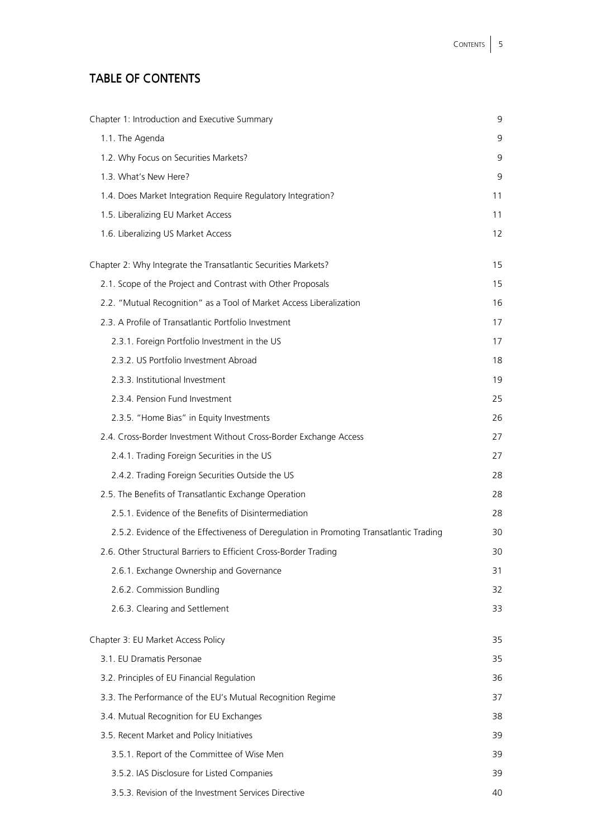# TABLE OF CONTENTS

| Chapter 1: Introduction and Executive Summary                                           | 9  |
|-----------------------------------------------------------------------------------------|----|
| 1.1. The Agenda                                                                         | 9  |
| 1.2. Why Focus on Securities Markets?                                                   | 9  |
| 1.3. What's New Here?                                                                   | 9  |
| 1.4. Does Market Integration Require Regulatory Integration?                            | 11 |
| 1.5. Liberalizing EU Market Access                                                      | 11 |
| 1.6. Liberalizing US Market Access                                                      | 12 |
| Chapter 2: Why Integrate the Transatlantic Securities Markets?                          | 15 |
| 2.1. Scope of the Project and Contrast with Other Proposals                             | 15 |
| 2.2. "Mutual Recognition" as a Tool of Market Access Liberalization                     | 16 |
| 2.3. A Profile of Transatlantic Portfolio Investment                                    | 17 |
| 2.3.1. Foreign Portfolio Investment in the US                                           | 17 |
| 2.3.2. US Portfolio Investment Abroad                                                   | 18 |
| 2.3.3. Institutional Investment                                                         | 19 |
| 2.3.4. Pension Fund Investment                                                          | 25 |
| 2.3.5. "Home Bias" in Equity Investments                                                | 26 |
| 2.4. Cross-Border Investment Without Cross-Border Exchange Access                       | 27 |
| 2.4.1. Trading Foreign Securities in the US                                             | 27 |
| 2.4.2. Trading Foreign Securities Outside the US                                        | 28 |
| 2.5. The Benefits of Transatlantic Exchange Operation                                   | 28 |
| 2.5.1. Evidence of the Benefits of Disintermediation                                    | 28 |
| 2.5.2. Evidence of the Effectiveness of Deregulation in Promoting Transatlantic Trading | 30 |
| 2.6. Other Structural Barriers to Efficient Cross-Border Trading                        | 30 |
| 2.6.1. Exchange Ownership and Governance                                                | 31 |
| 2.6.2. Commission Bundling                                                              | 32 |
| 2.6.3. Clearing and Settlement                                                          | 33 |
| Chapter 3: EU Market Access Policy                                                      | 35 |
| 3.1. EU Dramatis Personae                                                               | 35 |
| 3.2. Principles of EU Financial Regulation                                              | 36 |
| 3.3. The Performance of the EU's Mutual Recognition Regime                              | 37 |
| 3.4. Mutual Recognition for EU Exchanges                                                | 38 |
| 3.5. Recent Market and Policy Initiatives                                               | 39 |
| 3.5.1. Report of the Committee of Wise Men                                              | 39 |
| 3.5.2. IAS Disclosure for Listed Companies                                              | 39 |
| 3.5.3. Revision of the Investment Services Directive                                    | 40 |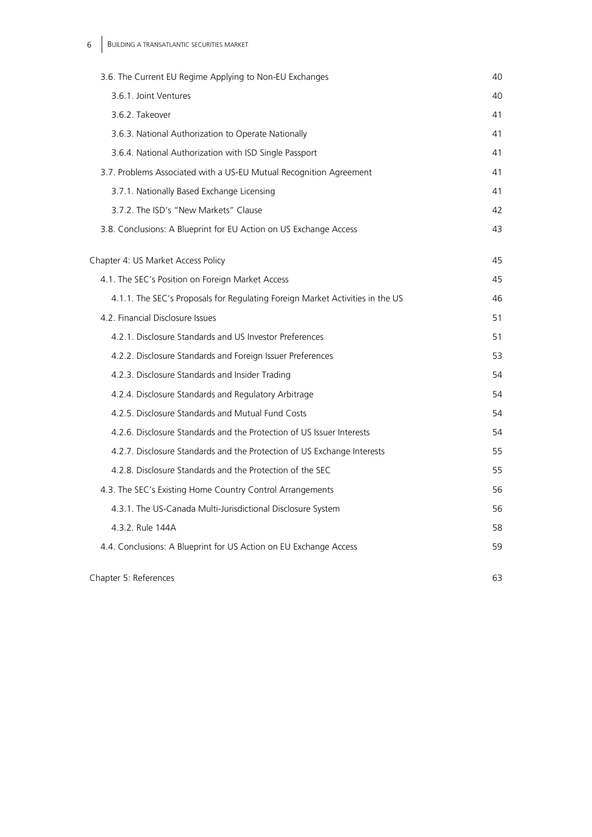6 BUILDING A TRANSATLANTIC SECURITIES MARKET

| 3.6. The Current EU Regime Applying to Non-EU Exchanges                       | 40 |
|-------------------------------------------------------------------------------|----|
| 3.6.1. Joint Ventures                                                         | 40 |
| 3.6.2. Takeover                                                               | 41 |
| 3.6.3. National Authorization to Operate Nationally                           | 41 |
| 3.6.4. National Authorization with ISD Single Passport                        | 41 |
| 3.7. Problems Associated with a US-EU Mutual Recognition Agreement            | 41 |
| 3.7.1. Nationally Based Exchange Licensing                                    | 41 |
| 3.7.2. The ISD's "New Markets" Clause                                         | 42 |
| 3.8. Conclusions: A Blueprint for EU Action on US Exchange Access             | 43 |
| Chapter 4: US Market Access Policy                                            | 45 |
| 4.1. The SEC's Position on Foreign Market Access                              | 45 |
| 4.1.1. The SEC's Proposals for Regulating Foreign Market Activities in the US | 46 |
| 4.2. Financial Disclosure Issues                                              | 51 |
| 4.2.1. Disclosure Standards and US Investor Preferences                       | 51 |
| 4.2.2. Disclosure Standards and Foreign Issuer Preferences                    | 53 |
| 4.2.3. Disclosure Standards and Insider Trading                               | 54 |
| 4.2.4. Disclosure Standards and Regulatory Arbitrage                          | 54 |
| 4.2.5. Disclosure Standards and Mutual Fund Costs                             | 54 |
| 4.2.6. Disclosure Standards and the Protection of US Issuer Interests         | 54 |
| 4.2.7. Disclosure Standards and the Protection of US Exchange Interests       | 55 |
| 4.2.8. Disclosure Standards and the Protection of the SEC                     | 55 |
| 4.3. The SEC's Existing Home Country Control Arrangements                     | 56 |
| 4.3.1. The US-Canada Multi-Jurisdictional Disclosure System                   | 56 |
| 4.3.2. Rule 144A                                                              | 58 |
| 4.4. Conclusions: A Blueprint for US Action on EU Exchange Access             | 59 |
| Chapter 5: References                                                         | 63 |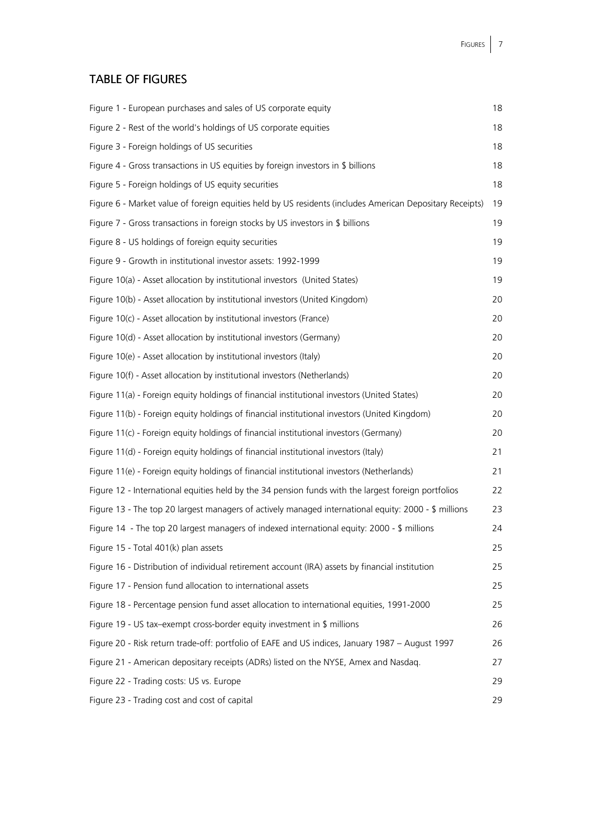# TABLE OF FIGURES

| Figure 1 - European purchases and sales of US corporate equity                                           | 18 |
|----------------------------------------------------------------------------------------------------------|----|
| Figure 2 - Rest of the world's holdings of US corporate equities                                         | 18 |
| Figure 3 - Foreign holdings of US securities                                                             | 18 |
| Figure 4 - Gross transactions in US equities by foreign investors in \$ billions                         | 18 |
| Figure 5 - Foreign holdings of US equity securities                                                      | 18 |
| Figure 6 - Market value of foreign equities held by US residents (includes American Depositary Receipts) | 19 |
| Figure 7 - Gross transactions in foreign stocks by US investors in \$ billions                           | 19 |
| Figure 8 - US holdings of foreign equity securities                                                      | 19 |
| Figure 9 - Growth in institutional investor assets: 1992-1999                                            | 19 |
| Figure 10(a) - Asset allocation by institutional investors (United States)                               | 19 |
| Figure 10(b) - Asset allocation by institutional investors (United Kingdom)                              | 20 |
| Figure 10(c) - Asset allocation by institutional investors (France)                                      | 20 |
| Figure 10(d) - Asset allocation by institutional investors (Germany)                                     | 20 |
| Figure 10(e) - Asset allocation by institutional investors (Italy)                                       | 20 |
| Figure 10(f) - Asset allocation by institutional investors (Netherlands)                                 | 20 |
| Figure 11(a) - Foreign equity holdings of financial institutional investors (United States)              | 20 |
| Figure 11(b) - Foreign equity holdings of financial institutional investors (United Kingdom)             | 20 |
| Figure 11(c) - Foreign equity holdings of financial institutional investors (Germany)                    | 20 |
| Figure 11(d) - Foreign equity holdings of financial institutional investors (Italy)                      | 21 |
| Figure 11(e) - Foreign equity holdings of financial institutional investors (Netherlands)                | 21 |
| Figure 12 - International equities held by the 34 pension funds with the largest foreign portfolios      | 22 |
| Figure 13 - The top 20 largest managers of actively managed international equity: 2000 - \$ millions     | 23 |
| Figure 14 - The top 20 largest managers of indexed international equity: 2000 - \$ millions              | 24 |
| Figure 15 - Total 401(k) plan assets                                                                     | 25 |
| Figure 16 - Distribution of individual retirement account (IRA) assets by financial institution          | 25 |
| Figure 17 - Pension fund allocation to international assets                                              | 25 |
| Figure 18 - Percentage pension fund asset allocation to international equities, 1991-2000                | 25 |
| Figure 19 - US tax-exempt cross-border equity investment in \$ millions                                  | 26 |
| Figure 20 - Risk return trade-off: portfolio of EAFE and US indices, January 1987 - August 1997          | 26 |
| Figure 21 - American depositary receipts (ADRs) listed on the NYSE, Amex and Nasdaq.                     | 27 |
| Figure 22 - Trading costs: US vs. Europe                                                                 | 29 |
| Figure 23 - Trading cost and cost of capital                                                             | 29 |
|                                                                                                          |    |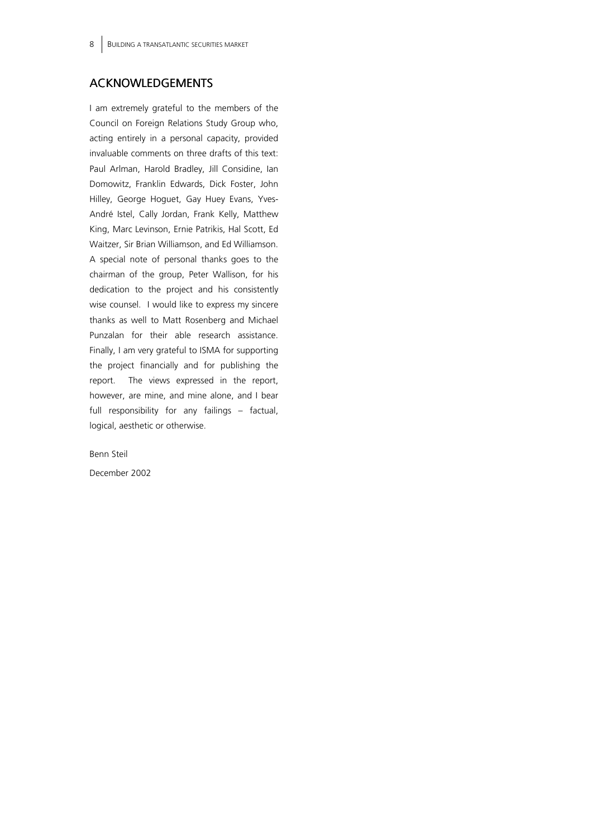# ACKNOWLEDGEMENTS ACKNOWLEDGEMENTS

I am extremely grateful to the members of the Council on Foreign Relations Study Group who, acting entirely in a personal capacity, provided invaluable comments on three drafts of this text: Paul Arlman, Harold Bradley, Jill Considine, Ian Domowitz, Franklin Edwards, Dick Foster, John Hilley, George Hoguet, Gay Huey Evans, Yves-André Istel, Cally Jordan, Frank Kelly, Matthew King, Marc Levinson, Ernie Patrikis, Hal Scott, Ed Waitzer, Sir Brian Williamson, and Ed Williamson. A special note of personal thanks goes to the chairman of the group, Peter Wallison, for his dedication to the project and his consistently wise counsel. I would like to express my sincere thanks as well to Matt Rosenberg and Michael Punzalan for their able research assistance. Finally, I am very grateful to ISMA for supporting the project financially and for publishing the report. The views expressed in the report, however, are mine, and mine alone, and I bear full responsibility for any failings — factual, logical, aesthetic or otherwise.

Benn Steil

December 2002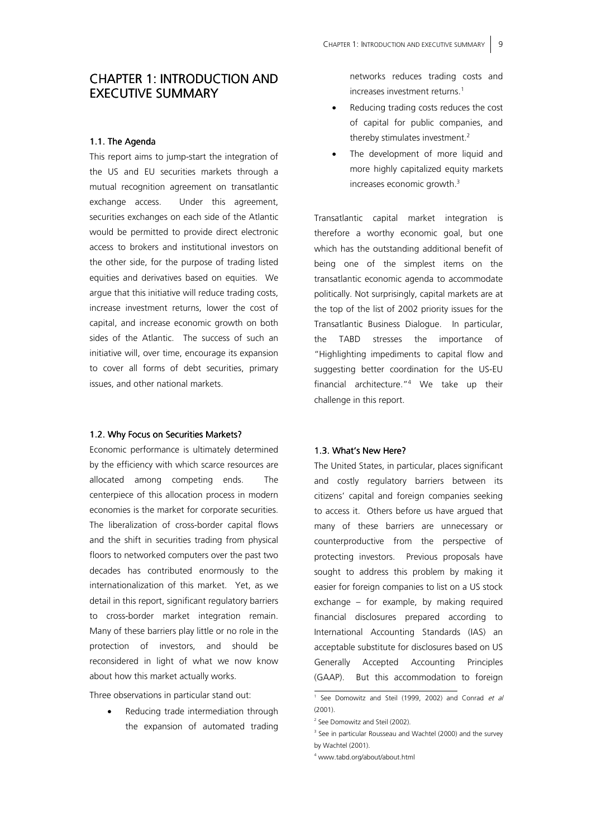# <span id="page-8-0"></span>CHAPTER 1: INTRODUCTION AND **EXECUTIVE SUMMARY**

#### 1.1. The Agenda

This report aims to jump-start the integration of the US and EU securities markets through a mutual recognition agreement on transatlantic exchange access. Under this agreement, securities exchanges on each side of the Atlantic would be permitted to provide direct electronic access to brokers and institutional investors on the other side, for the purpose of trading listed equities and derivatives based on equities. We argue that this initiative will reduce trading costs, increase investment returns, lower the cost of capital, and increase economic growth on both sides of the Atlantic. The success of such an initiative will, over time, encourage its expansion to cover all forms of debt securities, primary issues, and other national markets.

#### 1.2. Why Focus on Securities Markets?

Economic performance is ultimately determined by the efficiency with which scarce resources are allocated among competing ends. The centerpiece of this allocation process in modern economies is the market for corporate securities. The liberalization of cross-border capital flows and the shift in securities trading from physical floors to networked computers over the past two decades has contributed enormously to the internationalization of this market. Yet, as we detail in this report, significant regulatory barriers to cross-border market integration remain. Many of these barriers play little or no role in the protection of investors, and should be reconsidered in light of what we now know about how this market actually works.

Three observations in particular stand out:

Reducing trade intermediation through the expansion of automated trading

networks reduces trading costs and increases investment returns.1

- Reducing trading costs reduces the cost of capital for public companies, and thereby stimulates investment.<sup>2</sup>
- The development of more liquid and more highly capitalized equity markets increases economic growth.<sup>3</sup>

Transatlantic capital market integration is therefore a worthy economic goal, but one which has the outstanding additional benefit of being one of the simplest items on the transatlantic economic agenda to accommodate politically. Not surprisingly, capital markets are at the top of the list of 2002 priority issues for the Transatlantic Business Dialogue. In particular, the TABD stresses the importance of "Highlighting impediments to capital flow and suggesting better coordination for the US-EU financial architecture."4 We take up their challenge in this report.

### 1.3. What's New Here?

The United States, in particular, places significant and costly regulatory barriers between its citizens' capital and foreign companies seeking to access it. Others before us have argued that many of these barriers are unnecessary or counterproductive from the perspective of protecting investors. Previous proposals have sought to address this problem by making it easier for foreign companies to list on a US stock exchange — for example, by making required financial disclosures prepared according to International Accounting Standards (IAS) an acceptable substitute for disclosures based on US Generally Accepted Accounting Principles (GAAP). But this accommodation to foreign

4 www.tabd.org/about/about.html

<sup>1</sup> See Domowitz and Steil (1999, 2002) and Conrad *et al* (2001).

<sup>2</sup> See Domowitz and Steil (2002).

<sup>&</sup>lt;sup>3</sup> See in particular Rousseau and Wachtel (2000) and the survey by Wachtel (2001).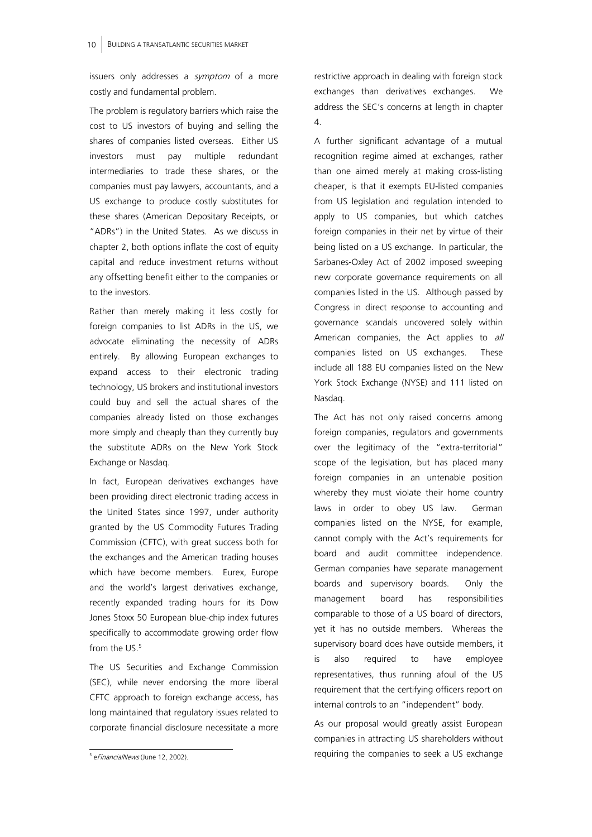issuers only addresses a symptom of a more costly and fundamental problem.

The problem is regulatory barriers which raise the cost to US investors of buying and selling the shares of companies listed overseas. Either US investors must pay multiple redundant intermediaries to trade these shares, or the companies must pay lawyers, accountants, and a US exchange to produce costly substitutes for these shares (American Depositary Receipts, or "ADRs") in the United States. As we discuss in chapter 2, both options inflate the cost of equity capital and reduce investment returns without any offsetting benefit either to the companies or to the investors.

Rather than merely making it less costly for foreign companies to list ADRs in the US, we advocate eliminating the necessity of ADRs entirely. By allowing European exchanges to expand access to their electronic trading technology, US brokers and institutional investors could buy and sell the actual shares of the companies already listed on those exchanges more simply and cheaply than they currently buy the substitute ADRs on the New York Stock Exchange or Nasdaq.

In fact, European derivatives exchanges have been providing direct electronic trading access in the United States since 1997, under authority granted by the US Commodity Futures Trading Commission (CFTC), with great success both for the exchanges and the American trading houses which have become members. Eurex, Europe and the world's largest derivatives exchange, recently expanded trading hours for its Dow Jones Stoxx 50 European blue-chip index futures specifically to accommodate growing order flow from the US.<sup>5</sup>

The US Securities and Exchange Commission (SEC), while never endorsing the more liberal CFTC approach to foreign exchange access, has long maintained that regulatory issues related to corporate financial disclosure necessitate a more restrictive approach in dealing with foreign stock exchanges than derivatives exchanges. We address the SEC's concerns at length in chapter 4.

A further significant advantage of a mutual recognition regime aimed at exchanges, rather than one aimed merely at making cross-listing cheaper, is that it exempts EU-listed companies from US legislation and regulation intended to apply to US companies, but which catches foreign companies in their net by virtue of their being listed on a US exchange. In particular, the Sarbanes-Oxley Act of 2002 imposed sweeping new corporate governance requirements on all companies listed in the US. Although passed by Congress in direct response to accounting and governance scandals uncovered solely within American companies, the Act applies to all companies listed on US exchanges. These include all 188 EU companies listed on the New York Stock Exchange (NYSE) and 111 listed on Nasdaq.

The Act has not only raised concerns among foreign companies, regulators and governments over the legitimacy of the "extra-territorial" scope of the legislation, but has placed many foreign companies in an untenable position whereby they must violate their home country laws in order to obey US law. German companies listed on the NYSE, for example, cannot comply with the Act's requirements for board and audit committee independence. German companies have separate management boards and supervisory boards. Only the management board has responsibilities comparable to those of a US board of directors, yet it has no outside members. Whereas the supervisory board does have outside members, it is also required to have employee representatives, thus running afoul of the US requirement that the certifying officers report on internal controls to an "independent" body.

As our proposal would greatly assist European companies in attracting US shareholders without requiring the companies to seek a US exchange

<sup>&</sup>lt;sup>5</sup> e*FinancialNews* (June 12, 2002).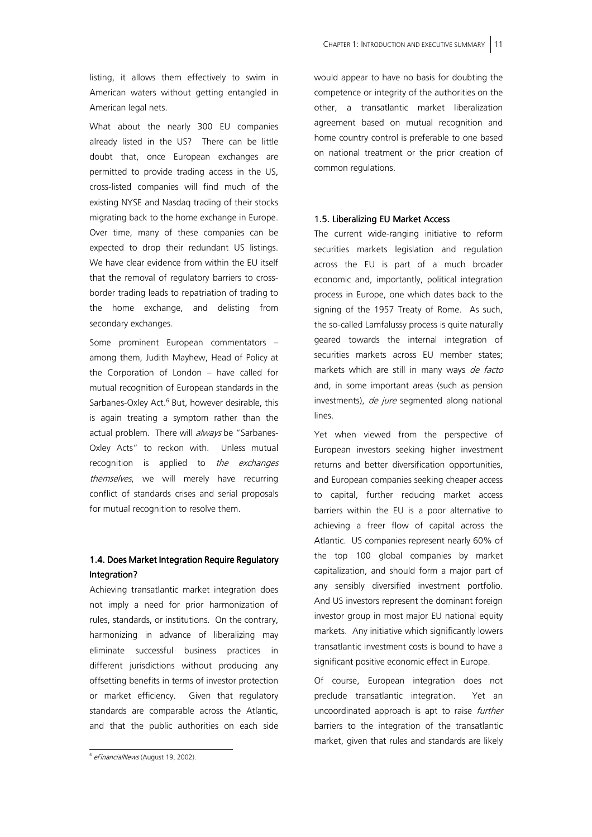<span id="page-10-0"></span>listing, it allows them effectively to swim in American waters without getting entangled in American legal nets.

What about the nearly 300 EU companies already listed in the US? There can be little doubt that, once European exchanges are permitted to provide trading access in the US, cross-listed companies will find much of the existing NYSE and Nasdaq trading of their stocks migrating back to the home exchange in Europe. Over time, many of these companies can be expected to drop their redundant US listings. We have clear evidence from within the EU itself that the removal of regulatory barriers to crossborder trading leads to repatriation of trading to the home exchange, and delisting from secondary exchanges.

Some prominent European commentators among them, Judith Mayhew, Head of Policy at the Corporation of London — have called for mutual recognition of European standards in the Sarbanes-Oxley Act.<sup>6</sup> But, however desirable, this is again treating a symptom rather than the actual problem. There will *always* be "Sarbanes-Oxley Acts" to reckon with. Unless mutual recognition is applied to the exchanges themselves, we will merely have recurring conflict of standards crises and serial proposals for mutual recognition to resolve them.

### 1.4. Does Market Integration Require Regulatory Integration?

Achieving transatlantic market integration does not imply a need for prior harmonization of rules, standards, or institutions. On the contrary, harmonizing in advance of liberalizing may eliminate successful business practices in different jurisdictions without producing any offsetting benefits in terms of investor protection or market efficiency. Given that regulatory standards are comparable across the Atlantic, and that the public authorities on each side

would appear to have no basis for doubting the competence or integrity of the authorities on the other, a transatlantic market liberalization agreement based on mutual recognition and home country control is preferable to one based on national treatment or the prior creation of common regulations.

#### 1.5. Liberalizing EU Market Access

The current wide-ranging initiative to reform securities markets legislation and regulation across the EU is part of a much broader economic and, importantly, political integration process in Europe, one which dates back to the signing of the 1957 Treaty of Rome. As such, the so-called Lamfalussy process is quite naturally geared towards the internal integration of securities markets across EU member states; markets which are still in many ways de facto and, in some important areas (such as pension investments), de jure segmented along national lines.

Yet when viewed from the perspective of European investors seeking higher investment returns and better diversification opportunities, and European companies seeking cheaper access to capital, further reducing market access barriers within the EU is a poor alternative to achieving a freer flow of capital across the Atlantic. US companies represent nearly 60% of the top 100 global companies by market capitalization, and should form a major part of any sensibly diversified investment portfolio. And US investors represent the dominant foreign investor group in most major EU national equity markets. Any initiative which significantly lowers transatlantic investment costs is bound to have a significant positive economic effect in Europe.

Of course, European integration does not preclude transatlantic integration. Yet an uncoordinated approach is apt to raise further barriers to the integration of the transatlantic market, given that rules and standards are likely

<sup>&</sup>lt;sup>6</sup> eFinancialNews (August 19, 2002).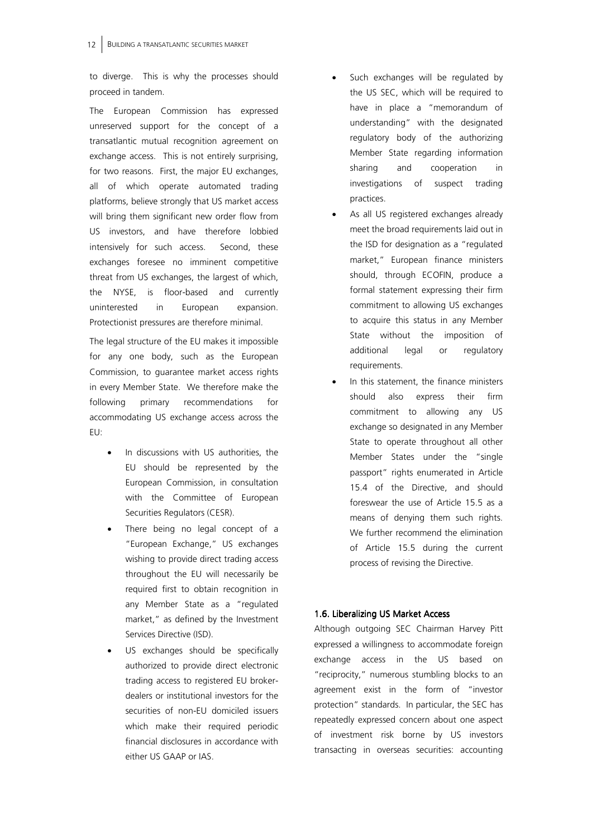<span id="page-11-0"></span>12 BUILDING A TRANSATLANTIC SECURITIES MARKET

to diverge. This is why the processes should proceed in tandem.

The European Commission has expressed unreserved support for the concept of a transatlantic mutual recognition agreement on exchange access. This is not entirely surprising, for two reasons. First, the major EU exchanges, all of which operate automated trading platforms, believe strongly that US market access will bring them significant new order flow from US investors, and have therefore lobbied intensively for such access. Second, these exchanges foresee no imminent competitive threat from US exchanges, the largest of which, the NYSE, is floor-based and currently uninterested in European expansion. Protectionist pressures are therefore minimal.

The legal structure of the EU makes it impossible for any one body, such as the European Commission, to guarantee market access rights in every Member State. We therefore make the following primary recommendations for accommodating US exchange access across the EU:

- In discussions with US authorities, the EU should be represented by the European Commission, in consultation with the Committee of European Securities Regulators (CESR).
- There being no legal concept of a "European Exchange," US exchanges wishing to provide direct trading access throughout the EU will necessarily be required first to obtain recognition in any Member State as a "regulated market," as defined by the Investment Services Directive (ISD).
- US exchanges should be specifically authorized to provide direct electronic trading access to registered EU brokerdealers or institutional investors for the securities of non-EU domiciled issuers which make their required periodic financial disclosures in accordance with either US GAAP or IAS.
- Such exchanges will be regulated by the US SEC, which will be required to have in place a "memorandum of understanding" with the designated regulatory body of the authorizing Member State regarding information sharing and cooperation in investigations of suspect trading practices.
- As all US registered exchanges already meet the broad requirements laid out in the ISD for designation as a "regulated market," European finance ministers should, through ECOFIN, produce a formal statement expressing their firm commitment to allowing US exchanges to acquire this status in any Member State without the imposition of additional legal or regulatory requirements.
- In this statement, the finance ministers should also express their firm commitment to allowing any US exchange so designated in any Member State to operate throughout all other Member States under the "single passport" rights enumerated in Article 15.4 of the Directive, and should foreswear the use of Article 15.5 as a means of denying them such rights. We further recommend the elimination of Article 15.5 during the current process of revising the Directive.

### 1.6. Liberalizing US Market Access

Although outgoing SEC Chairman Harvey Pitt expressed a willingness to accommodate foreign exchange access in the US based on "reciprocity," numerous stumbling blocks to an agreement exist in the form of "investor protection" standards. In particular, the SEC has repeatedly expressed concern about one aspect of investment risk borne by US investors transacting in overseas securities: accounting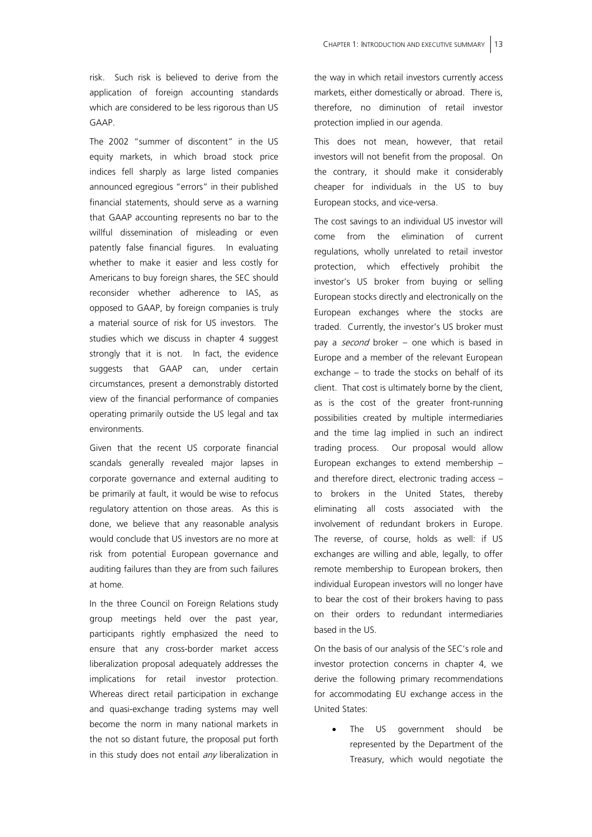The 2002 "summer of discontent" in the US equity markets, in which broad stock price indices fell sharply as large listed companies announced egregious "errors" in their published financial statements, should serve as a warning that GAAP accounting represents no bar to the willful dissemination of misleading or even patently false financial figures. In evaluating whether to make it easier and less costly for Americans to buy foreign shares, the SEC should reconsider whether adherence to IAS, as opposed to GAAP, by foreign companies is truly a material source of risk for US investors. The studies which we discuss in chapter 4 suggest strongly that it is not. In fact, the evidence suggests that GAAP can, under certain circumstances, present a demonstrably distorted view of the financial performance of companies operating primarily outside the US legal and tax environments.

Given that the recent US corporate financial scandals generally revealed major lapses in corporate governance and external auditing to be primarily at fault, it would be wise to refocus regulatory attention on those areas. As this is done, we believe that any reasonable analysis would conclude that US investors are no more at risk from potential European governance and auditing failures than they are from such failures at home.

In the three Council on Foreign Relations study group meetings held over the past year, participants rightly emphasized the need to ensure that any cross-border market access liberalization proposal adequately addresses the implications for retail investor protection. Whereas direct retail participation in exchange and quasi-exchange trading systems may well become the norm in many national markets in the not so distant future, the proposal put forth in this study does not entail *any* liberalization in the way in which retail investors currently access markets, either domestically or abroad. There is, therefore, no diminution of retail investor protection implied in our agenda.

This does not mean, however, that retail investors will not benefit from the proposal. On the contrary, it should make it considerably cheaper for individuals in the US to buy European stocks, and vice-versa.

The cost savings to an individual US investor will come from the elimination of current regulations, wholly unrelated to retail investor protection, which effectively prohibit the investor's US broker from buying or selling European stocks directly and electronically on the European exchanges where the stocks are traded. Currently, the investor's US broker must pay a *second* broker – one which is based in Europe and a member of the relevant European exchange — to trade the stocks on behalf of its client. That cost is ultimately borne by the client, as is the cost of the greater front-running possibilities created by multiple intermediaries and the time lag implied in such an indirect trading process. Our proposal would allow European exchanges to extend membership and therefore direct, electronic trading access to brokers in the United States, thereby eliminating all costs associated with the involvement of redundant brokers in Europe. The reverse, of course, holds as well: if US exchanges are willing and able, legally, to offer remote membership to European brokers, then individual European investors will no longer have to bear the cost of their brokers having to pass on their orders to redundant intermediaries based in the US.

On the basis of our analysis of the SEC's role and investor protection concerns in chapter 4, we derive the following primary recommendations for accommodating EU exchange access in the United States:

> The US government should be represented by the Department of the Treasury, which would negotiate the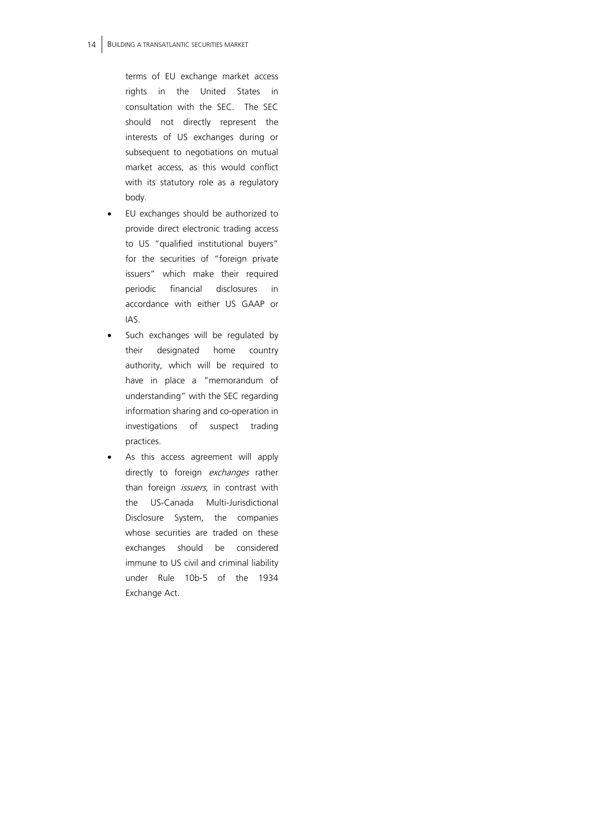terms of EU exchange market access rights in the United States in consultation with the SEC. The SEC should not directly represent the interests of US exchanges during or subsequent to negotiations on mutual market access, as this would conflict with its statutory role as a regulatory body.

- EU exchanges should be authorized to provide direct electronic trading access to US "qualified institutional buyers" for the securities of "foreign private issuers" which make their required periodic financial disclosures in accordance with either US GAAP or IAS.
- Such exchanges will be regulated by their designated home country authority, which will be required to have in place a "memorandum of understanding" with the SEC regarding information sharing and co-operation in investigations of suspect trading practices.
- As this access agreement will apply directly to foreign exchanges rather than foreign *issuers*, in contrast with the US-Canada Multi-Jurisdictional Disclosure System, the companies whose securities are traded on these exchanges should be considered immune to US civil and criminal liability under Rule 10b-5 of the 1934 Exchange Act.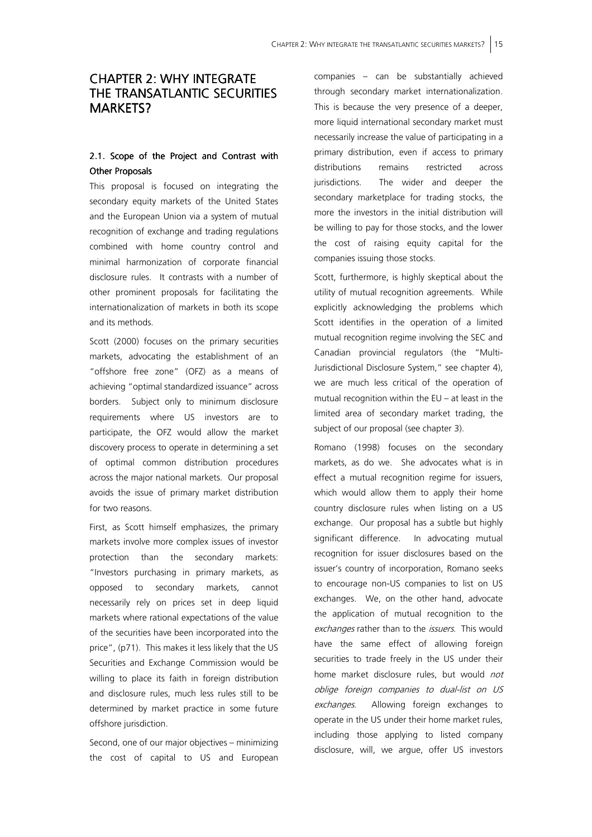# <span id="page-14-0"></span>CHAPTER 2: WHY INTEGRATE THE TRANSATLANTIC SECURITIES MARKETS?

### 2.1. Scope of the Project and Contrast with **Other Proposals**

This proposal is focused on integrating the secondary equity markets of the United States and the European Union via a system of mutual recognition of exchange and trading regulations combined with home country control and minimal harmonization of corporate financial disclosure rules. It contrasts with a number of other prominent proposals for facilitating the internationalization of markets in both its scope and its methods.

Scott (2000) focuses on the primary securities markets, advocating the establishment of an "offshore free zone" (OFZ) as a means of achieving "optimal standardized issuance" across borders. Subject only to minimum disclosure requirements where US investors are to participate, the OFZ would allow the market discovery process to operate in determining a set of optimal common distribution procedures across the major national markets. Our proposal avoids the issue of primary market distribution for two reasons.

First, as Scott himself emphasizes, the primary markets involve more complex issues of investor protection than the secondary markets: "Investors purchasing in primary markets, as opposed to secondary markets, cannot necessarily rely on prices set in deep liquid markets where rational expectations of the value of the securities have been incorporated into the price", (p71). This makes it less likely that the US Securities and Exchange Commission would be willing to place its faith in foreign distribution and disclosure rules, much less rules still to be determined by market practice in some future offshore jurisdiction.

Second, one of our major objectives — minimizing the cost of capital to US and European companies — can be substantially achieved through secondary market internationalization. This is because the very presence of a deeper, more liquid international secondary market must necessarily increase the value of participating in a primary distribution, even if access to primary distributions remains restricted across jurisdictions. The wider and deeper the secondary marketplace for trading stocks, the more the investors in the initial distribution will be willing to pay for those stocks, and the lower the cost of raising equity capital for the companies issuing those stocks.

Scott, furthermore, is highly skeptical about the utility of mutual recognition agreements. While explicitly acknowledging the problems which Scott identifies in the operation of a limited mutual recognition regime involving the SEC and Canadian provincial regulators (the "Multi-Jurisdictional Disclosure System," see chapter 4), we are much less critical of the operation of mutual recognition within the EU — at least in the limited area of secondary market trading, the subject of our proposal (see chapter 3).

Romano (1998) focuses on the secondary markets, as do we. She advocates what is in effect a mutual recognition regime for issuers, which would allow them to apply their home country disclosure rules when listing on a US exchange. Our proposal has a subtle but highly significant difference. In advocating mutual recognition for issuer disclosures based on the issuer's country of incorporation, Romano seeks to encourage non-US companies to list on US exchanges. We, on the other hand, advocate the application of mutual recognition to the exchanges rather than to the *issuers*. This would have the same effect of allowing foreign securities to trade freely in the US under their home market disclosure rules, but would not oblige foreign companies to dual-list on US exchanges. Allowing foreign exchanges to operate in the US under their home market rules, including those applying to listed company disclosure, will, we argue, offer US investors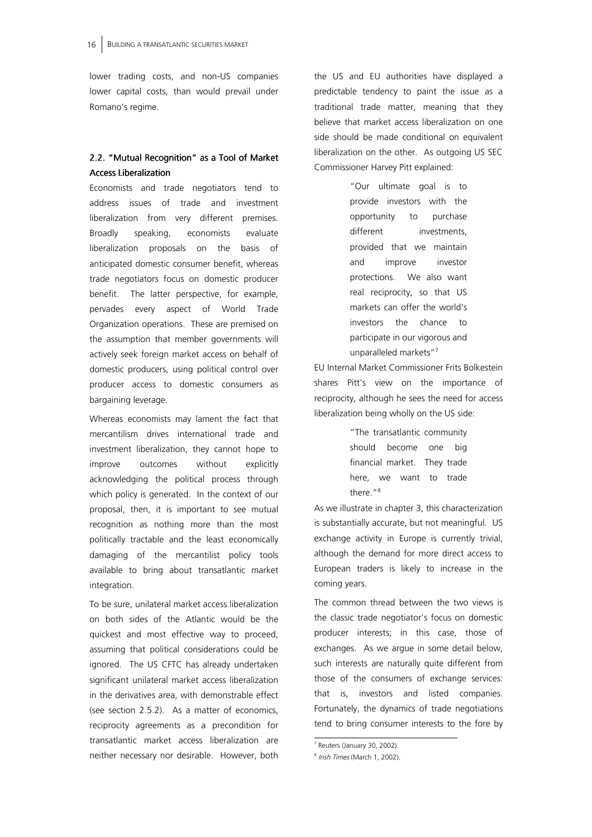<span id="page-15-0"></span>lower trading costs, and non-US companies lower capital costs, than would prevail under Romano's regime.

### 2.2. "Mutual Recognition" as a Tool of Market **Access Liberalization**

Economists and trade negotiators tend to address issues of trade and investment liberalization from very different premises. Broadly speaking, economists evaluate liberalization proposals on the basis of anticipated domestic consumer benefit, whereas trade negotiators focus on domestic producer benefit. The latter perspective, for example, pervades every aspect of World Trade Organization operations. These are premised on the assumption that member governments will actively seek foreign market access on behalf of domestic producers, using political control over producer access to domestic consumers as bargaining leverage.

Whereas economists may lament the fact that mercantilism drives international trade and investment liberalization, they cannot hope to improve outcomes without explicitly acknowledging the political process through which policy is generated. In the context of our proposal, then, it is important to see mutual recognition as nothing more than the most politically tractable and the least economically damaging of the mercantilist policy tools available to bring about transatlantic market integration.

To be sure, unilateral market access liberalization on both sides of the Atlantic would be the quickest and most effective way to proceed, assuming that political considerations could be ignored. The US CFTC has already undertaken significant unilateral market access liberalization in the derivatives area, with demonstrable effect (see section 2.5.2). As a matter of economics, reciprocity agreements as a precondition for transatlantic market access liberalization are neither necessary nor desirable. However, both the US and EU authorities have displayed a predictable tendency to paint the issue as a traditional trade matter, meaning that they believe that market access liberalization on one side should be made conditional on equivalent liberalization on the other. As outgoing US SEC Commissioner Harvey Pitt explained:

> "Our ultimate goal is to provide investors with the opportunity to purchase different investments, provided that we maintain and improve investor protections. We also want real reciprocity, so that US markets can offer the world's investors the chance to participate in our vigorous and unparalleled markets"7

EU Internal Market Commissioner Frits Bolkestein shares Pitt's view on the importance of reciprocity, although he sees the need for access liberalization being wholly on the US side:

> "The transatlantic community should become one big financial market. They trade here, we want to trade there "8

As we illustrate in chapter 3, this characterization is substantially accurate, but not meaningful. US exchange activity in Europe is currently trivial, although the demand for more direct access to European traders is likely to increase in the coming years.

The common thread between the two views is the classic trade negotiator's focus on domestic producer interests; in this case, those of exchanges. As we argue in some detail below, such interests are naturally quite different from those of the consumers of exchange services: that is, investors and listed companies. Fortunately, the dynamics of trade negotiations tend to bring consumer interests to the fore by

<sup>&</sup>lt;sup>7</sup> Reuters (January 30, 2002).

<sup>&</sup>lt;sup>8</sup> Irish Times (March 1, 2002).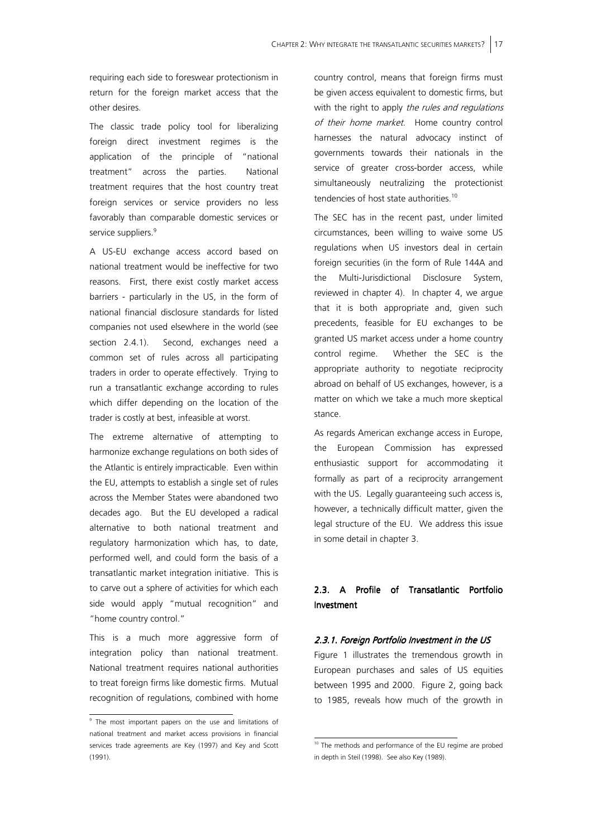<span id="page-16-0"></span>requiring each side to foreswear protectionism in return for the foreign market access that the other desires.

The classic trade policy tool for liberalizing foreign direct investment regimes is the application of the principle of "national treatment" across the parties. National treatment requires that the host country treat foreign services or service providers no less favorably than comparable domestic services or service suppliers.<sup>9</sup>

A US-EU exchange access accord based on national treatment would be ineffective for two reasons. First, there exist costly market access barriers - particularly in the US, in the form of national financial disclosure standards for listed companies not used elsewhere in the world (see section 2.4.1). Second, exchanges need a common set of rules across all participating traders in order to operate effectively. Trying to run a transatlantic exchange according to rules which differ depending on the location of the trader is costly at best, infeasible at worst.

The extreme alternative of attempting to harmonize exchange regulations on both sides of the Atlantic is entirely impracticable. Even within the EU, attempts to establish a single set of rules across the Member States were abandoned two decades ago. But the EU developed a radical alternative to both national treatment and regulatory harmonization which has, to date, performed well, and could form the basis of a transatlantic market integration initiative. This is to carve out a sphere of activities for which each side would apply "mutual recognition" and "home country control."

This is a much more aggressive form of integration policy than national treatment. National treatment requires national authorities to treat foreign firms like domestic firms. Mutual recognition of regulations, combined with home country control, means that foreign firms must be given access equivalent to domestic firms, but with the right to apply the rules and regulations of their home market. Home country control harnesses the natural advocacy instinct of governments towards their nationals in the service of greater cross-border access, while simultaneously neutralizing the protectionist tendencies of host state authorities.<sup>10</sup>

The SEC has in the recent past, under limited circumstances, been willing to waive some US regulations when US investors deal in certain foreign securities (in the form of Rule 144A and the Multi-Jurisdictional Disclosure System, reviewed in chapter 4). In chapter 4, we argue that it is both appropriate and, given such precedents, feasible for EU exchanges to be granted US market access under a home country control regime. Whether the SEC is the appropriate authority to negotiate reciprocity abroad on behalf of US exchanges, however, is a matter on which we take a much more skeptical stance.

As regards American exchange access in Europe, the European Commission has expressed enthusiastic support for accommodating it formally as part of a reciprocity arrangement with the US. Legally guaranteeing such access is, however, a technically difficult matter, given the legal structure of the EU. We address this issue in some detail in chapter 3.

### 2.3. A Profile of Transatlantic Portfolio **Investment**

### 2.3.1. Foreign Portfolio Investment in the US

Figure 1 illustrates the tremendous growth in European purchases and sales of US equities between 1995 and 2000. Figure 2, going back to 1985, reveals how much of the growth in

<sup>&</sup>lt;sup>9</sup> The most important papers on the use and limitations of national treatment and market access provisions in financial services trade agreements are Key (1997) and Key and Scott (1991).

 $10$  The methods and performance of the EU regime are probed in depth in Steil (1998). See also Key (1989).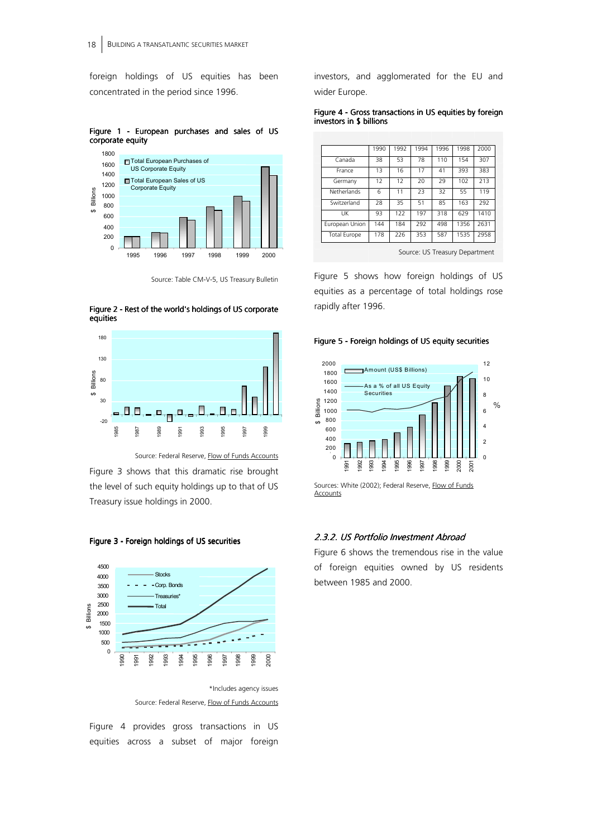<span id="page-17-0"></span>foreign holdings of US equities has been concentrated in the period since 1996.

#### Figure 1 - European purchases and sales of US corporate equity corporate equity



Source: Table CM-V-5, US Treasury Bulletin

Figure 2 - Rest of the world's holdings of US corporate equities



Source: Federal Reserve, Flow of Funds Accounts

Figure 3 shows that this dramatic rise brought the level of such equity holdings up to that of US Treasury issue holdings in 2000.



Figure 3 - Foreign holdings of US securities

\*Includes agency issues

Source: Federal Reserve, **Flow of Funds Accounts** 

Figure 4 provides gross transactions in US equities across a subset of major foreign

investors, and agglomerated for the EU and wider Europe.

Figure 4 - Gross transactions in US equities by foreign investors in \$ billions

|                     | 1990 | 1992 | 1994     | 1996 | 1998 | 2000 |
|---------------------|------|------|----------|------|------|------|
| Canada              | 38   | 53   | 78       | 110  | 154  | 307  |
| France              | 13   | 16   | 17<br>41 |      | 393  | 383  |
| Germany             | 12   | 12   | 20       | 29   | 102  | 213  |
| <b>Netherlands</b>  | 6    | 11   | 23       | 32   | 55   | 119  |
| Switzerland         | 28   | 35   | 51       | 85   | 163  | 292  |
| UK                  | 93   | 122  | 197      | 318  | 629  | 1410 |
| European Union      | 144  | 184  | 292      | 498  | 1356 | 2631 |
| <b>Total Europe</b> | 178  | 226  | 353      | 587  | 1535 | 2958 |

Source: US Treasury Department

Figure 5 shows how foreign holdings of US equities as a percentage of total holdings rose rapidly after 1996.

#### Figure 5 - Foreign holdings of US equity securities



Sources: White (2002); Federal Reserve, **Flow of Funds Accounts** 

### 2.3.2. US Portfolio Investment Abroad

Figure 6 shows the tremendous rise in the value of foreign equities owned by US residents between 1985 and 2000.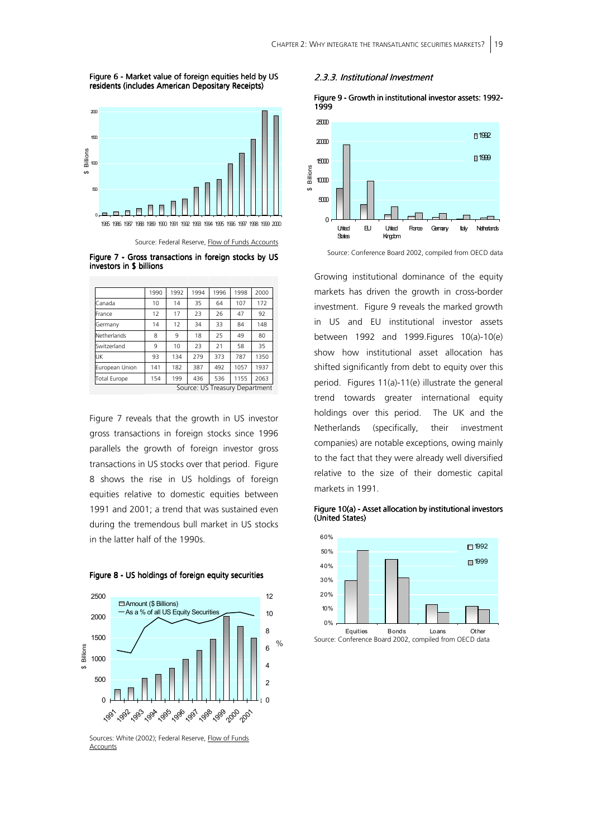<span id="page-18-0"></span>Figure 6 - Market value of foreign equities held by US residents (includes American Depositary Receipts)



Source: Federal Reserve, **Flow of Funds Accounts** 

Figure 7 - Gross transactions in foreign stocks by US investors in \$ billions

| 10<br>12<br>14 | 14<br>17<br>12 | 35<br>23<br>34 | 64<br>26<br>33 | 107<br>47<br>84 | 172<br>92<br>148               |
|----------------|----------------|----------------|----------------|-----------------|--------------------------------|
|                |                |                |                |                 |                                |
|                |                |                |                |                 |                                |
|                |                |                |                |                 |                                |
| 8              | 9              | 18             | 25             | 49              | 80                             |
| 9              | 10             | 23             | 21             | 58              | 35                             |
| 93             | 134            | 279            | 373            | 787             |                                |
| 141            | 182            | 387            | 492            | 1057            | 1937                           |
| 154            | 199            | 436            | 536            | 1155            | 2063                           |
|                |                |                |                |                 | Source: US Treasury Department |

Figure 7 reveals that the growth in US investor gross transactions in foreign stocks since 1996 parallels the growth of foreign investor gross transactions in US stocks over that period. Figure 8 shows the rise in US holdings of foreign equities relative to domestic equities between 1991 and 2001; a trend that was sustained even during the tremendous bull market in US stocks in the latter half of the 1990s.





Sources: White (2002); Federal Reserve, Flow of Funds Accounts

#### 2.3.3. Institutional Investment





Source: Conference Board 2002, compiled from OECD data

Growing institutional dominance of the equity markets has driven the growth in cross-border investment. Figure 9 reveals the marked growth in US and EU institutional investor assets between 1992 and 1999.Figures 10(a)-10(e) show how institutional asset allocation has shifted significantly from debt to equity over this period. Figures 11(a)-11(e) illustrate the general trend towards greater international equity holdings over this period. The UK and the Netherlands (specifically, their investment companies) are notable exceptions, owing mainly to the fact that they were already well diversified relative to the size of their domestic capital markets in 1991.

Figure 10(a) - Asset allocation by institutional investors (United States)

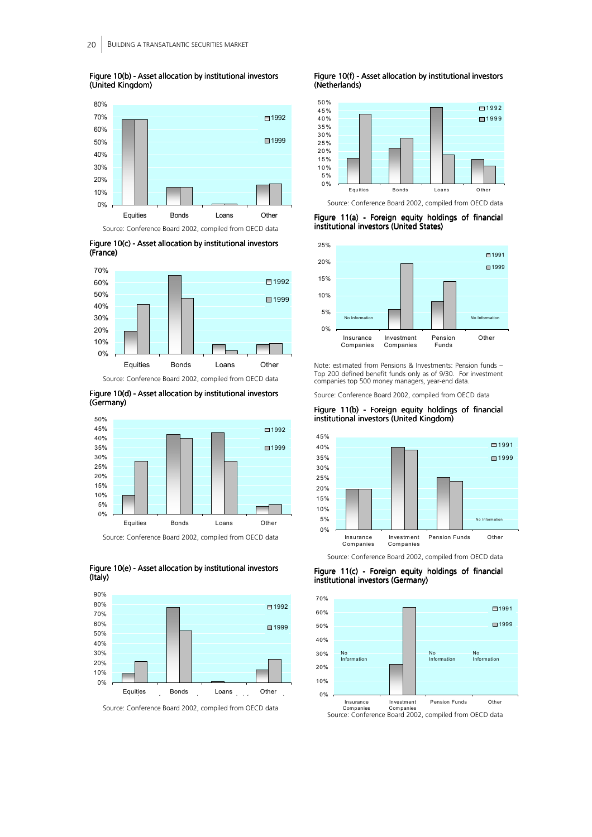<span id="page-19-0"></span>Figure 10(b) - Asset allocation by institutional investors (United Kingdom)



Source: Conference Board 2002, compiled from OECD data

Figure 10(c) - Asset allocation by institutional investors (France)



Figure 10(d) - Asset allocation by institutional investors (Germany)



Source: Conference Board 2002, compiled from OECD data





Source: Conference Board 2002, compiled from OECD data

#### Figure 10(f) - Asset allocation by institutional investors (Netherlands) (Netherlands)



Figure 11(a) - Foreign equity holdings of financial institutional investors (United States)



Note: estimated from Pensions & Investments: Pension funds — Top 200 defined benefit funds only as of 9/30. For investment companies top 500 money managers, year-end data.

Source: Conference Board 2002, compiled from OECD data

Figure 11(b) - Foreign equity holdings of financial institutional investors (United Kingdom)



Figure 11(c) - Foreign equity holdings of financial institutional investors (Germany) (Germany)

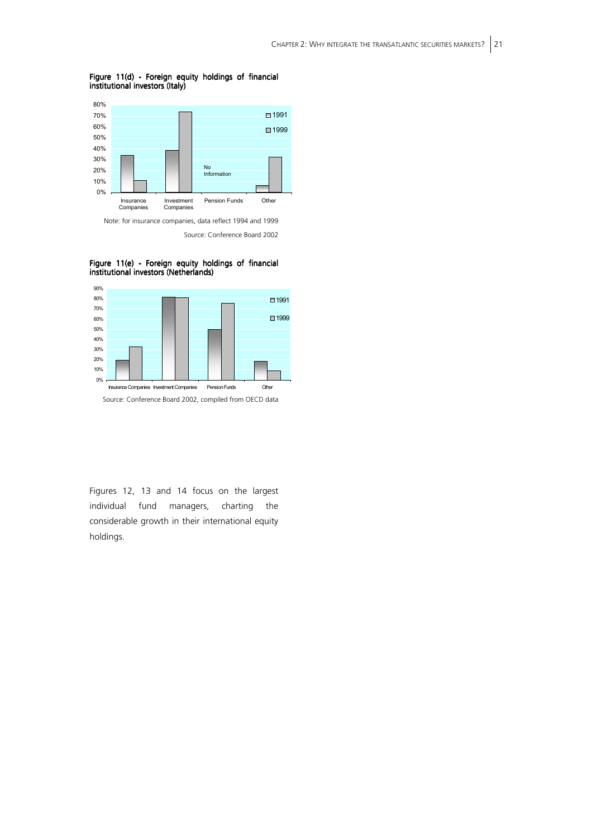<span id="page-20-0"></span>



Note: for insurance companies, data reflect 1994 and 1999 Source: Conference Board 2002

Figure 11(e) - Foreign equity holdings of financial institutional investors (Netherlands)



Figures 12, 13 and 14 focus on the largest individual fund managers, charting the considerable growth in their international equity holdings.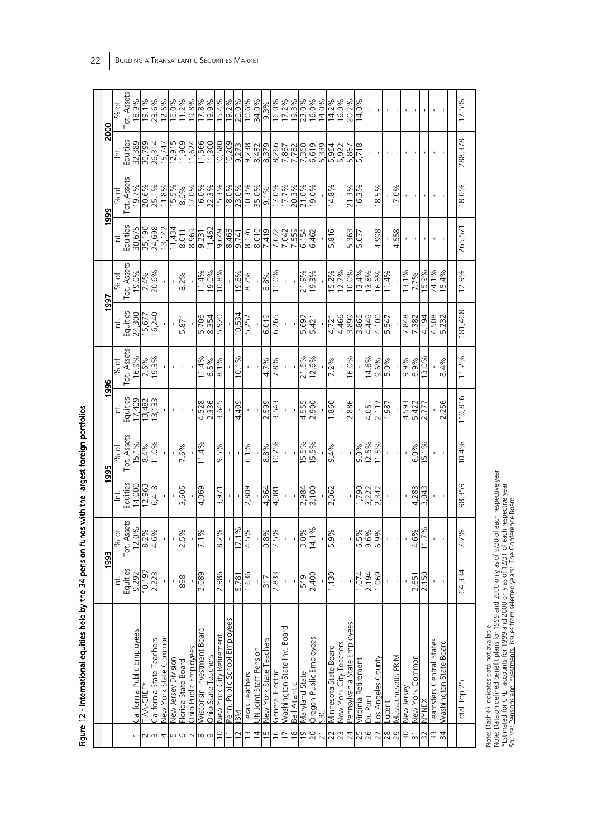<span id="page-21-0"></span>

|                          |                                    |              |                                       |                | 1995           |              |              | <u>1997</u>            |                |             | <b>999</b>              | $\overline{2000}$         |                |
|--------------------------|------------------------------------|--------------|---------------------------------------|----------------|----------------|--------------|--------------|------------------------|----------------|-------------|-------------------------|---------------------------|----------------|
|                          |                                    | ن<br>ا       | % of<br>1993                          |                | % of           | 966<br>だ     | % of         | ان<br>ا                | % of           |             | % of                    | だ                         | % of           |
|                          |                                    |              |                                       | اً<br>ا        |                |              |              |                        |                | Ë           |                         |                           |                |
|                          |                                    | Equities     | Tot. Assets<br>12.0%                  | Equities       | Tot. Assets    | Equities     | Tot. Assets  | Equities               | Tot. Assets    | Equities    | Tot. Assets             | Equities                  | Tot. Assets    |
|                          | California Public Employees        | 9.292        |                                       | 14.000         | 5.1%           | 17.409       | 6.9%         | 24.300                 | 19.0%          | 30.675      | 19.7%                   | 32.389                    | 18.9%          |
|                          | <b>IAA-CREF*</b>                   | 10,197       | 8.2%<br>4.6%                          | 12,963         | 8.4%           | 13,482       | 7.6%         | 15,677                 | 7.4%           | 35,190      | 20.6%                   | 30,799                    | 19.1%          |
| $\infty$                 | california State Teachers          | 2.223        |                                       | 6,418          | 11.0%          | 13,133       | 19.3%        | 16,240                 | 20.6%          | 24,698      | 25.1%                   | 26,314                    | 23.6%          |
| 4                        | <b>Jew York State Common</b>       | $\mathbf{I}$ | $\mathbf{I}$                          | $\mathbf{r}$   |                |              |              | $\mathbf{L}$           | $\mathbf{r}$   | 13,142      | 11.8%                   | 15,747                    | 12.6%          |
| $\frac{1}{2}$            | <b>New Jersey Division</b>         | ı            |                                       |                |                | тJ           |              |                        |                | 11.434      | 15.5%                   | 12,915<br>11,909          | 16.0%          |
|                          | Florida State Board                | 898          | 2.5%                                  | 3,605          | 7.6%           |              |              | 5,871                  | 8.2%           | 8,011       | 8.6%                    |                           | 11.2%          |
|                          | Ohio Public Employees              |              |                                       |                |                |              |              |                        |                | 8,969       | 17.0%                   | 11,624                    | 19.8%          |
| $\infty$                 | Wisconsin Investment Board         | 2,089        | 7.1%                                  | 4,069          | 11.4%          | 4,528        | 11.4%        | 5,706                  | 11.4%          | 9,231       | 16.0%                   | 11,566                    | 17.8%          |
| $\mathbb O$              | <b>Ohio State Teachers</b>         |              |                                       |                |                | 2,336        | 6.5%         | 8,354                  | 19.0%          | 1,462       | 22.3%                   | 11,300                    | 19.9%          |
| $\overline{0}$           | New York City Retirement           | 2,986        | 8.2%                                  | 3,971          | 9.5%           | 3,645        | 8.1%         | 5,920                  | 10.8%          | 9,649       | 15.3%                   | 10,580                    | 15.4%          |
| $\overline{\phantom{0}}$ | Penn. Public School Employees      |              |                                       | $\mathbf{I}$   |                |              |              |                        |                | 8,463       | 18.0%                   | 10,209                    | 19.2%          |
| $\overline{c}$           | IBM                                | 5,781        | $\frac{17.1\%}{4.5\%}$                | $\blacksquare$ | $\blacksquare$ | 4,409        | 10.1%        | $\frac{10,534}{5,252}$ | 19.8%          | 9,741       | 23.0%<br>10.3%<br>35.0% | 9,273                     | 20.0%          |
| $\tilde{1}$              | Texas Teachers                     | 1,636        |                                       | 2,809          | 6.1%           | $\mathbf{r}$ | $\mathbf{r}$ |                        | 8.2%           | 8,176       |                         | 9,238                     | 10.6%          |
| $\overline{4}$           | JN Joint Staff Pension             |              |                                       |                |                |              |              |                        |                | 8,010       |                         | 8,432                     | 34.0%          |
| $\overline{1}$           | <b>New York State Teachers</b>     | 317          | 0.8%<br>7.5%                          | 4,364          | 8.8%           | 2,599        | 4.7%         | 6,019                  | 8.8%           | 7,419       | 9.1%                    | 8,379                     | 9.3%           |
| $\frac{6}{1}$            | General Electric                   | 2,833        |                                       | 4,081          | 10.2%          | 3,543        | 7.8%         | 6,265                  | 11.0%          | 7,672       | 17.0%                   | 8,266                     | 16.0%          |
|                          | <b>Nashington State Inv. Board</b> | $\mathbf{r}$ | $\mathbf{I}$                          | $\mathbf{r}$   |                | $\mathbf{r}$ | $\mathbf{r}$ | $\bar{\mathbf{r}}$     | $\mathbf{r}$   | 7,042       | 17.7%                   | 7,867                     | 17.2%          |
| $\frac{8}{1}$            | <b>Bell Atlantic</b>               |              |                                       |                |                |              |              |                        |                | <b>655/</b> | 20.3%                   | 7,782                     | 19.3%          |
| $\overline{0}$           | Maryland State                     | 519          | $\frac{3.0\%}{14.1\%}$                | 2,984          | 15.5%          | 4,555        | 21.6%        | 5,697                  | 21.9%          | 6,154       | 21.0%                   | 7,360                     | 23.0%          |
| 20                       | Oregon Public Employees            | 2,400        |                                       | 3,100          | 15.5%          | 2,900        | 12.6%        | 5,421                  | 19.3%          | 6,462       | 19.0%                   | 6,619                     | 16.0%          |
| $\overline{21}$          | SBC                                |              |                                       |                |                |              |              |                        |                |             |                         | 6,339                     | 14.0%          |
| 22                       | Minnesota State Board              | 1,130        | 5.9%                                  | 2,062          | 9.4%           | 1,860        | 7.2%         | 4,721                  | 15.2%          | 5,816       | 14.8%                   | 5,964                     | 14.2%          |
| 23                       | <b>New York City Teachers</b>      |              | $\mathsf{I}\hspace{-1.5pt}\mathsf{I}$ | $\mathbf{r}$   |                |              |              | 4,466<br>3,899         | 12.7%          |             |                         | 5,922<br>5,867            | 16.0%<br>20.2% |
| 24                       | Pennsylvania State Employees       |              |                                       | $\mathbf{I}$   |                | 2,886        | 16.0%        |                        | 10.0%          | 5,363       | 21.3%                   |                           |                |
| 25                       | Virginia Retirement                | 1.074        | 6.5%<br>9.6%<br>6.9%                  | 1,790          | 9.0%           |              |              | 3,866                  | 13.4%          | 5,677       | 16.3%                   | 5,718                     | 14.0%          |
| 26                       | <b>Ju Pont</b>                     | 2,194        |                                       | 3,222          | 12.5%          | 4,051        | 14.6%        | 4,449                  | 13.8%          |             |                         | $\mathbf{r}$              | $\bar{\rm I}$  |
| 27                       | os Angeles County.                 | 1,069        |                                       | 2,342          | 11.5%          | 2,11         | 9.6%         | 4,100                  | 16.6%          | 998<br>4.   | 18.5%                   | $\mathbf{I}$              | $\mathbf{I}$   |
| 28                       | ucent.                             | ı.           | I,                                    | $\mathbf{I}$   |                | 1,987        | 5.0%         | 5,547                  | 11.4%          |             |                         | $\mathbf{I}$              | $\mathbf{I}$   |
| 29                       | Vlassachusetts PRIM                |              | $\blacksquare$                        | $\mathbf{L}$   |                |              |              |                        |                | 4,558       | 17.0%                   | $\mathbf{L}_{\mathrm{c}}$ |                |
| 90                       | <b>Vew Jersey</b>                  | ï            |                                       | $\bar{1}$      |                | 4,593        | 9.9%<br>6.9% | 7,848<br>7,382         | 13.1%          |             |                         | $\blacksquare$            |                |
| $\overline{5}$           | <b>New York Common</b>             | 2,651        |                                       | 4,283          | 6.0%           | 5,422        |              |                        | 7.7%           |             |                         |                           |                |
| 33 <sup>2</sup>          | NYNEX                              | 2,150        | 4.6%<br>11.7%<br>$\frac{1}{11}$       | 3,043          | 15.1%          | 2,777        | 13.0%        | 4,194<br>4,508         | 15.9%<br>24.1% |             |                         |                           |                |
|                          | eamsters Central States            |              | ı                                     | $\mathbf{I}$   |                |              |              |                        |                |             |                         |                           |                |
| $\overline{5}$           | Washington State Board             | $\mathbf{I}$ |                                       |                |                | 2,256        | 8.4%         | 5,232                  | 15.4%          |             |                         |                           |                |
|                          |                                    |              |                                       |                |                |              |              |                        |                |             |                         |                           |                |
|                          | Total Top 25                       | 64,334       | $\approx$<br>7.7                      | 98,359         | 10.4%          | 110,816      | 11.2%        | 81,468                 | 12.9%          | 265,571     | 8.0%                    | 288,378                   | 17.5%          |
|                          |                                    |              |                                       |                |                |              |              |                        |                |             |                         |                           |                |

Figure 12 - International equities held by the 34 pension funds with the largest foreign portfolios Figure 12 - International equities held by the 34 pension funds with the largest foreign portfolios

Note: Dash (-) indicates data not available

Note: Dash (-) indicates data not available<br>Note: Data on defined benefit plans for 1999 and 2000 only as of 9/30 of each respective year<br>\*Estimated for CREF accounts for 1999 and 2000 only as of 12/31 of each respective y Note: Data on defined benefit plans for 1999 and 2000 only as of 9/30 of each respective year \*Estimated for CREF accounts for 1999 and 2000 only as of 12/31 of each respective year Source: Pensions and Investments, issues from selected years: The Conference Board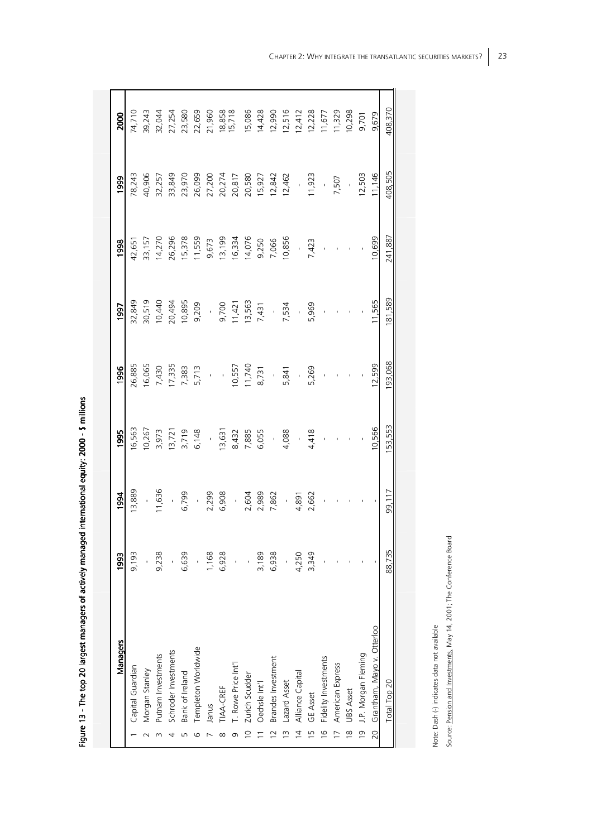<span id="page-22-0"></span>

|                | Managers                      | 1993   | 1994           | 1995           | 1996                     | 1997           | 1998           | 1999           | 2000             |
|----------------|-------------------------------|--------|----------------|----------------|--------------------------|----------------|----------------|----------------|------------------|
|                | Capital Guardian              | 9,193  | 13,889         | 16,563         | 26,885                   | 32,849         | 42,651         | 78,243         | 74,710           |
|                | Morgan Stanley                |        |                | 10,267         | 16,065                   | 30,519         | 33,157         | 40,906         | 39,243           |
|                | Putnam Investments            | 9,238  | 11,636         | 3,973          | 7,430                    | 10,440         | 14,270         | 32,257         | 32,044           |
|                | Schroder Investments          |        | $\overline{1}$ | 13,721         | 17,335                   | 20,494         | 26,296         | 33,849         | 27,254           |
|                | Bank of Ireland               | 6,639  | 6,799          | 3,719          | 7,383                    | 10,895         | 15,378         | 23,970         | 23,580           |
| ဖ              | Templeton Worldwide           |        |                | 6,148          | 5,713                    | 9,209          | 11,559         | 26,099         | 22,659           |
|                | Janus                         | 1,168  | 2,299          | $\overline{1}$ | $\overline{\phantom{a}}$ | $\frac{1}{2}$  | 9,673          | 27,200         | 21,960           |
| $^{\circ}$     | TIAA-CREF                     | 6,928  | 6,908          | 13,631         | $\frac{1}{2}$            | 9,700          | 13,199         | 20,274         | 18,858<br>15,718 |
|                | [. Rowe Price Int']           |        |                | 8,432          | 10,557                   | 1,421          | 16,334         | 20,817         |                  |
|                | Zurich Scudder                |        | 2,604          | 7,885          | 1,740                    | 13,563         | 14,076         | 20,580         | 15,086           |
|                | Oechsle Int'l                 | 3,189  | 2,989          | 6,055          | 8,731                    | 7,431          | 9,250          | 15,927         | 14,428           |
| $\sim$         | Brandes Investment            | 6,938  | 7,862          | $\frac{1}{2}$  | $\frac{1}{2}$            | J.             | 7,066          | 12,842         | 12,990           |
| $\frac{1}{2}$  | Lazard Asset                  |        | ï              | 4,088          | 5,841                    | 7,534          | 10,856         | 12,462         | 12,516           |
| $\overline{4}$ | Alliance Capital              | 4,250  | 4,891          | $\overline{1}$ | $\overline{\phantom{a}}$ | $\overline{1}$ | $\overline{1}$ | $\overline{1}$ | 12,412           |
| $\overline{E}$ | GE Asset                      | 3,349  | 2,662          | 4,418          | 5,269                    | 5,969          | 7,423          | 11,923         | 12,228           |
| $\frac{6}{2}$  | Fidelity Investments          |        |                |                |                          |                |                |                | 11,677           |
|                | American Express              |        | $\mathbf{u}$   |                |                          |                |                | 7,507          | 11,329           |
| $\frac{8}{18}$ | UBS Asset                     |        |                |                |                          |                |                | $\overline{1}$ | 10,298           |
|                | 19 J.P. Morgan Fleming        |        |                |                |                          |                |                | 12,503         | 9,701            |
|                | 20 Grantham, Mayo v. Otterloo |        |                | 10,566         | 12,599                   | 11,565         | 10,699         | 11,146         | 9,679            |
|                | Total Top 20                  | 88,735 | 99,117         | 153,553        | 193,068                  | 181,589        | 241,887        | 408,505        | 408,370          |
|                |                               |        |                |                |                          |                |                |                |                  |

Figure 13 - The top 20 largest managers of actively managed international equity: 2000 - \$ millions Figure 13 - The top 20 largest managers of actively managed international equity: 2000 - \$ millions

Note: Dash (-) indicates data not available Note: Dash (-) indicates data not available

Source: Pension and Investments, May 14, 2001; The Conference Board Source: Pension and Investments, May 14, 2001; The Conference Board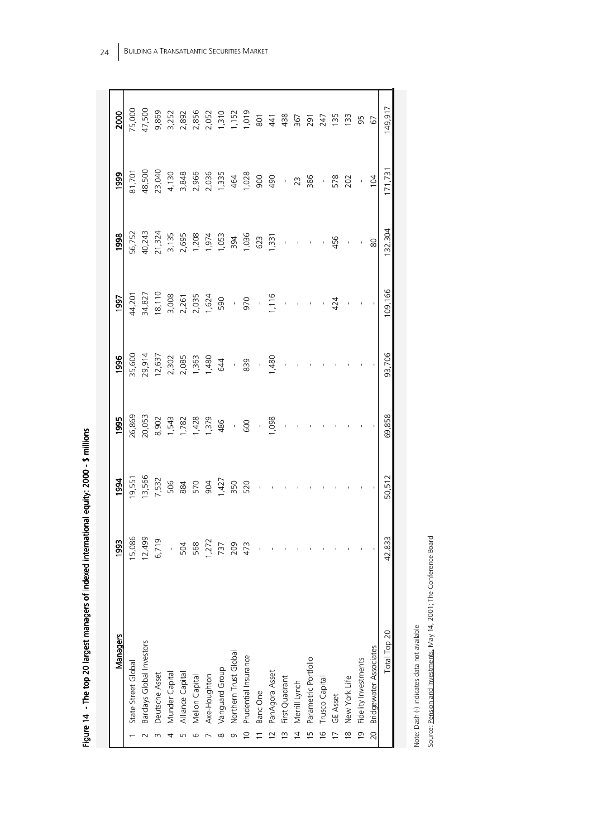<span id="page-23-0"></span>

| 2,856<br>2,052<br>1,310<br>1,152<br>801<br>441<br>367<br>291<br>247<br>135<br>133<br>95<br>67<br>48,500<br>23,040<br>171,73<br>4,130<br>81,701<br>3,848<br>2,966<br>2,036<br>1,028<br>900<br>1,335<br>464<br>490<br>386<br>578<br>202<br>104<br>23<br>$\overline{\phantom{a}}$<br>$\overline{\phantom{a}}$<br>132,304<br>40,243<br>21,324<br>56,752<br>3,135<br>1,036<br>2,695<br>1,208<br>1,974<br>1,053<br>1,331<br>623<br>394<br>456<br>80<br>109,166<br>18,110<br>34,827<br>3,008<br>1,116<br>44,201<br>2,035<br>1,624<br>2,261<br>590<br>$-970$<br>424<br>$\mathcal{A}$<br>93,706<br>35,600<br>29,914<br>12,637<br>2,302<br>2,085<br>1,363<br>1,480<br>1,480<br>644<br>839<br>$\overline{\phantom{a}}$<br>69,858<br>20,053<br>26,869<br>1,543<br>1,098<br>8,902<br>1,428<br>1,379<br>1,782<br>486<br>$\frac{1}{600}$<br>$\overline{\phantom{a}}$<br>13,566<br>50,512<br>19,551<br>7,532<br>506<br>1,427<br>570<br>904<br>350<br>884<br>520<br>15,086<br>12,499<br>42,833<br>6,719<br>1,272<br>504<br>568<br>737<br>209<br>473<br>Total Top 20<br>Barclays Global Investors<br><b>Bridgewater Associates</b><br>Northern Trust Global<br>Prudential Insurance<br>Parametric Portfolio<br>Fidelity Investments<br>State Street Global<br>Vanguard Group<br>PanAgora Asset<br>Munder Capital<br>Deutsche Asset<br>Alliance Capital<br>Axe-Houghton<br>Mellon Capital<br>New York Life<br>First Quadrant<br>Trusco Capital<br>Merrill Lynch<br>Banc One<br>GE Asset<br>$\overline{1}$<br>$\frac{8}{18}$<br>$\overline{6}$<br>$\frac{6}{2}$<br>$\overline{4}$<br>$\overline{20}$<br>$\frac{1}{2}$<br>$\frac{5}{2}$<br>$\overline{2}$<br>⊇ | Managers | 1993 | 1994 | 1995 | 1996 | 1997 | 1998 | 1999 | 2000    |
|-------------------------------------------------------------------------------------------------------------------------------------------------------------------------------------------------------------------------------------------------------------------------------------------------------------------------------------------------------------------------------------------------------------------------------------------------------------------------------------------------------------------------------------------------------------------------------------------------------------------------------------------------------------------------------------------------------------------------------------------------------------------------------------------------------------------------------------------------------------------------------------------------------------------------------------------------------------------------------------------------------------------------------------------------------------------------------------------------------------------------------------------------------------------------------------------------------------------------------------------------------------------------------------------------------------------------------------------------------------------------------------------------------------------------------------------------------------------------------------------------------------------------------------------------------------------------------------------------------------------------------------------|----------|------|------|------|------|------|------|------|---------|
|                                                                                                                                                                                                                                                                                                                                                                                                                                                                                                                                                                                                                                                                                                                                                                                                                                                                                                                                                                                                                                                                                                                                                                                                                                                                                                                                                                                                                                                                                                                                                                                                                                           |          |      |      |      |      |      |      |      | 75,000  |
|                                                                                                                                                                                                                                                                                                                                                                                                                                                                                                                                                                                                                                                                                                                                                                                                                                                                                                                                                                                                                                                                                                                                                                                                                                                                                                                                                                                                                                                                                                                                                                                                                                           |          |      |      |      |      |      |      |      | 47,500  |
|                                                                                                                                                                                                                                                                                                                                                                                                                                                                                                                                                                                                                                                                                                                                                                                                                                                                                                                                                                                                                                                                                                                                                                                                                                                                                                                                                                                                                                                                                                                                                                                                                                           |          |      |      |      |      |      |      |      | 9,869   |
|                                                                                                                                                                                                                                                                                                                                                                                                                                                                                                                                                                                                                                                                                                                                                                                                                                                                                                                                                                                                                                                                                                                                                                                                                                                                                                                                                                                                                                                                                                                                                                                                                                           |          |      |      |      |      |      |      |      | 3,252   |
|                                                                                                                                                                                                                                                                                                                                                                                                                                                                                                                                                                                                                                                                                                                                                                                                                                                                                                                                                                                                                                                                                                                                                                                                                                                                                                                                                                                                                                                                                                                                                                                                                                           |          |      |      |      |      |      |      |      | 2,892   |
|                                                                                                                                                                                                                                                                                                                                                                                                                                                                                                                                                                                                                                                                                                                                                                                                                                                                                                                                                                                                                                                                                                                                                                                                                                                                                                                                                                                                                                                                                                                                                                                                                                           |          |      |      |      |      |      |      |      |         |
|                                                                                                                                                                                                                                                                                                                                                                                                                                                                                                                                                                                                                                                                                                                                                                                                                                                                                                                                                                                                                                                                                                                                                                                                                                                                                                                                                                                                                                                                                                                                                                                                                                           |          |      |      |      |      |      |      |      |         |
|                                                                                                                                                                                                                                                                                                                                                                                                                                                                                                                                                                                                                                                                                                                                                                                                                                                                                                                                                                                                                                                                                                                                                                                                                                                                                                                                                                                                                                                                                                                                                                                                                                           |          |      |      |      |      |      |      |      |         |
|                                                                                                                                                                                                                                                                                                                                                                                                                                                                                                                                                                                                                                                                                                                                                                                                                                                                                                                                                                                                                                                                                                                                                                                                                                                                                                                                                                                                                                                                                                                                                                                                                                           |          |      |      |      |      |      |      |      |         |
|                                                                                                                                                                                                                                                                                                                                                                                                                                                                                                                                                                                                                                                                                                                                                                                                                                                                                                                                                                                                                                                                                                                                                                                                                                                                                                                                                                                                                                                                                                                                                                                                                                           |          |      |      |      |      |      |      |      | 1,019   |
|                                                                                                                                                                                                                                                                                                                                                                                                                                                                                                                                                                                                                                                                                                                                                                                                                                                                                                                                                                                                                                                                                                                                                                                                                                                                                                                                                                                                                                                                                                                                                                                                                                           |          |      |      |      |      |      |      |      |         |
|                                                                                                                                                                                                                                                                                                                                                                                                                                                                                                                                                                                                                                                                                                                                                                                                                                                                                                                                                                                                                                                                                                                                                                                                                                                                                                                                                                                                                                                                                                                                                                                                                                           |          |      |      |      |      |      |      |      |         |
|                                                                                                                                                                                                                                                                                                                                                                                                                                                                                                                                                                                                                                                                                                                                                                                                                                                                                                                                                                                                                                                                                                                                                                                                                                                                                                                                                                                                                                                                                                                                                                                                                                           |          |      |      |      |      |      |      |      | 438     |
|                                                                                                                                                                                                                                                                                                                                                                                                                                                                                                                                                                                                                                                                                                                                                                                                                                                                                                                                                                                                                                                                                                                                                                                                                                                                                                                                                                                                                                                                                                                                                                                                                                           |          |      |      |      |      |      |      |      |         |
|                                                                                                                                                                                                                                                                                                                                                                                                                                                                                                                                                                                                                                                                                                                                                                                                                                                                                                                                                                                                                                                                                                                                                                                                                                                                                                                                                                                                                                                                                                                                                                                                                                           |          |      |      |      |      |      |      |      |         |
|                                                                                                                                                                                                                                                                                                                                                                                                                                                                                                                                                                                                                                                                                                                                                                                                                                                                                                                                                                                                                                                                                                                                                                                                                                                                                                                                                                                                                                                                                                                                                                                                                                           |          |      |      |      |      |      |      |      |         |
|                                                                                                                                                                                                                                                                                                                                                                                                                                                                                                                                                                                                                                                                                                                                                                                                                                                                                                                                                                                                                                                                                                                                                                                                                                                                                                                                                                                                                                                                                                                                                                                                                                           |          |      |      |      |      |      |      |      |         |
|                                                                                                                                                                                                                                                                                                                                                                                                                                                                                                                                                                                                                                                                                                                                                                                                                                                                                                                                                                                                                                                                                                                                                                                                                                                                                                                                                                                                                                                                                                                                                                                                                                           |          |      |      |      |      |      |      |      |         |
|                                                                                                                                                                                                                                                                                                                                                                                                                                                                                                                                                                                                                                                                                                                                                                                                                                                                                                                                                                                                                                                                                                                                                                                                                                                                                                                                                                                                                                                                                                                                                                                                                                           |          |      |      |      |      |      |      |      |         |
|                                                                                                                                                                                                                                                                                                                                                                                                                                                                                                                                                                                                                                                                                                                                                                                                                                                                                                                                                                                                                                                                                                                                                                                                                                                                                                                                                                                                                                                                                                                                                                                                                                           |          |      |      |      |      |      |      |      |         |
|                                                                                                                                                                                                                                                                                                                                                                                                                                                                                                                                                                                                                                                                                                                                                                                                                                                                                                                                                                                                                                                                                                                                                                                                                                                                                                                                                                                                                                                                                                                                                                                                                                           |          |      |      |      |      |      |      |      | 149,917 |

Figure 14 - The top 20 largest managers of indexed international equity: 2000 - \$ millions Figure 14 - The top 20 largest managers of indexed international equity: 2000 - \$ millions

Note: Dash (-) indicates data not available Note: Dash (-) indicates data not available

Source: Pension and Investments, May 14, 2001; The Conference Board Source: Pension and Investments, May 14, 2001; The Conference Board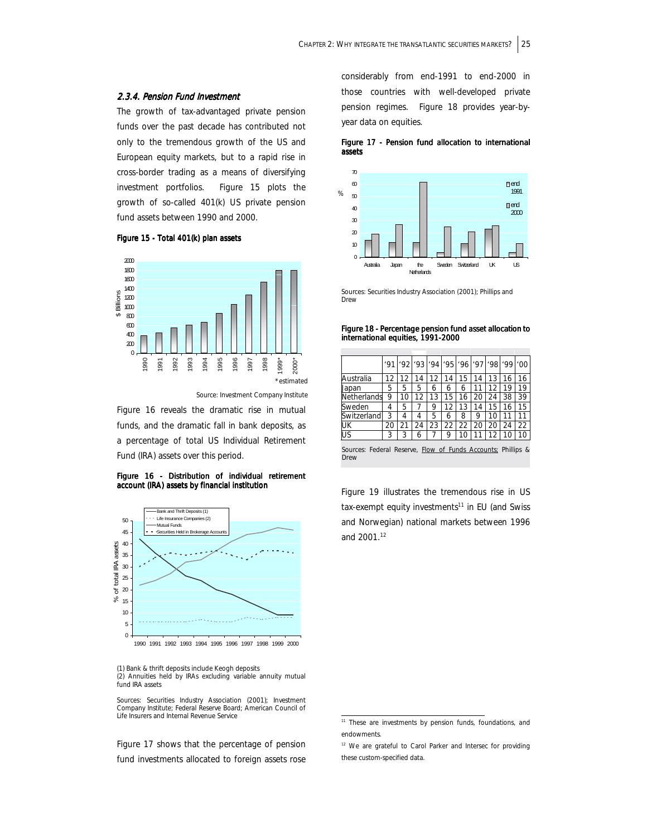#### 2.3.4. Pension Fund Investment

The growth of tax-advantaged private pension funds over the past decade has contributed not only to the tremendous growth of the US and European equity markets, but to a rapid rise in cross-border trading as a means of diversifying investment portfolios. Figure 15 plots the growth of so-called 401(k) US private pension fund assets between 1990 and 2000.





Source: Investment Company Institute

Figure 16 reveals the dramatic rise in mutual funds, and the dramatic fall in bank deposits, as a percentage of total US Individual Retirement Fund (IRA) assets over this period.





(1) Bank & thrift deposits include Keogh deposits (2) Annuities held by IRAs excluding variable annuity mutual fund IRA assets

Sources: Securities Industry Association (2001); Investment Company Institute; Federal Reserve Board; American Council of Life Insurers and Internal Revenue Service

Figure 17 shows that the percentage of pension fund investments allocated to foreign assets rose considerably from end-1991 to end-2000 in those countries with well-developed private pension regimes. Figure 18 provides year-byyear data on equities.

Figure 17 - Pension fund allocation to international assets



Sources: Securities Industry Association (2001); Phillips and Drew



|             | '91 | 92 | '93 | '94 | 95 | '96'97 |    | '98 | 99' | '00 |
|-------------|-----|----|-----|-----|----|--------|----|-----|-----|-----|
| Australia   | 12  | 2  | 4   | 12  | 14 | 15     | 14 | 13  | 16  | 16  |
| Japan       | 5   | 5  | 5   | 6   | 6  | 6      |    | 12  | 19  | 19  |
| Netherlands | 9   | 10 | 12  | 13  | 15 | 16     | 20 | 24  | 38  | 39  |
| Sweden      | 4   | 5  |     | 9   | 12 | 13     | 14 | 15  | 16  | 15  |
| Switzerland | 3   | 4  | 4   | 5   | 6  | 8      | 9  | 10  |     |     |
| UK          | 20  | 21 | 24  | 23  | 22 | 22     | 20 | 20  | 24  | 22  |
| US          | 3   | 3  | 6   |     | 9  | 10     |    | 2   | 10  | 10  |

Sources: Federal Reserve, Elow of Funds Accounts; Phillips & Drew

Figure 19 illustrates the tremendous rise in US  $tax\text{-}exempt\; equity\; investments<sup>11</sup>$  in EU (and Swiss and Norwegian) national markets between 1996 and 2001.12

These are investments by pension funds, foundations, and endowments.

<sup>&</sup>lt;sup>12</sup> We are grateful to Carol Parker and Intersec for providing these custom-specified data.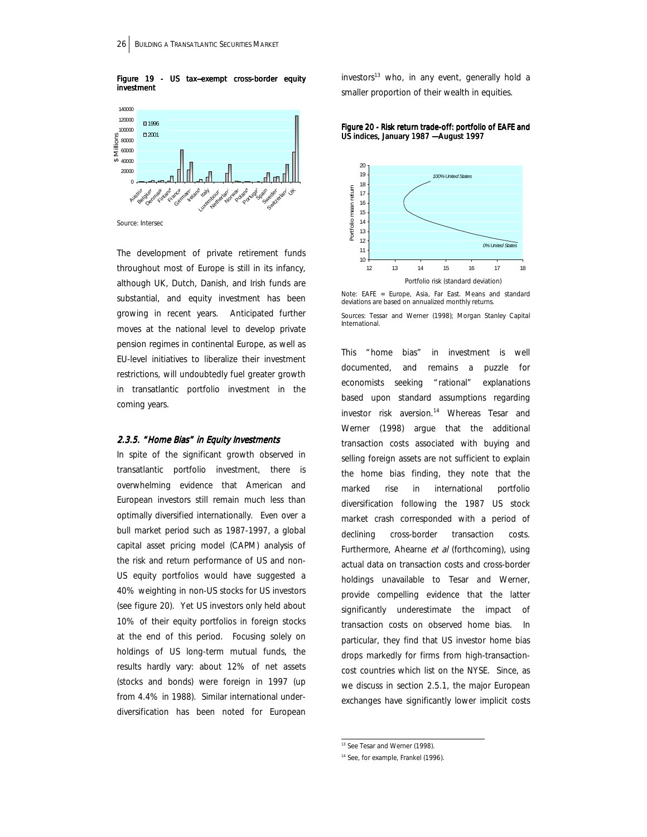<span id="page-25-0"></span>



The development of private retirement funds throughout most of Europe is still in its infancy, although UK, Dutch, Danish, and Irish funds are substantial, and equity investment has been growing in recent years. Anticipated further moves at the national level to develop private pension regimes in continental Europe, as well as EU-level initiatives to liberalize their investment restrictions, will undoubtedly fuel greater growth in transatlantic portfolio investment in the coming years.

#### 2.3.5. "Home Bias" in Equity Investments

In spite of the significant growth observed in transatlantic portfolio investment, there is overwhelming evidence that American and European investors still remain much less than optimally diversified internationally. Even over a bull market period such as 1987-1997, a global capital asset pricing model (CAPM) analysis of the risk and return performance of US and non-US equity portfolios would have suggested a 40% weighting in non-US stocks for US investors (see figure 20). Yet US investors only held about 10% of their equity portfolios in foreign stocks at the end of this period. Focusing solely on holdings of US long-term mutual funds, the results hardly vary: about 12% of net assets (stocks and bonds) were foreign in 1997 (up from 4.4% in 1988). Similar international underdiversification has been noted for European

investors<sup>13</sup> who, in any event, generally hold a smaller proportion of their wealth in equities.

#### Figure 20 - Risk return trade-off: portfolio of EAFE and US indices, January 1987 - August 1997



Note: EAFE = Europe, Asia, Far East. Means and standard deviations are based on annualized monthly returns.

This "home bias" in investment is well documented, and remains a puzzle for economists seeking "rational" explanations based upon standard assumptions regarding investor risk aversion.<sup>14</sup> Whereas Tesar and Werner (1998) argue that the additional transaction costs associated with buying and selling foreign assets are not sufficient to explain the home bias finding, they note that the marked rise in international portfolio diversification following the 1987 US stock market crash corresponded with a period of declining cross-border transaction costs. Furthermore, Ahearne et al (forthcoming), using actual data on transaction costs and cross-border holdings unavailable to Tesar and Werner, provide compelling evidence that the latter significantly underestimate the impact of transaction costs on observed home bias. In particular, they find that US investor home bias drops markedly for firms from high-transactioncost countries which list on the NYSE. Since, as we discuss in section 2.5.1, the major European exchanges have significantly lower implicit costs

Sources: Tessar and Werner (1998); Morgan Stanley Capital International.

<sup>&</sup>lt;sup>13</sup> See Tesar and Werner (1998).

<sup>&</sup>lt;sup>14</sup> See, for example, Frankel (1996).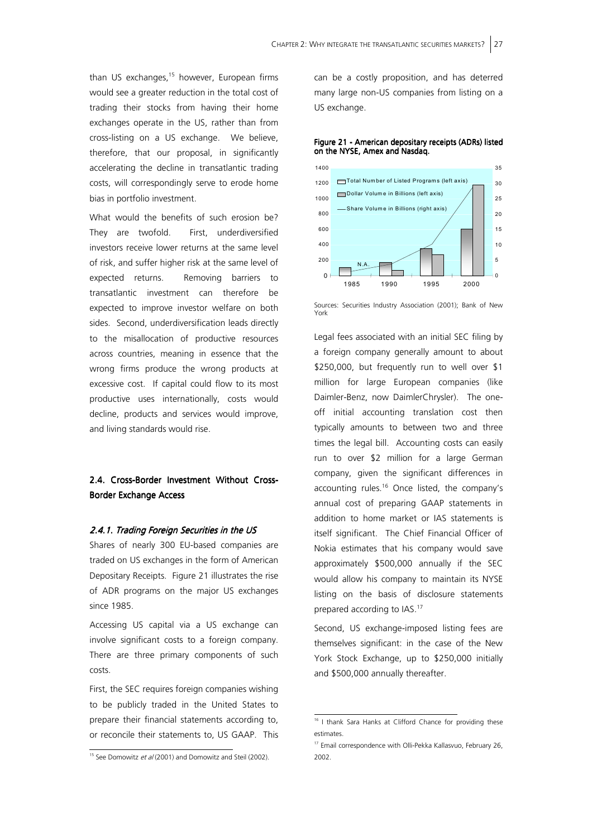<span id="page-26-0"></span>than US exchanges, $15$  however, European firms would see a greater reduction in the total cost of trading their stocks from having their home exchanges operate in the US, rather than from cross-listing on a US exchange. We believe, therefore, that our proposal, in significantly accelerating the decline in transatlantic trading costs, will correspondingly serve to erode home bias in portfolio investment.

What would the benefits of such erosion be? They are twofold. First, underdiversified investors receive lower returns at the same level of risk, and suffer higher risk at the same level of expected returns. Removing barriers to transatlantic investment can therefore be expected to improve investor welfare on both sides. Second, underdiversification leads directly to the misallocation of productive resources across countries, meaning in essence that the wrong firms produce the wrong products at excessive cost. If capital could flow to its most productive uses internationally, costs would decline, products and services would improve, and living standards would rise.

### 2.4. Cross-Border Investment Without Cross-Border Exchange Access

### 2.4.1. Trading Foreign Securities in the US

Shares of nearly 300 EU-based companies are traded on US exchanges in the form of American Depositary Receipts. Figure 21 illustrates the rise of ADR programs on the major US exchanges since 1985.

Accessing US capital via a US exchange can involve significant costs to a foreign company. There are three primary components of such costs.

First, the SEC requires foreign companies wishing to be publicly traded in the United States to prepare their financial statements according to, or reconcile their statements to, US GAAP. This can be a costly proposition, and has deterred many large non-US companies from listing on a US exchange.





Sources: Securities Industry Association (2001); Bank of New York

Legal fees associated with an initial SEC filing by a foreign company generally amount to about \$250,000, but frequently run to well over \$1 million for large European companies (like Daimler-Benz, now DaimlerChrysler). The oneoff initial accounting translation cost then typically amounts to between two and three times the legal bill. Accounting costs can easily run to over \$2 million for a large German company, given the significant differences in accounting rules.<sup>16</sup> Once listed, the company's annual cost of preparing GAAP statements in addition to home market or IAS statements is itself significant. The Chief Financial Officer of Nokia estimates that his company would save approximately \$500,000 annually if the SEC would allow his company to maintain its NYSE listing on the basis of disclosure statements prepared according to IAS.17

Second, US exchange-imposed listing fees are themselves significant: in the case of the New York Stock Exchange, up to \$250,000 initially and \$500,000 annually thereafter.

<sup>&</sup>lt;sup>15</sup> See Domowitz *et al* (2001) and Domowitz and Steil (2002).

<sup>&</sup>lt;sup>16</sup> I thank Sara Hanks at Clifford Chance for providing these estimates.

<sup>17</sup> Email correspondence with Olli-Pekka Kallasvuo, February 26, 2002.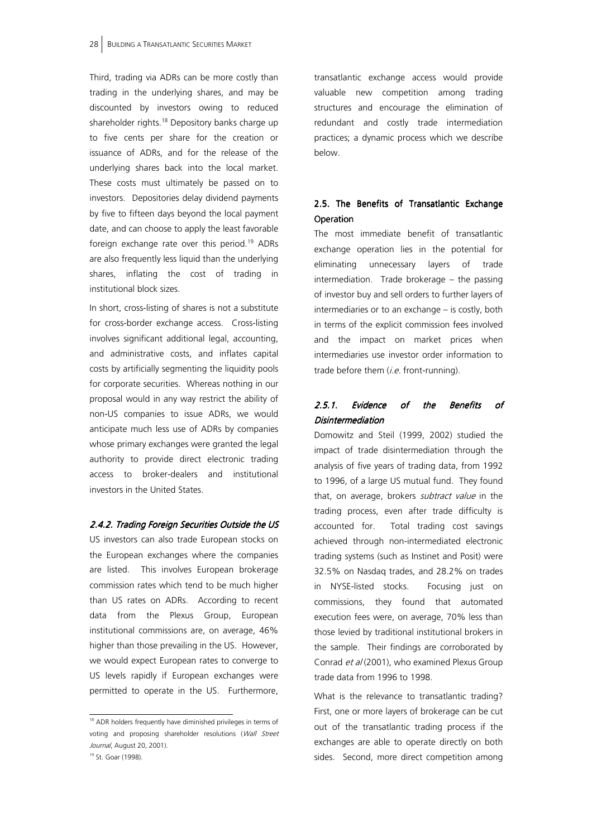<span id="page-27-0"></span>Third, trading via ADRs can be more costly than trading in the underlying shares, and may be discounted by investors owing to reduced shareholder rights.<sup>18</sup> Depository banks charge up to five cents per share for the creation or issuance of ADRs, and for the release of the underlying shares back into the local market. These costs must ultimately be passed on to investors. Depositories delay dividend payments by five to fifteen days beyond the local payment date, and can choose to apply the least favorable foreign exchange rate over this period.<sup>19</sup> ADRs are also frequently less liquid than the underlying shares, inflating the cost of trading in institutional block sizes.

In short, cross-listing of shares is not a substitute for cross-border exchange access. Cross-listing involves significant additional legal, accounting, and administrative costs, and inflates capital costs by artificially segmenting the liquidity pools for corporate securities. Whereas nothing in our proposal would in any way restrict the ability of non-US companies to issue ADRs, we would anticipate much less use of ADRs by companies whose primary exchanges were granted the legal authority to provide direct electronic trading access to broker-dealers and institutional investors in the United States.

#### 2.4.2. Trading Foreign Securities Outside the US

US investors can also trade European stocks on the European exchanges where the companies are listed. This involves European brokerage commission rates which tend to be much higher than US rates on ADRs. According to recent data from the Plexus Group, European institutional commissions are, on average, 46% higher than those prevailing in the US. However, we would expect European rates to converge to US levels rapidly if European exchanges were permitted to operate in the US. Furthermore,

19 St. Goar (1998).

transatlantic exchange access would provide valuable new competition among trading structures and encourage the elimination of redundant and costly trade intermediation practices; a dynamic process which we describe below.

### 2.5. The Benefits of Transatlantic Exchange **Operation**

The most immediate benefit of transatlantic exchange operation lies in the potential for eliminating unnecessary layers of trade intermediation. Trade brokerage — the passing of investor buy and sell orders to further layers of intermediaries or to an exchange — is costly, both in terms of the explicit commission fees involved and the impact on market prices when intermediaries use investor order information to trade before them  $(i.e.$  front-running).

### 2.5.1. Evidence of the Benefits of **Disintermediation**

Domowitz and Steil (1999, 2002) studied the impact of trade disintermediation through the analysis of five years of trading data, from 1992 to 1996, of a large US mutual fund. They found that, on average, brokers subtract value in the trading process, even after trade difficulty is accounted for. Total trading cost savings achieved through non-intermediated electronic trading systems (such as Instinet and Posit) were 32.5% on Nasdaq trades, and 28.2% on trades in NYSE-listed stocks. Focusing just on commissions, they found that automated execution fees were, on average, 70% less than those levied by traditional institutional brokers in the sample. Their findings are corroborated by Conrad et al (2001), who examined Plexus Group trade data from 1996 to 1998.

What is the relevance to transatlantic trading? First, one or more layers of brokerage can be cut out of the transatlantic trading process if the exchanges are able to operate directly on both sides. Second, more direct competition among

<sup>&</sup>lt;sup>18</sup> ADR holders frequently have diminished privileges in terms of voting and proposing shareholder resolutions (Wall Street Journal, August 20, 2001).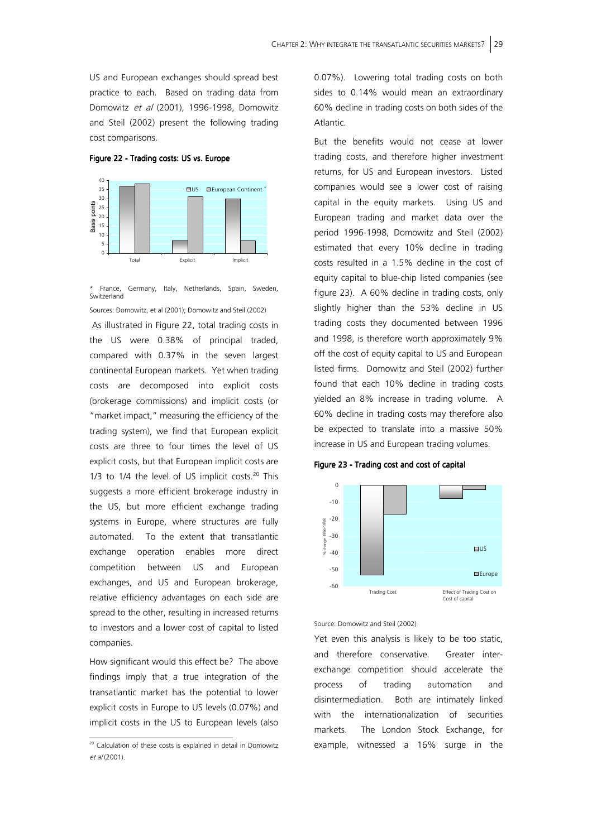<span id="page-28-0"></span>US and European exchanges should spread best practice to each. Based on trading data from Domowitz et al (2001), 1996-1998, Domowitz and Steil (2002) present the following trading cost comparisons.

Figure 22 - Trading costs: US vs. Europe



\* France, Germany, Italy, Netherlands, Spain, Sweden, **Switzerland** 

Sources: Domowitz, et al (2001); Domowitz and Steil (2002)

 As illustrated in Figure 22, total trading costs in the US were 0.38% of principal traded, compared with 0.37% in the seven largest continental European markets. Yet when trading costs are decomposed into explicit costs (brokerage commissions) and implicit costs (or "market impact," measuring the efficiency of the trading system), we find that European explicit costs are three to four times the level of US explicit costs, but that European implicit costs are 1/3 to 1/4 the level of US implicit costs. $20$  This suggests a more efficient brokerage industry in the US, but more efficient exchange trading systems in Europe, where structures are fully automated. To the extent that transatlantic exchange operation enables more direct competition between US and European exchanges, and US and European brokerage, relative efficiency advantages on each side are spread to the other, resulting in increased returns to investors and a lower cost of capital to listed companies.

How significant would this effect be? The above findings imply that a true integration of the transatlantic market has the potential to lower explicit costs in Europe to US levels (0.07%) and implicit costs in the US to European levels (also 0.07%). Lowering total trading costs on both sides to 0.14% would mean an extraordinary 60% decline in trading costs on both sides of the Atlantic.

But the benefits would not cease at lower trading costs, and therefore higher investment returns, for US and European investors. Listed companies would see a lower cost of raising capital in the equity markets. Using US and European trading and market data over the period 1996-1998, Domowitz and Steil (2002) estimated that every 10% decline in trading costs resulted in a 1.5% decline in the cost of equity capital to blue-chip listed companies (see figure 23). A 60% decline in trading costs, only slightly higher than the 53% decline in US trading costs they documented between 1996 and 1998, is therefore worth approximately 9% off the cost of equity capital to US and European listed firms. Domowitz and Steil (2002) further found that each 10% decline in trading costs yielded an 8% increase in trading volume. A 60% decline in trading costs may therefore also be expected to translate into a massive 50% increase in US and European trading volumes.





#### Source: Domowitz and Steil (2002)

Yet even this analysis is likely to be too static, and therefore conservative. Greater interexchange competition should accelerate the process of trading automation and disintermediation. Both are intimately linked with the internationalization of securities markets. The London Stock Exchange, for example, witnessed a 16% surge in the

 $20^{\circ}$  Calculation of these costs is explained in detail in Domowitz et al (2001).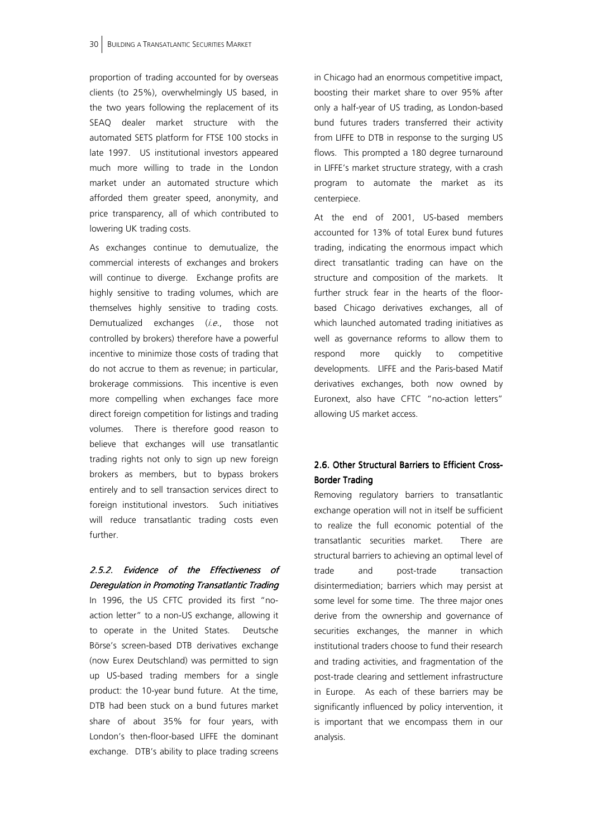<span id="page-29-0"></span>proportion of trading accounted for by overseas clients (to 25%), overwhelmingly US based, in the two years following the replacement of its SEAQ dealer market structure with the automated SETS platform for FTSE 100 stocks in late 1997. US institutional investors appeared much more willing to trade in the London market under an automated structure which afforded them greater speed, anonymity, and price transparency, all of which contributed to lowering UK trading costs.

As exchanges continue to demutualize, the commercial interests of exchanges and brokers will continue to diverge. Exchange profits are highly sensitive to trading volumes, which are themselves highly sensitive to trading costs. Demutualized exchanges (i.e., those not controlled by brokers) therefore have a powerful incentive to minimize those costs of trading that do not accrue to them as revenue; in particular, brokerage commissions. This incentive is even more compelling when exchanges face more direct foreign competition for listings and trading volumes. There is therefore good reason to believe that exchanges will use transatlantic trading rights not only to sign up new foreign brokers as members, but to bypass brokers entirely and to sell transaction services direct to foreign institutional investors. Such initiatives will reduce transatlantic trading costs even further.

## 2.5.2. Evidence of the Effectiveness of Deregulation in Promoting Transatlantic Trading

In 1996, the US CFTC provided its first "noaction letter" to a non-US exchange, allowing it to operate in the United States. Deutsche Börse's screen-based DTB derivatives exchange (now Eurex Deutschland) was permitted to sign up US-based trading members for a single product: the 10-year bund future. At the time, DTB had been stuck on a bund futures market share of about 35% for four years, with London's then-floor-based LIFFE the dominant exchange. DTB's ability to place trading screens in Chicago had an enormous competitive impact, boosting their market share to over 95% after only a half-year of US trading, as London-based bund futures traders transferred their activity from LIFFE to DTB in response to the surging US flows. This prompted a 180 degree turnaround in LIFFE's market structure strategy, with a crash program to automate the market as its centerpiece.

At the end of 2001, US-based members accounted for 13% of total Eurex bund futures trading, indicating the enormous impact which direct transatlantic trading can have on the structure and composition of the markets. It further struck fear in the hearts of the floorbased Chicago derivatives exchanges, all of which launched automated trading initiatives as well as governance reforms to allow them to respond more quickly to competitive developments. LIFFE and the Paris-based Matif derivatives exchanges, both now owned by Euronext, also have CFTC "no-action letters" allowing US market access.

## 2.6. Other Structural Barriers to Efficient Cross-**Border Trading**

Removing regulatory barriers to transatlantic exchange operation will not in itself be sufficient to realize the full economic potential of the transatlantic securities market. There are structural barriers to achieving an optimal level of trade and post-trade transaction disintermediation; barriers which may persist at some level for some time. The three major ones derive from the ownership and governance of securities exchanges, the manner in which institutional traders choose to fund their research and trading activities, and fragmentation of the post-trade clearing and settlement infrastructure in Europe. As each of these barriers may be significantly influenced by policy intervention, it is important that we encompass them in our analysis.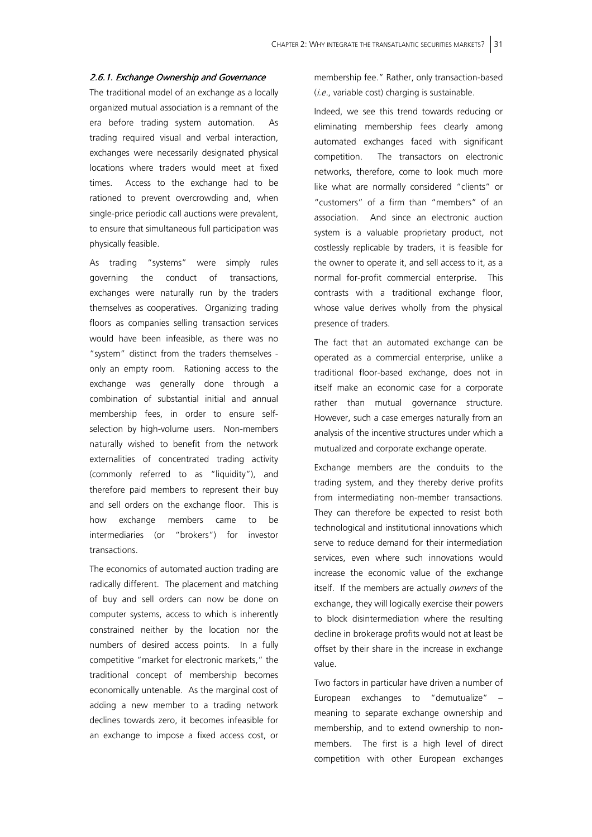#### <span id="page-30-0"></span>2.6.1. Exchange Ownership and Governance

The traditional model of an exchange as a locally organized mutual association is a remnant of the era before trading system automation. As trading required visual and verbal interaction, exchanges were necessarily designated physical locations where traders would meet at fixed times. Access to the exchange had to be rationed to prevent overcrowding and, when single-price periodic call auctions were prevalent, to ensure that simultaneous full participation was physically feasible.

As trading "systems" were simply rules governing the conduct of transactions, exchanges were naturally run by the traders themselves as cooperatives. Organizing trading floors as companies selling transaction services would have been infeasible, as there was no "system" distinct from the traders themselves only an empty room. Rationing access to the exchange was generally done through a combination of substantial initial and annual membership fees, in order to ensure selfselection by high-volume users. Non-members naturally wished to benefit from the network externalities of concentrated trading activity (commonly referred to as "liquidity"), and therefore paid members to represent their buy and sell orders on the exchange floor. This is how exchange members came to be intermediaries (or "brokers") for investor transactions.

The economics of automated auction trading are radically different. The placement and matching of buy and sell orders can now be done on computer systems, access to which is inherently constrained neither by the location nor the numbers of desired access points. In a fully competitive "market for electronic markets," the traditional concept of membership becomes economically untenable. As the marginal cost of adding a new member to a trading network declines towards zero, it becomes infeasible for an exchange to impose a fixed access cost, or membership fee." Rather, only transaction-based  $(i.e.,$  variable cost) charging is sustainable.

Indeed, we see this trend towards reducing or eliminating membership fees clearly among automated exchanges faced with significant competition. The transactors on electronic networks, therefore, come to look much more like what are normally considered "clients" or "customers" of a firm than "members" of an association. And since an electronic auction system is a valuable proprietary product, not costlessly replicable by traders, it is feasible for the owner to operate it, and sell access to it, as a normal for-profit commercial enterprise. This contrasts with a traditional exchange floor, whose value derives wholly from the physical presence of traders.

The fact that an automated exchange can be operated as a commercial enterprise, unlike a traditional floor-based exchange, does not in itself make an economic case for a corporate rather than mutual governance structure. However, such a case emerges naturally from an analysis of the incentive structures under which a mutualized and corporate exchange operate.

Exchange members are the conduits to the trading system, and they thereby derive profits from intermediating non-member transactions. They can therefore be expected to resist both technological and institutional innovations which serve to reduce demand for their intermediation services, even where such innovations would increase the economic value of the exchange itself. If the members are actually owners of the exchange, they will logically exercise their powers to block disintermediation where the resulting decline in brokerage profits would not at least be offset by their share in the increase in exchange value.

Two factors in particular have driven a number of European exchanges to "demutualize" meaning to separate exchange ownership and membership, and to extend ownership to nonmembers. The first is a high level of direct competition with other European exchanges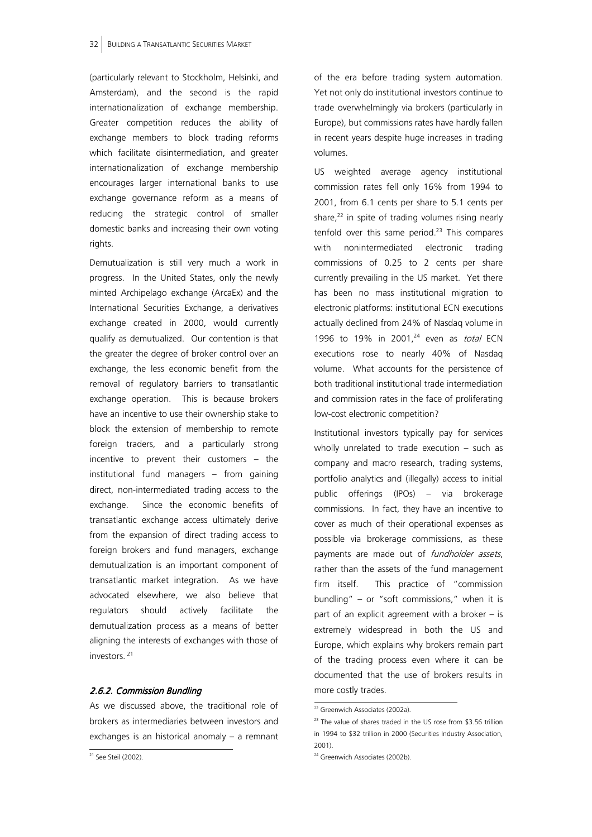<span id="page-31-0"></span>(particularly relevant to Stockholm, Helsinki, and Amsterdam), and the second is the rapid internationalization of exchange membership. Greater competition reduces the ability of exchange members to block trading reforms which facilitate disintermediation, and greater internationalization of exchange membership encourages larger international banks to use exchange governance reform as a means of reducing the strategic control of smaller domestic banks and increasing their own voting rights.

Demutualization is still very much a work in progress. In the United States, only the newly minted Archipelago exchange (ArcaEx) and the International Securities Exchange, a derivatives exchange created in 2000, would currently qualify as demutualized. Our contention is that the greater the degree of broker control over an exchange, the less economic benefit from the removal of regulatory barriers to transatlantic exchange operation. This is because brokers have an incentive to use their ownership stake to block the extension of membership to remote foreign traders, and a particularly strong incentive to prevent their customers — the institutional fund managers — from gaining direct, non-intermediated trading access to the exchange. Since the economic benefits of transatlantic exchange access ultimately derive from the expansion of direct trading access to foreign brokers and fund managers, exchange demutualization is an important component of transatlantic market integration. As we have advocated elsewhere, we also believe that regulators should actively facilitate the demutualization process as a means of better aligning the interests of exchanges with those of investors. 21

### 2.6.2. Commission Bundling

As we discussed above, the traditional role of brokers as intermediaries between investors and exchanges is an historical anomaly — a remnant

<sup>21</sup> See Steil (2002).

of the era before trading system automation. Yet not only do institutional investors continue to trade overwhelmingly via brokers (particularly in Europe), but commissions rates have hardly fallen in recent years despite huge increases in trading volumes.

US weighted average agency institutional commission rates fell only 16% from 1994 to 2001, from 6.1 cents per share to 5.1 cents per share, $22$  in spite of trading volumes rising nearly tenfold over this same period.<sup>23</sup> This compares with nonintermediated electronic trading commissions of 0.25 to 2 cents per share currently prevailing in the US market. Yet there has been no mass institutional migration to electronic platforms: institutional ECN executions actually declined from 24% of Nasdaq volume in 1996 to 19% in 2001, $24$  even as total ECN executions rose to nearly 40% of Nasdaq volume. What accounts for the persistence of both traditional institutional trade intermediation and commission rates in the face of proliferating low-cost electronic competition?

Institutional investors typically pay for services wholly unrelated to trade execution — such as company and macro research, trading systems, portfolio analytics and (illegally) access to initial public offerings (IPOs) — via brokerage commissions. In fact, they have an incentive to cover as much of their operational expenses as possible via brokerage commissions, as these payments are made out of *fundholder assets*, rather than the assets of the fund management firm itself. This practice of "commission bundling" — or "soft commissions," when it is part of an explicit agreement with a broker — is extremely widespread in both the US and Europe, which explains why brokers remain part of the trading process even where it can be documented that the use of brokers results in more costly trades.

 $\frac{22}{2}$  Greenwich Associates (2002a).

 $23$  The value of shares traded in the US rose from \$3.56 trillion in 1994 to \$32 trillion in 2000 (Securities Industry Association, 2001).

<sup>&</sup>lt;sup>24</sup> Greenwich Associates (2002b).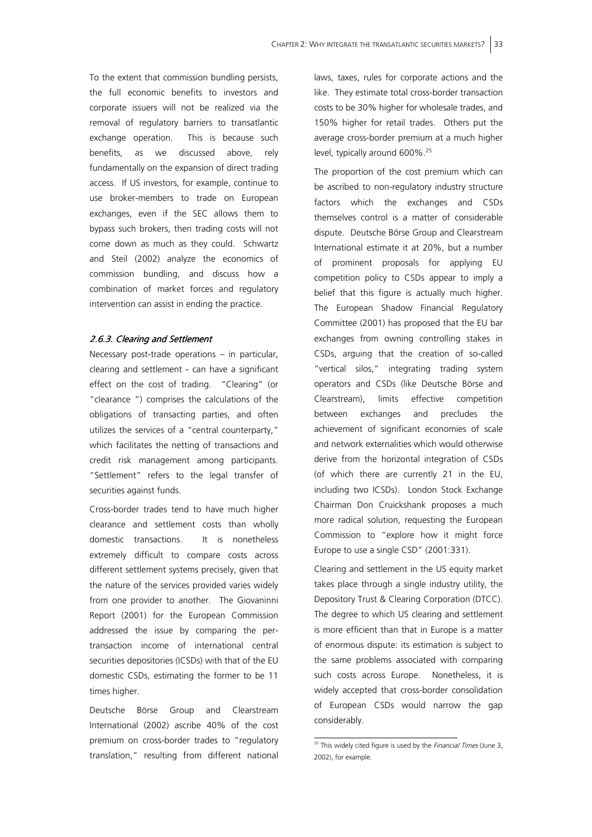<span id="page-32-0"></span>To the extent that commission bundling persists, the full economic benefits to investors and corporate issuers will not be realized via the removal of regulatory barriers to transatlantic exchange operation. This is because such benefits, as we discussed above, rely fundamentally on the expansion of direct trading access. If US investors, for example, continue to use broker-members to trade on European exchanges, even if the SEC allows them to bypass such brokers, then trading costs will not come down as much as they could. Schwartz and Steil (2002) analyze the economics of commission bundling, and discuss how a combination of market forces and regulatory intervention can assist in ending the practice.

#### 2.6.3. Clearing and Settlement

Necessary post-trade operations — in particular, clearing and settlement - can have a significant effect on the cost of trading. "Clearing" (or "clearance ") comprises the calculations of the obligations of transacting parties, and often utilizes the services of a "central counterparty," which facilitates the netting of transactions and credit risk management among participants. "Settlement" refers to the legal transfer of securities against funds.

Cross-border trades tend to have much higher clearance and settlement costs than wholly domestic transactions. It is nonetheless extremely difficult to compare costs across different settlement systems precisely, given that the nature of the services provided varies widely from one provider to another. The Giovaninni Report (2001) for the European Commission addressed the issue by comparing the pertransaction income of international central securities depositories (ICSDs) with that of the EU domestic CSDs, estimating the former to be 11 times higher.

Deutsche Börse Group and Clearstream International (2002) ascribe 40% of the cost premium on cross-border trades to "regulatory translation," resulting from different national laws, taxes, rules for corporate actions and the like. They estimate total cross-border transaction costs to be 30% higher for wholesale trades, and 150% higher for retail trades. Others put the average cross-border premium at a much higher level, typically around 600%.<sup>25</sup>

The proportion of the cost premium which can be ascribed to non-regulatory industry structure factors which the exchanges and CSDs themselves control is a matter of considerable dispute. Deutsche Börse Group and Clearstream International estimate it at 20%, but a number of prominent proposals for applying EU competition policy to CSDs appear to imply a belief that this figure is actually much higher. The European Shadow Financial Regulatory Committee (2001) has proposed that the EU bar exchanges from owning controlling stakes in CSDs, arguing that the creation of so-called "vertical silos," integrating trading system operators and CSDs (like Deutsche Börse and Clearstream), limits effective competition between exchanges and precludes the achievement of significant economies of scale and network externalities which would otherwise derive from the horizontal integration of CSDs (of which there are currently 21 in the EU, including two ICSDs). London Stock Exchange Chairman Don Cruickshank proposes a much more radical solution, requesting the European Commission to "explore how it might force Europe to use a single CSD" (2001:331).

Clearing and settlement in the US equity market takes place through a single industry utility, the Depository Trust & Clearing Corporation (DTCC). The degree to which US clearing and settlement is more efficient than that in Europe is a matter of enormous dispute: its estimation is subject to the same problems associated with comparing such costs across Europe. Nonetheless, it is widely accepted that cross-border consolidation of European CSDs would narrow the gap considerably.

 $^{25}$  This widely cited figure is used by the *Financial Times* (June 3, 2002), for example.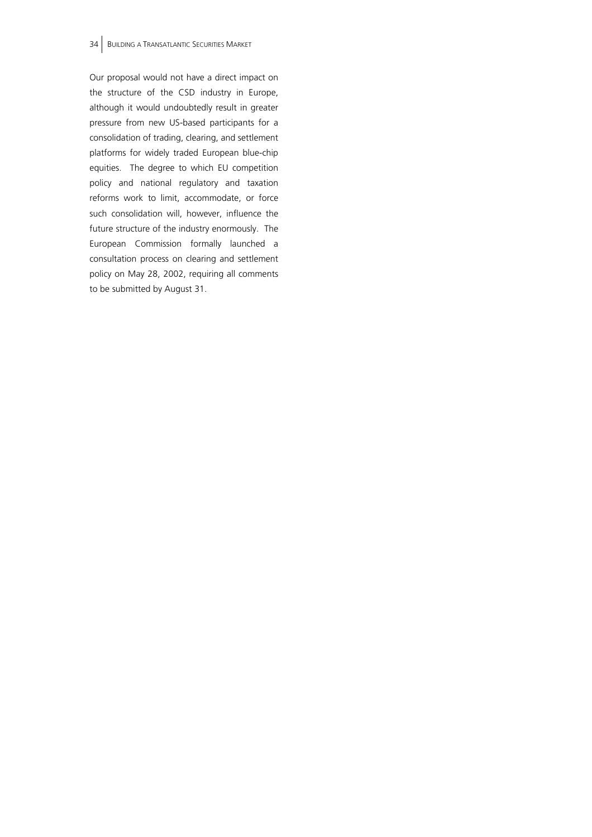Our proposal would not have a direct impact on the structure of the CSD industry in Europe, although it would undoubtedly result in greater pressure from new US-based participants for a consolidation of trading, clearing, and settlement platforms for widely traded European blue-chip equities. The degree to which EU competition policy and national regulatory and taxation reforms work to limit, accommodate, or force such consolidation will, however, influence the future structure of the industry enormously. The European Commission formally launched a consultation process on clearing and settlement policy on May 28, 2002, requiring all comments to be submitted by August 31.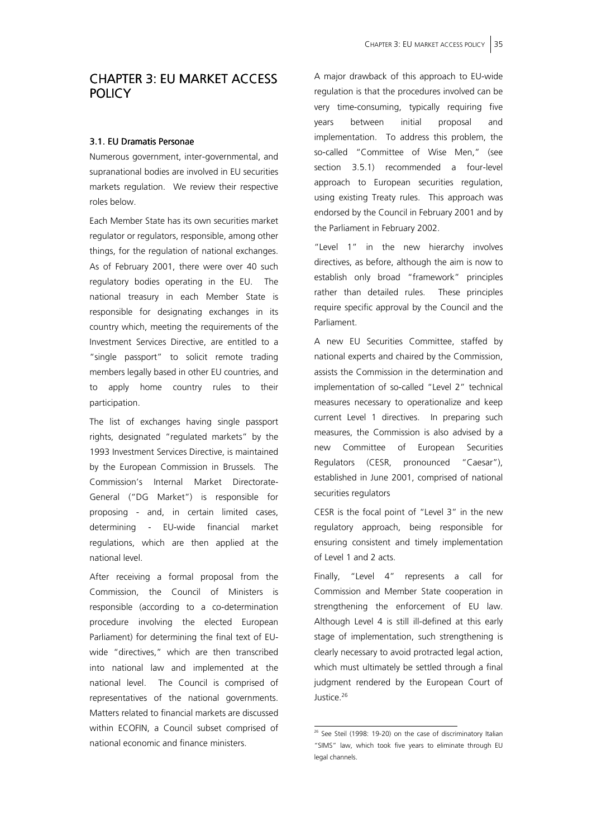# <span id="page-34-0"></span>**CHAPTER 3: EU MARKET ACCESS POLICY**

#### 3.1. EU Dramatis Personae

Numerous government, inter-governmental, and supranational bodies are involved in EU securities markets regulation. We review their respective roles below.

Each Member State has its own securities market regulator or regulators, responsible, among other things, for the regulation of national exchanges. As of February 2001, there were over 40 such regulatory bodies operating in the EU. The national treasury in each Member State is responsible for designating exchanges in its country which, meeting the requirements of the Investment Services Directive, are entitled to a "single passport" to solicit remote trading members legally based in other EU countries, and to apply home country rules to their participation.

The list of exchanges having single passport rights, designated "regulated markets" by the 1993 Investment Services Directive, is maintained by the European Commission in Brussels. The Commission's Internal Market Directorate-General ("DG Market") is responsible for proposing - and, in certain limited cases, determining - EU-wide financial market regulations, which are then applied at the national level.

After receiving a formal proposal from the Commission, the Council of Ministers is responsible (according to a co-determination procedure involving the elected European Parliament) for determining the final text of EUwide "directives," which are then transcribed into national law and implemented at the national level. The Council is comprised of representatives of the national governments. Matters related to financial markets are discussed within ECOFIN, a Council subset comprised of national economic and finance ministers.

A major drawback of this approach to EU-wide regulation is that the procedures involved can be very time-consuming, typically requiring five years between initial proposal and implementation. To address this problem, the so-called "Committee of Wise Men," (see section 3.5.1) recommended a four-level approach to European securities regulation, using existing Treaty rules. This approach was endorsed by the Council in February 2001 and by the Parliament in February 2002.

"Level 1" in the new hierarchy involves directives, as before, although the aim is now to establish only broad "framework" principles rather than detailed rules. These principles require specific approval by the Council and the Parliament.

A new EU Securities Committee, staffed by national experts and chaired by the Commission, assists the Commission in the determination and implementation of so-called "Level 2" technical measures necessary to operationalize and keep current Level 1 directives. In preparing such measures, the Commission is also advised by a new Committee of European Securities Regulators (CESR, pronounced "Caesar"), established in June 2001, comprised of national securities regulators

CESR is the focal point of "Level 3" in the new regulatory approach, being responsible for ensuring consistent and timely implementation of Level 1 and 2 acts.

Finally, "Level 4" represents a call for Commission and Member State cooperation in strengthening the enforcement of EU law. Although Level 4 is still ill-defined at this early stage of implementation, such strengthening is clearly necessary to avoid protracted legal action, which must ultimately be settled through a final judgment rendered by the European Court of Justice.26

 $26$  See Steil (1998: 19-20) on the case of discriminatory Italian "SIMS" law, which took five years to eliminate through EU legal channels.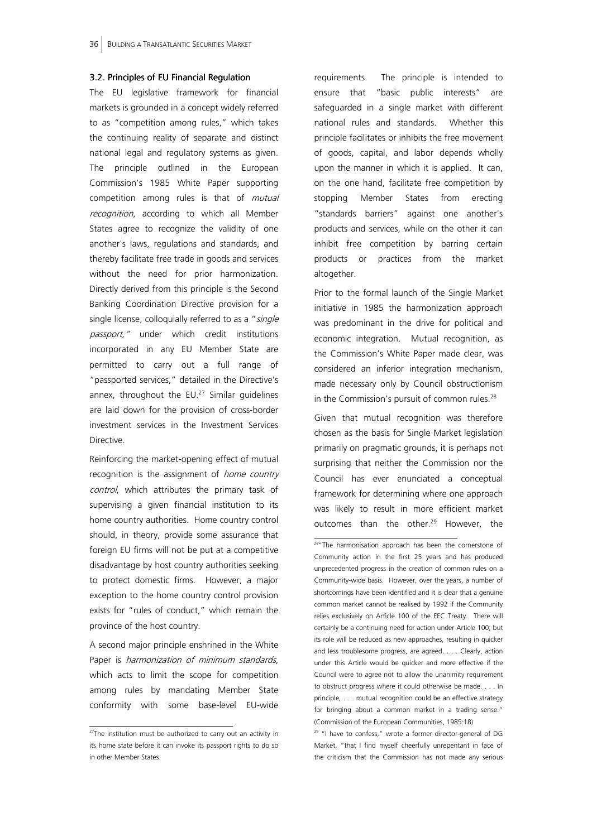#### <span id="page-35-0"></span>3.2. Principles of EU Financial Regulation

The EU legislative framework for financial markets is grounded in a concept widely referred to as "competition among rules," which takes the continuing reality of separate and distinct national legal and regulatory systems as given. The principle outlined in the European Commission's 1985 White Paper supporting competition among rules is that of mutual recognition, according to which all Member States agree to recognize the validity of one another's laws, regulations and standards, and thereby facilitate free trade in goods and services without the need for prior harmonization. Directly derived from this principle is the Second Banking Coordination Directive provision for a single license, colloquially referred to as a "single passport," under which credit institutions incorporated in any EU Member State are permitted to carry out a full range of "passported services," detailed in the Directive's annex, throughout the  $EU^{27}$  Similar guidelines are laid down for the provision of cross-border investment services in the Investment Services Directive.

Reinforcing the market-opening effect of mutual recognition is the assignment of *home country* control, which attributes the primary task of supervising a given financial institution to its home country authorities. Home country control should, in theory, provide some assurance that foreign EU firms will not be put at a competitive disadvantage by host country authorities seeking to protect domestic firms. However, a major exception to the home country control provision exists for "rules of conduct," which remain the province of the host country.

A second major principle enshrined in the White Paper is harmonization of minimum standards, which acts to limit the scope for competition among rules by mandating Member State conformity with some base-level EU-wide requirements. The principle is intended to ensure that "basic public interests" are safeguarded in a single market with different national rules and standards. Whether this principle facilitates or inhibits the free movement of goods, capital, and labor depends wholly upon the manner in which it is applied. It can, on the one hand, facilitate free competition by stopping Member States from erecting "standards barriers" against one another's products and services, while on the other it can inhibit free competition by barring certain products or practices from the market altogether.

Prior to the formal launch of the Single Market initiative in 1985 the harmonization approach was predominant in the drive for political and economic integration. Mutual recognition, as the Commission's White Paper made clear, was considered an inferior integration mechanism, made necessary only by Council obstructionism in the Commission's pursuit of common rules.<sup>28</sup>

Given that mutual recognition was therefore chosen as the basis for Single Market legislation primarily on pragmatic grounds, it is perhaps not surprising that neither the Commission nor the Council has ever enunciated a conceptual framework for determining where one approach was likely to result in more efficient market outcomes than the other.<sup>29</sup> However, the

<sup>29</sup> "I have to confess," wrote a former director-general of DG Market, "that I find myself cheerfully unrepentant in face of the criticism that the Commission has not made any serious

 $2<sup>27</sup>$ The institution must be authorized to carry out an activity in its home state before it can invoke its passport rights to do so in other Member States.

<sup>&</sup>lt;sup>28</sup> The harmonisation approach has been the cornerstone of Community action in the first 25 years and has produced unprecedented progress in the creation of common rules on a Community-wide basis. However, over the years, a number of shortcomings have been identified and it is clear that a genuine common market cannot be realised by 1992 if the Community relies exclusively on Article 100 of the EEC Treaty. There will certainly be a continuing need for action under Article 100; but its role will be reduced as new approaches, resulting in quicker and less troublesome progress, are agreed. . . . Clearly, action under this Article would be quicker and more effective if the Council were to agree not to allow the unanimity requirement to obstruct progress where it could otherwise be made. . . . In principle, . . . mutual recognition could be an effective strategy for bringing about a common market in a trading sense." (Commission of the European Communities, 1985:18)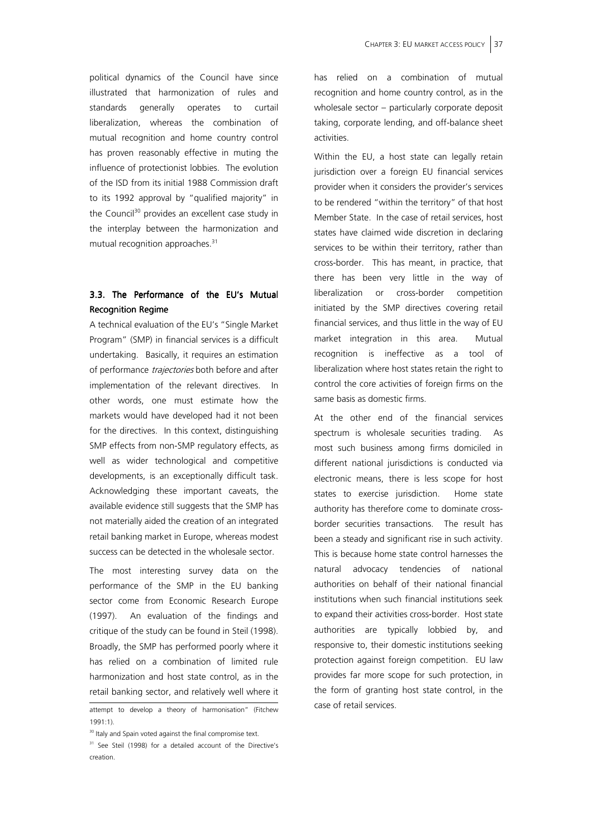<span id="page-36-0"></span>political dynamics of the Council have since illustrated that harmonization of rules and standards generally operates to curtail liberalization, whereas the combination of mutual recognition and home country control has proven reasonably effective in muting the influence of protectionist lobbies. The evolution of the ISD from its initial 1988 Commission draft to its 1992 approval by "qualified majority" in the Council<sup>30</sup> provides an excellent case study in the interplay between the harmonization and mutual recognition approaches.<sup>31</sup>

### 3.3. The Performance of the EU's Mutual **Recognition Regime**

A technical evaluation of the EU's "Single Market Program" (SMP) in financial services is a difficult undertaking. Basically, it requires an estimation of performance *trajectories* both before and after implementation of the relevant directives. In other words, one must estimate how the markets would have developed had it not been for the directives. In this context, distinguishing SMP effects from non-SMP regulatory effects, as well as wider technological and competitive developments, is an exceptionally difficult task. Acknowledging these important caveats, the available evidence still suggests that the SMP has not materially aided the creation of an integrated retail banking market in Europe, whereas modest success can be detected in the wholesale sector.

The most interesting survey data on the performance of the SMP in the EU banking sector come from Economic Research Europe (1997). An evaluation of the findings and critique of the study can be found in Steil (1998). Broadly, the SMP has performed poorly where it has relied on a combination of limited rule harmonization and host state control, as in the retail banking sector, and relatively well where it has relied on a combination of mutual recognition and home country control, as in the wholesale sector — particularly corporate deposit taking, corporate lending, and off-balance sheet activities.

Within the EU, a host state can legally retain jurisdiction over a foreign EU financial services provider when it considers the provider's services to be rendered "within the territory" of that host Member State. In the case of retail services, host states have claimed wide discretion in declaring services to be within their territory, rather than cross-border. This has meant, in practice, that there has been very little in the way of liberalization or cross-border competition initiated by the SMP directives covering retail financial services, and thus little in the way of EU market integration in this area. Mutual recognition is ineffective as a tool of liberalization where host states retain the right to control the core activities of foreign firms on the same basis as domestic firms.

At the other end of the financial services spectrum is wholesale securities trading. As most such business among firms domiciled in different national jurisdictions is conducted via electronic means, there is less scope for host states to exercise jurisdiction. Home state authority has therefore come to dominate crossborder securities transactions. The result has been a steady and significant rise in such activity. This is because home state control harnesses the natural advocacy tendencies of national authorities on behalf of their national financial institutions when such financial institutions seek to expand their activities cross-border. Host state authorities are typically lobbied by, and responsive to, their domestic institutions seeking protection against foreign competition. EU law provides far more scope for such protection, in the form of granting host state control, in the case of retail services.

 attempt to develop a theory of harmonisation" (Fitchew 1991:1).

<sup>&</sup>lt;sup>30</sup> Italy and Spain voted against the final compromise text.

<sup>&</sup>lt;sup>31</sup> See Steil (1998) for a detailed account of the Directive's creation.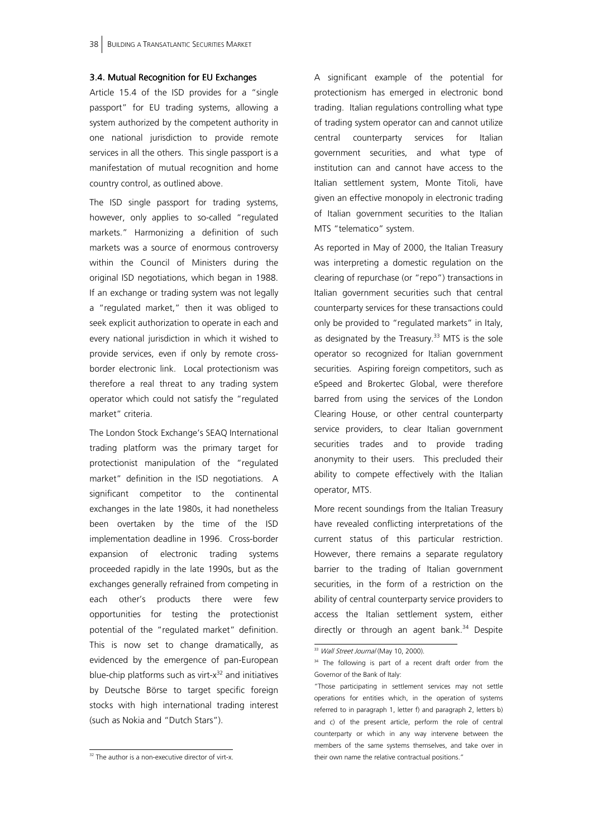#### <span id="page-37-0"></span>3.4. Mutual Recognition for EU Exchanges

Article 15.4 of the ISD provides for a "single passport" for EU trading systems, allowing a system authorized by the competent authority in one national jurisdiction to provide remote services in all the others. This single passport is a manifestation of mutual recognition and home country control, as outlined above.

The ISD single passport for trading systems, however, only applies to so-called "regulated markets." Harmonizing a definition of such markets was a source of enormous controversy within the Council of Ministers during the original ISD negotiations, which began in 1988. If an exchange or trading system was not legally a "regulated market," then it was obliged to seek explicit authorization to operate in each and every national jurisdiction in which it wished to provide services, even if only by remote crossborder electronic link. Local protectionism was therefore a real threat to any trading system operator which could not satisfy the "regulated market" criteria.

The London Stock Exchange's SEAQ International trading platform was the primary target for protectionist manipulation of the "regulated market" definition in the ISD negotiations. A significant competitor to the continental exchanges in the late 1980s, it had nonetheless been overtaken by the time of the ISD implementation deadline in 1996. Cross-border expansion of electronic trading systems proceeded rapidly in the late 1990s, but as the exchanges generally refrained from competing in each other's products there were few opportunities for testing the protectionist potential of the "regulated market" definition. This is now set to change dramatically, as evidenced by the emergence of pan-European blue-chip platforms such as virt- $x^{32}$  and initiatives by Deutsche Börse to target specific foreign stocks with high international trading interest (such as Nokia and "Dutch Stars").

A significant example of the potential for protectionism has emerged in electronic bond trading. Italian regulations controlling what type of trading system operator can and cannot utilize central counterparty services for Italian government securities, and what type of institution can and cannot have access to the Italian settlement system, Monte Titoli, have given an effective monopoly in electronic trading of Italian government securities to the Italian MTS "telematico" system.

As reported in May of 2000, the Italian Treasury was interpreting a domestic regulation on the clearing of repurchase (or "repo") transactions in Italian government securities such that central counterparty services for these transactions could only be provided to "regulated markets" in Italy, as designated by the Treasury.<sup>33</sup> MTS is the sole operator so recognized for Italian government securities. Aspiring foreign competitors, such as eSpeed and Brokertec Global, were therefore barred from using the services of the London Clearing House, or other central counterparty service providers, to clear Italian government securities trades and to provide trading anonymity to their users. This precluded their ability to compete effectively with the Italian operator, MTS.

More recent soundings from the Italian Treasury have revealed conflicting interpretations of the current status of this particular restriction. However, there remains a separate regulatory barrier to the trading of Italian government securities, in the form of a restriction on the ability of central counterparty service providers to access the Italian settlement system, either directly or through an agent bank.<sup>34</sup> Despite

 $33$  *Wall Street Journal* (May 10, 2000).

<sup>&</sup>lt;sup>34</sup> The following is part of a recent draft order from the Governor of the Bank of Italy:

<sup>&</sup>quot;Those participating in settlement services may not settle operations for entities which, in the operation of systems referred to in paragraph 1, letter f) and paragraph 2, letters b) and c) of the present article, perform the role of central counterparty or which in any way intervene between the members of the same systems themselves, and take over in their own name the relative contractual positions."

 $32$  The author is a non-executive director of virt-x.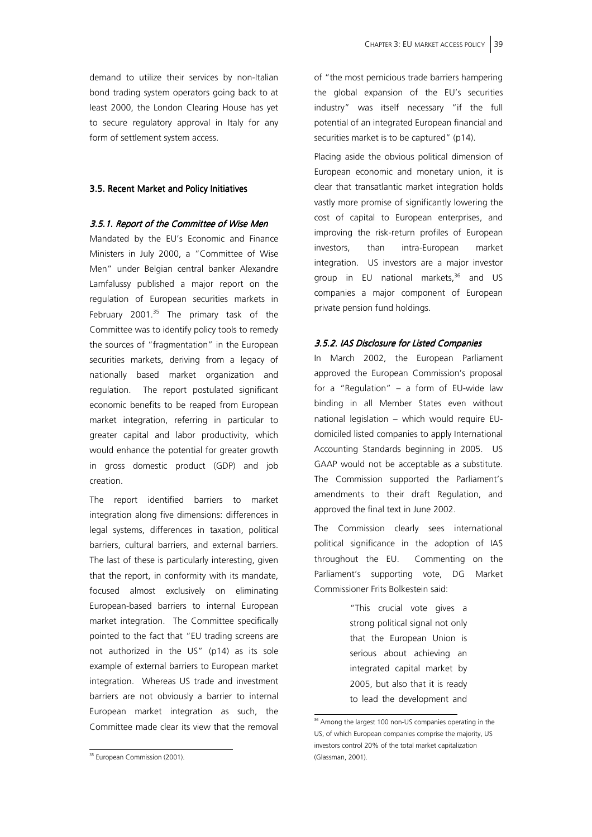<span id="page-38-0"></span>demand to utilize their services by non-Italian bond trading system operators going back to at least 2000, the London Clearing House has yet to secure regulatory approval in Italy for any form of settlement system access.

### 3.5. Recent Market and Policy Initiatives

### 3.5.1. Report of the Committee of Wise Men

Mandated by the EU's Economic and Finance Ministers in July 2000, a "Committee of Wise Men" under Belgian central banker Alexandre Lamfalussy published a major report on the regulation of European securities markets in February 2001. $35$  The primary task of the Committee was to identify policy tools to remedy the sources of "fragmentation" in the European securities markets, deriving from a legacy of nationally based market organization and regulation. The report postulated significant economic benefits to be reaped from European market integration, referring in particular to greater capital and labor productivity, which would enhance the potential for greater growth in gross domestic product (GDP) and job creation.

The report identified barriers to market integration along five dimensions: differences in legal systems, differences in taxation, political barriers, cultural barriers, and external barriers. The last of these is particularly interesting, given that the report, in conformity with its mandate, focused almost exclusively on eliminating European-based barriers to internal European market integration. The Committee specifically pointed to the fact that "EU trading screens are not authorized in the US" (p14) as its sole example of external barriers to European market integration. Whereas US trade and investment barriers are not obviously a barrier to internal European market integration as such, the Committee made clear its view that the removal of "the most pernicious trade barriers hampering the global expansion of the EU's securities industry" was itself necessary "if the full potential of an integrated European financial and securities market is to be captured" (p14).

Placing aside the obvious political dimension of European economic and monetary union, it is clear that transatlantic market integration holds vastly more promise of significantly lowering the cost of capital to European enterprises, and improving the risk-return profiles of European investors, than intra-European market integration. US investors are a major investor group in EU national markets,<sup>36</sup> and US companies a major component of European private pension fund holdings.

#### 3.5.2. IAS Disclosure for Listed Companies

In March 2002, the European Parliament approved the European Commission's proposal for a "Regulation" — a form of EU-wide law binding in all Member States even without national legislation — which would require EUdomiciled listed companies to apply International Accounting Standards beginning in 2005. US GAAP would not be acceptable as a substitute. The Commission supported the Parliament's amendments to their draft Regulation, and approved the final text in June 2002.

The Commission clearly sees international political significance in the adoption of IAS throughout the EU. Commenting on the Parliament's supporting vote, DG Market Commissioner Frits Bolkestein said:

> "This crucial vote gives a strong political signal not only that the European Union is serious about achieving an integrated capital market by 2005, but also that it is ready to lead the development and

<sup>&</sup>lt;sup>35</sup> European Commission (2001).

 $36$  Among the largest 100 non-US companies operating in the US, of which European companies comprise the majority, US investors control 20% of the total market capitalization (Glassman, 2001).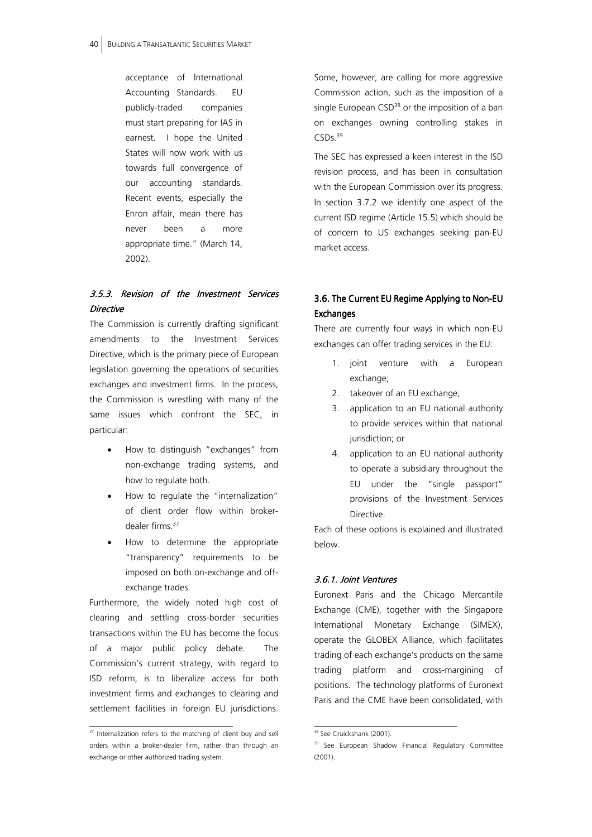<span id="page-39-0"></span>acceptance of International Accounting Standards. EU publicly-traded companies must start preparing for IAS in earnest. I hope the United States will now work with us towards full convergence of our accounting standards. Recent events, especially the Enron affair, mean there has never been a more appropriate time." (March 14, 2002).

### 3.5.3. Revision of the Investment Services **Directive**

The Commission is currently drafting significant amendments to the Investment Services Directive, which is the primary piece of European legislation governing the operations of securities exchanges and investment firms. In the process, the Commission is wrestling with many of the same issues which confront the SEC, in particular:

- How to distinguish "exchanges" from non-exchange trading systems, and how to regulate both.
- How to regulate the "internalization" of client order flow within brokerdealer firms<sup>37</sup>
- How to determine the appropriate "transparency" requirements to be imposed on both on-exchange and offexchange trades.

Furthermore, the widely noted high cost of clearing and settling cross-border securities transactions within the EU has become the focus of a major public policy debate. The Commission's current strategy, with regard to ISD reform, is to liberalize access for both investment firms and exchanges to clearing and settlement facilities in foreign EU jurisdictions.

Some, however, are calling for more aggressive Commission action, such as the imposition of a single European  $CSD<sup>38</sup>$  or the imposition of a ban on exchanges owning controlling stakes in CSD<sub>s.</sub><sup>39</sup>

The SEC has expressed a keen interest in the ISD revision process, and has been in consultation with the European Commission over its progress. In section 3.7.2 we identify one aspect of the current ISD regime (Article 15.5) which should be of concern to US exchanges seeking pan-EU market access.

## 3.6. The Current EU Regime Applying to Non-EU **Exchanges**

There are currently four ways in which non-EU exchanges can offer trading services in the EU:

- 1. joint venture with a European exchange;
- 2. takeover of an EU exchange;
- 3. application to an EU national authority to provide services within that national jurisdiction; or
- 4. application to an EU national authority to operate a subsidiary throughout the EU under the "single passport" provisions of the Investment Services Directive.

Each of these options is explained and illustrated below.

#### 3.6.1. Joint Ventures

Euronext Paris and the Chicago Mercantile Exchange (CME), together with the Singapore International Monetary Exchange (SIMEX), operate the GLOBEX Alliance, which facilitates trading of each exchange's products on the same trading platform and cross-margining of positions. The technology platforms of Euronext Paris and the CME have been consolidated, with

 $37$  Internalization refers to the matching of client buy and sell orders within a broker-dealer firm, rather than through an exchange or other authorized trading system.

<sup>&</sup>lt;sup>38</sup> See Cruickshank (2001).

<sup>&</sup>lt;sup>39</sup> See European Shadow Financial Regulatory Committee (2001).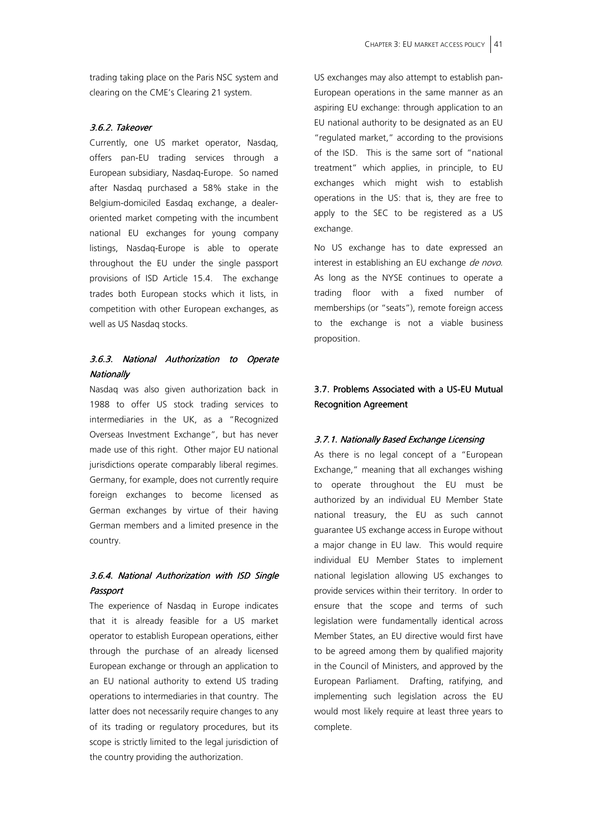<span id="page-40-0"></span>trading taking place on the Paris NSC system and clearing on the CME's Clearing 21 system.

### 3.6.2. Takeover

Currently, one US market operator, Nasdaq, offers pan-EU trading services through a European subsidiary, Nasdaq-Europe. So named after Nasdaq purchased a 58% stake in the Belgium-domiciled Easdaq exchange, a dealeroriented market competing with the incumbent national EU exchanges for young company listings, Nasdaq-Europe is able to operate throughout the EU under the single passport provisions of ISD Article 15.4. The exchange trades both European stocks which it lists, in competition with other European exchanges, as well as US Nasdaq stocks.

### 3.6.3. National Authorization to Operate **Nationally**

Nasdaq was also given authorization back in 1988 to offer US stock trading services to intermediaries in the UK, as a "Recognized Overseas Investment Exchange", but has never made use of this right. Other major EU national jurisdictions operate comparably liberal regimes. Germany, for example, does not currently require foreign exchanges to become licensed as German exchanges by virtue of their having German members and a limited presence in the country.

### 3.6.4. National Authorization with ISD Single **Passport**

The experience of Nasdaq in Europe indicates that it is already feasible for a US market operator to establish European operations, either through the purchase of an already licensed European exchange or through an application to an EU national authority to extend US trading operations to intermediaries in that country. The latter does not necessarily require changes to any of its trading or regulatory procedures, but its scope is strictly limited to the legal jurisdiction of the country providing the authorization.

US exchanges may also attempt to establish pan-European operations in the same manner as an aspiring EU exchange: through application to an EU national authority to be designated as an EU "regulated market," according to the provisions of the ISD. This is the same sort of "national treatment" which applies, in principle, to EU exchanges which might wish to establish operations in the US: that is, they are free to apply to the SEC to be registered as a US exchange.

No US exchange has to date expressed an interest in establishing an EU exchange de novo. As long as the NYSE continues to operate a trading floor with a fixed number of memberships (or "seats"), remote foreign access to the exchange is not a viable business proposition.

## 3.7. Problems Associated with a US-EU Mutual **Recognition Agreement**

### 3.7.1. Nationally Based Exchange Licensing

As there is no legal concept of a "European Exchange," meaning that all exchanges wishing to operate throughout the EU must be authorized by an individual EU Member State national treasury, the EU as such cannot guarantee US exchange access in Europe without a major change in EU law. This would require individual EU Member States to implement national legislation allowing US exchanges to provide services within their territory. In order to ensure that the scope and terms of such legislation were fundamentally identical across Member States, an EU directive would first have to be agreed among them by qualified majority in the Council of Ministers, and approved by the European Parliament. Drafting, ratifying, and implementing such legislation across the EU would most likely require at least three years to complete.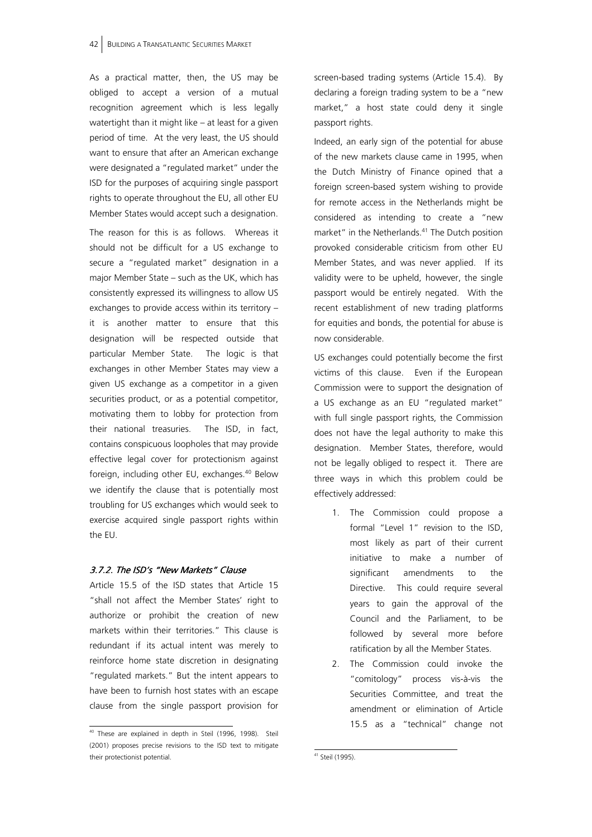### <span id="page-41-0"></span>42 BUILDING A TRANSATLANTIC SECURITIES MARKET

As a practical matter, then, the US may be obliged to accept a version of a mutual recognition agreement which is less legally watertight than it might like — at least for a given period of time. At the very least, the US should want to ensure that after an American exchange were designated a "regulated market" under the ISD for the purposes of acquiring single passport rights to operate throughout the EU, all other EU Member States would accept such a designation.

The reason for this is as follows. Whereas it should not be difficult for a US exchange to secure a "regulated market" designation in a major Member State — such as the UK, which has consistently expressed its willingness to allow US exchanges to provide access within its territory it is another matter to ensure that this designation will be respected outside that particular Member State. The logic is that exchanges in other Member States may view a given US exchange as a competitor in a given securities product, or as a potential competitor, motivating them to lobby for protection from their national treasuries. The ISD, in fact, contains conspicuous loopholes that may provide effective legal cover for protectionism against foreign, including other EU, exchanges.<sup>40</sup> Below we identify the clause that is potentially most troubling for US exchanges which would seek to exercise acquired single passport rights within the EU.

#### 3.7.2. The ISD's "New Markets" Clause

Article 15.5 of the ISD states that Article 15 "shall not affect the Member States' right to authorize or prohibit the creation of new markets within their territories." This clause is redundant if its actual intent was merely to reinforce home state discretion in designating "regulated markets." But the intent appears to have been to furnish host states with an escape clause from the single passport provision for

screen-based trading systems (Article 15.4). By declaring a foreign trading system to be a "new market," a host state could deny it single passport rights.

Indeed, an early sign of the potential for abuse of the new markets clause came in 1995, when the Dutch Ministry of Finance opined that a foreign screen-based system wishing to provide for remote access in the Netherlands might be considered as intending to create a "new market" in the Netherlands.<sup>41</sup> The Dutch position provoked considerable criticism from other EU Member States, and was never applied. If its validity were to be upheld, however, the single passport would be entirely negated. With the recent establishment of new trading platforms for equities and bonds, the potential for abuse is now considerable.

US exchanges could potentially become the first victims of this clause. Even if the European Commission were to support the designation of a US exchange as an EU "regulated market" with full single passport rights, the Commission does not have the legal authority to make this designation. Member States, therefore, would not be legally obliged to respect it. There are three ways in which this problem could be effectively addressed:

- 1. The Commission could propose a formal "Level 1" revision to the ISD, most likely as part of their current initiative to make a number of significant amendments to the Directive. This could require several years to gain the approval of the Council and the Parliament, to be followed by several more before ratification by all the Member States.
- 2. The Commission could invoke the "comitology" process vis-à-vis the Securities Committee, and treat the amendment or elimination of Article 15.5 as a "technical" change not

 40 These are explained in depth in Steil (1996, 1998). Steil (2001) proposes precise revisions to the ISD text to mitigate their protectionist potential.

 41 Steil (1995).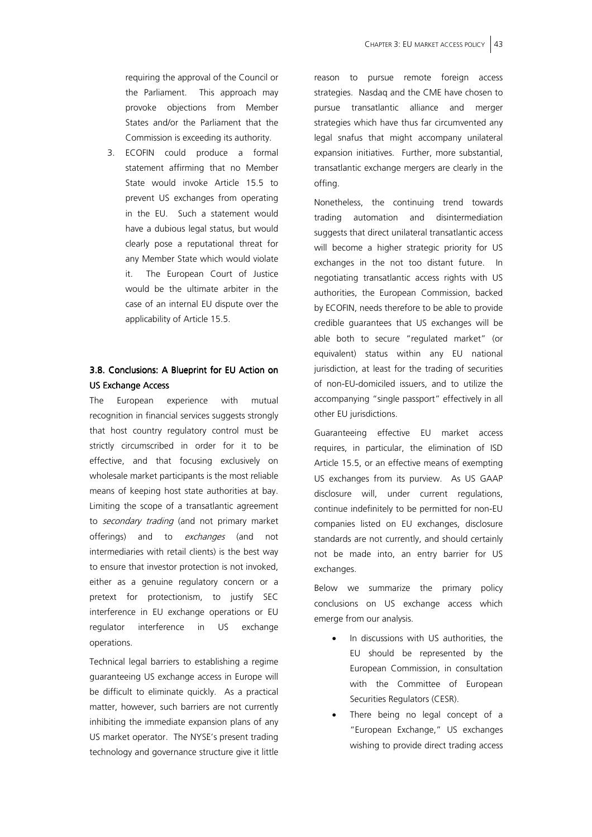<span id="page-42-0"></span>requiring the approval of the Council or the Parliament. This approach may provoke objections from Member States and/or the Parliament that the Commission is exceeding its authority.

3. ECOFIN could produce a formal statement affirming that no Member State would invoke Article 15.5 to prevent US exchanges from operating in the EU. Such a statement would have a dubious legal status, but would clearly pose a reputational threat for any Member State which would violate it. The European Court of Justice would be the ultimate arbiter in the case of an internal EU dispute over the applicability of Article 15.5.

### 3.8. Conclusions: A Blueprint for EU Action on US Exchange Access

The European experience with mutual recognition in financial services suggests strongly that host country regulatory control must be strictly circumscribed in order for it to be effective, and that focusing exclusively on wholesale market participants is the most reliable means of keeping host state authorities at bay. Limiting the scope of a transatlantic agreement to secondary trading (and not primary market offerings) and to exchanges (and not intermediaries with retail clients) is the best way to ensure that investor protection is not invoked, either as a genuine regulatory concern or a pretext for protectionism, to justify SEC interference in EU exchange operations or EU regulator interference in US exchange operations.

Technical legal barriers to establishing a regime guaranteeing US exchange access in Europe will be difficult to eliminate quickly. As a practical matter, however, such barriers are not currently inhibiting the immediate expansion plans of any US market operator. The NYSE's present trading technology and governance structure give it little reason to pursue remote foreign access strategies. Nasdaq and the CME have chosen to pursue transatlantic alliance and merger strategies which have thus far circumvented any legal snafus that might accompany unilateral expansion initiatives. Further, more substantial, transatlantic exchange mergers are clearly in the offing.

Nonetheless, the continuing trend towards trading automation and disintermediation suggests that direct unilateral transatlantic access will become a higher strategic priority for US exchanges in the not too distant future. In negotiating transatlantic access rights with US authorities, the European Commission, backed by ECOFIN, needs therefore to be able to provide credible guarantees that US exchanges will be able both to secure "regulated market" (or equivalent) status within any EU national jurisdiction, at least for the trading of securities of non-EU-domiciled issuers, and to utilize the accompanying "single passport" effectively in all other EU jurisdictions.

Guaranteeing effective EU market access requires, in particular, the elimination of ISD Article 15.5, or an effective means of exempting US exchanges from its purview. As US GAAP disclosure will, under current regulations, continue indefinitely to be permitted for non-EU companies listed on EU exchanges, disclosure standards are not currently, and should certainly not be made into, an entry barrier for US exchanges.

Below we summarize the primary policy conclusions on US exchange access which emerge from our analysis.

- In discussions with US authorities, the EU should be represented by the European Commission, in consultation with the Committee of European Securities Regulators (CESR).
- There being no legal concept of a "European Exchange," US exchanges wishing to provide direct trading access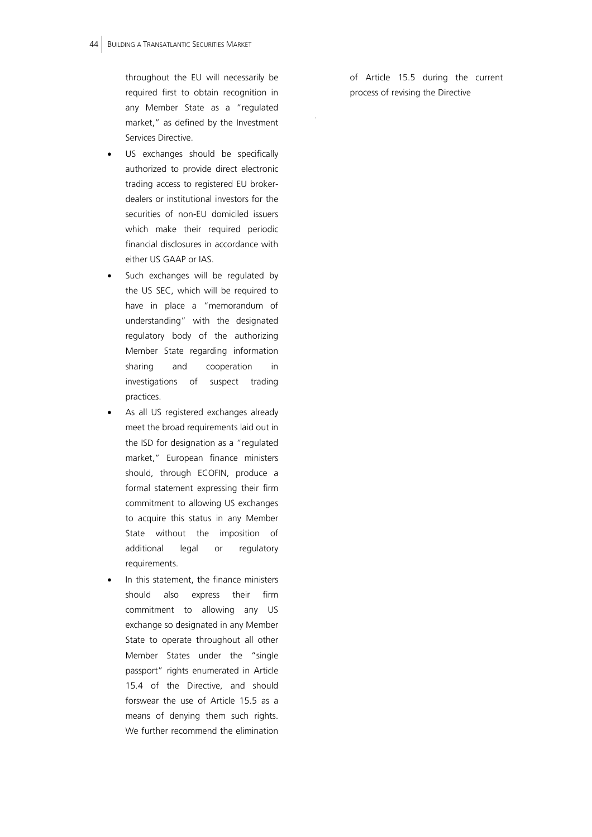throughout the EU will necessarily be required first to obtain recognition in any Member State as a "regulated market," as defined by the Investment Services Directive.

.

- US exchanges should be specifically authorized to provide direct electronic trading access to registered EU brokerdealers or institutional investors for the securities of non-EU domiciled issuers which make their required periodic financial disclosures in accordance with either US GAAP or IAS.
- Such exchanges will be regulated by the US SEC, which will be required to have in place a "memorandum of understanding" with the designated regulatory body of the authorizing Member State regarding information sharing and cooperation in investigations of suspect trading practices.
- As all US registered exchanges already meet the broad requirements laid out in the ISD for designation as a "regulated market," European finance ministers should, through ECOFIN, produce a formal statement expressing their firm commitment to allowing US exchanges to acquire this status in any Member State without the imposition of additional legal or regulatory requirements.
- In this statement, the finance ministers should also express their firm commitment to allowing any US exchange so designated in any Member State to operate throughout all other Member States under the "single passport" rights enumerated in Article 15.4 of the Directive, and should forswear the use of Article 15.5 as a means of denying them such rights. We further recommend the elimination

of Article 15.5 during the current process of revising the Directive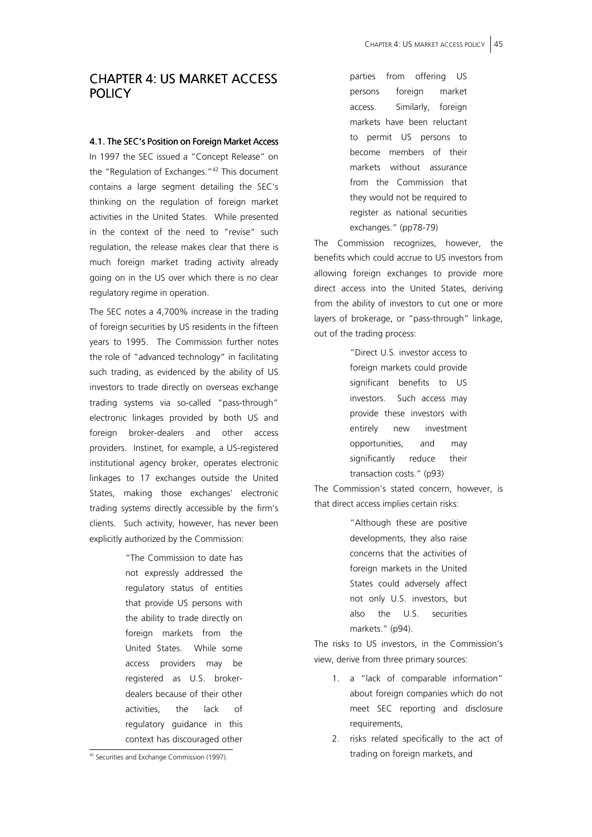# <span id="page-44-0"></span>**CHAPTER 4: US MARKET ACCESS POLICY**

#### 4.1. The SEC's Position on Foreign Market Access

In 1997 the SEC issued a "Concept Release" on the "Regulation of Exchanges."42 This document contains a large segment detailing the SEC's thinking on the regulation of foreign market activities in the United States. While presented in the context of the need to "revise" such regulation, the release makes clear that there is much foreign market trading activity already going on in the US over which there is no clear regulatory regime in operation.

The SEC notes a 4,700% increase in the trading of foreign securities by US residents in the fifteen years to 1995. The Commission further notes the role of "advanced technology" in facilitating such trading, as evidenced by the ability of US investors to trade directly on overseas exchange trading systems via so-called "pass-through" electronic linkages provided by both US and foreign broker-dealers and other access providers. Instinet, for example, a US-registered institutional agency broker, operates electronic linkages to 17 exchanges outside the United States, making those exchanges' electronic trading systems directly accessible by the firm's clients. Such activity, however, has never been explicitly authorized by the Commission:

> "The Commission to date has not expressly addressed the regulatory status of entities that provide US persons with the ability to trade directly on foreign markets from the United States. While some access providers may be registered as U.S. brokerdealers because of their other activities, the lack of regulatory guidance in this context has discouraged other

parties from offering US persons foreign market access. Similarly, foreign markets have been reluctant to permit US persons to become members of their markets without assurance from the Commission that they would not be required to register as national securities exchanges." (pp78-79)

The Commission recognizes, however, the benefits which could accrue to US investors from allowing foreign exchanges to provide more direct access into the United States, deriving from the ability of investors to cut one or more layers of brokerage, or "pass-through" linkage, out of the trading process:

> "Direct U.S. investor access to foreign markets could provide significant benefits to US investors. Such access may provide these investors with entirely new investment opportunities, and may significantly reduce their transaction costs." (p93)

The Commission's stated concern, however, is that direct access implies certain risks:

> "Although these are positive developments, they also raise concerns that the activities of foreign markets in the United States could adversely affect not only U.S. investors, but also the U.S. securities markets." (p94).

The risks to US investors, in the Commission's view, derive from three primary sources:

- 1. a "lack of comparable information" about foreign companies which do not meet SEC reporting and disclosure requirements,
- 2. risks related specifically to the act of trading on foreign markets, and

<sup>42&</sup>lt;br>42 Securities and Exchange Commission (1997).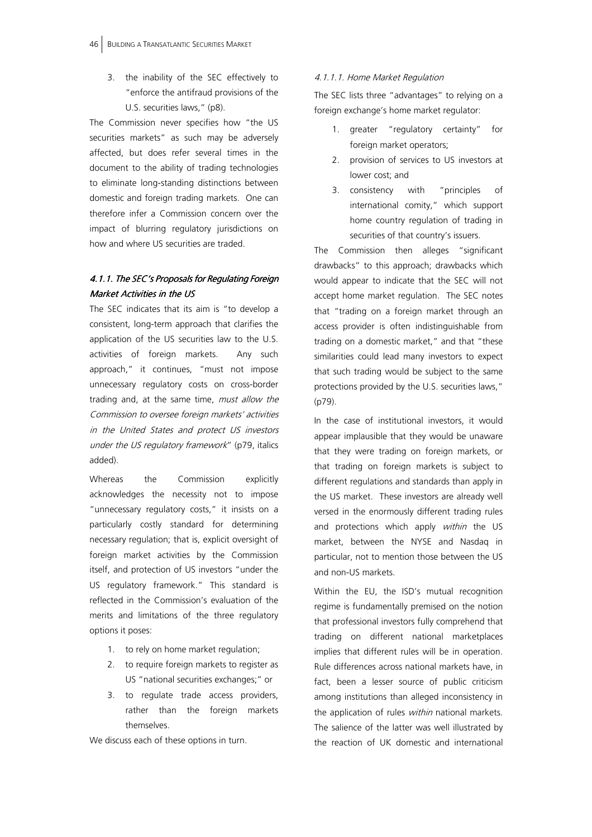<span id="page-45-0"></span>3. the inability of the SEC effectively to "enforce the antifraud provisions of the U.S. securities laws," (p8).

The Commission never specifies how "the US securities markets" as such may be adversely affected, but does refer several times in the document to the ability of trading technologies to eliminate long-standing distinctions between domestic and foreign trading markets. One can therefore infer a Commission concern over the impact of blurring regulatory jurisdictions on how and where US securities are traded.

### 4.1.1. The SEC's Proposals for Regulating Foreign Market Activities in the US

The SEC indicates that its aim is "to develop a consistent, long-term approach that clarifies the application of the US securities law to the U.S. activities of foreign markets. Any such approach," it continues, "must not impose unnecessary regulatory costs on cross-border trading and, at the same time, must allow the Commission to oversee foreign markets' activities in the United States and protect US investors under the US regulatory framework" (p79, italics added).

Whereas the Commission explicitly acknowledges the necessity not to impose "unnecessary regulatory costs," it insists on a particularly costly standard for determining necessary regulation; that is, explicit oversight of foreign market activities by the Commission itself, and protection of US investors "under the US regulatory framework." This standard is reflected in the Commission's evaluation of the merits and limitations of the three regulatory options it poses:

- 1. to rely on home market regulation;
- 2. to require foreign markets to register as US "national securities exchanges;" or
- 3. to regulate trade access providers, rather than the foreign markets themselves.

We discuss each of these options in turn.

#### 4.1.1.1. Home Market Regulation

The SEC lists three "advantages" to relying on a foreign exchange's home market regulator:

- 1. greater "regulatory certainty" for foreign market operators;
- 2. provision of services to US investors at lower cost; and
- 3. consistency with "principles of international comity," which support home country regulation of trading in securities of that country's issuers.

The Commission then alleges "significant drawbacks" to this approach; drawbacks which would appear to indicate that the SEC will not accept home market regulation. The SEC notes that "trading on a foreign market through an access provider is often indistinguishable from trading on a domestic market," and that "these similarities could lead many investors to expect that such trading would be subject to the same protections provided by the U.S. securities laws," (p79).

In the case of institutional investors, it would appear implausible that they would be unaware that they were trading on foreign markets, or that trading on foreign markets is subject to different regulations and standards than apply in the US market. These investors are already well versed in the enormously different trading rules and protections which apply within the US market, between the NYSE and Nasdaq in particular, not to mention those between the US and non-US markets.

Within the EU, the ISD's mutual recognition regime is fundamentally premised on the notion that professional investors fully comprehend that trading on different national marketplaces implies that different rules will be in operation. Rule differences across national markets have, in fact, been a lesser source of public criticism among institutions than alleged inconsistency in the application of rules within national markets. The salience of the latter was well illustrated by the reaction of UK domestic and international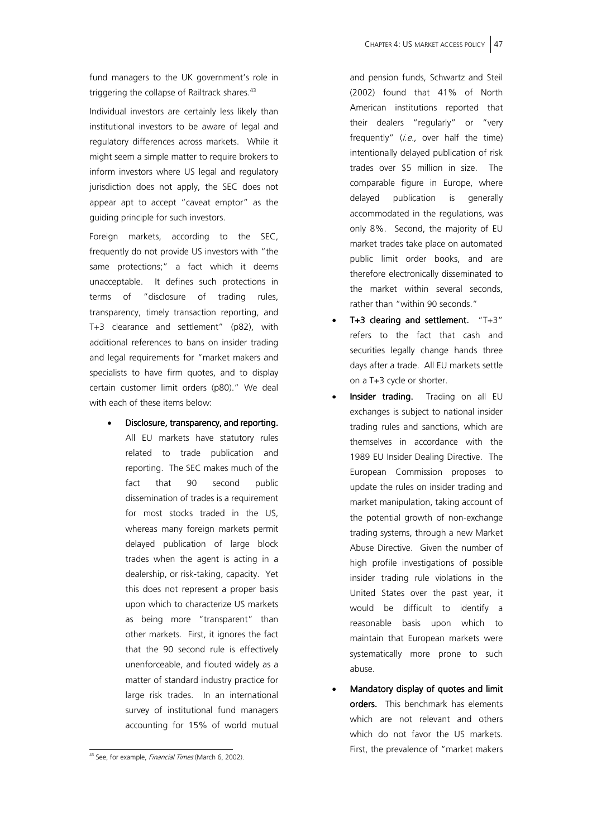fund managers to the UK government's role in triggering the collapse of Railtrack shares.<sup>43</sup>

Individual investors are certainly less likely than institutional investors to be aware of legal and regulatory differences across markets. While it might seem a simple matter to require brokers to inform investors where US legal and regulatory jurisdiction does not apply, the SEC does not appear apt to accept "caveat emptor" as the guiding principle for such investors.

Foreign markets, according to the SEC, frequently do not provide US investors with "the same protections;" a fact which it deems unacceptable. It defines such protections in terms of "disclosure of trading rules, transparency, timely transaction reporting, and T+3 clearance and settlement" (p82), with additional references to bans on insider trading and legal requirements for "market makers and specialists to have firm quotes, and to display certain customer limit orders (p80)." We deal with each of these items below:

> Disclosure, transparency, and reporting. All EU markets have statutory rules related to trade publication and reporting. The SEC makes much of the fact that 90 second public dissemination of trades is a requirement for most stocks traded in the US, whereas many foreign markets permit delayed publication of large block trades when the agent is acting in a dealership, or risk-taking, capacity. Yet this does not represent a proper basis upon which to characterize US markets as being more "transparent" than other markets. First, it ignores the fact that the 90 second rule is effectively unenforceable, and flouted widely as a matter of standard industry practice for large risk trades. In an international survey of institutional fund managers accounting for 15% of world mutual

and pension funds, Schwartz and Steil (2002) found that 41% of North American institutions reported that their dealers "regularly" or "very frequently"  $(i.e., over half the time)$ intentionally delayed publication of risk trades over \$5 million in size. The comparable figure in Europe, where delayed publication is generally accommodated in the regulations, was only 8%. Second, the majority of EU market trades take place on automated public limit order books, and are therefore electronically disseminated to the market within several seconds, rather than "within 90 seconds."

- T+3 clearing and settlement.  $T+3T$ refers to the fact that cash and securities legally change hands three days after a trade. All EU markets settle on a T+3 cycle or shorter.
- Insider trading. Trading on all EU exchanges is subject to national insider trading rules and sanctions, which are themselves in accordance with the 1989 EU Insider Dealing Directive. The European Commission proposes to update the rules on insider trading and market manipulation, taking account of the potential growth of non-exchange trading systems, through a new Market Abuse Directive. Given the number of high profile investigations of possible insider trading rule violations in the United States over the past year, it would be difficult to identify a reasonable basis upon which to maintain that European markets were systematically more prone to such abuse.
- Mandatory display of quotes and limit orders. This benchmark has elements which are not relevant and others which do not favor the US markets. First, the prevalence of "market makers

<sup>43</sup> See, for example, *Financial Times* (March 6, 2002).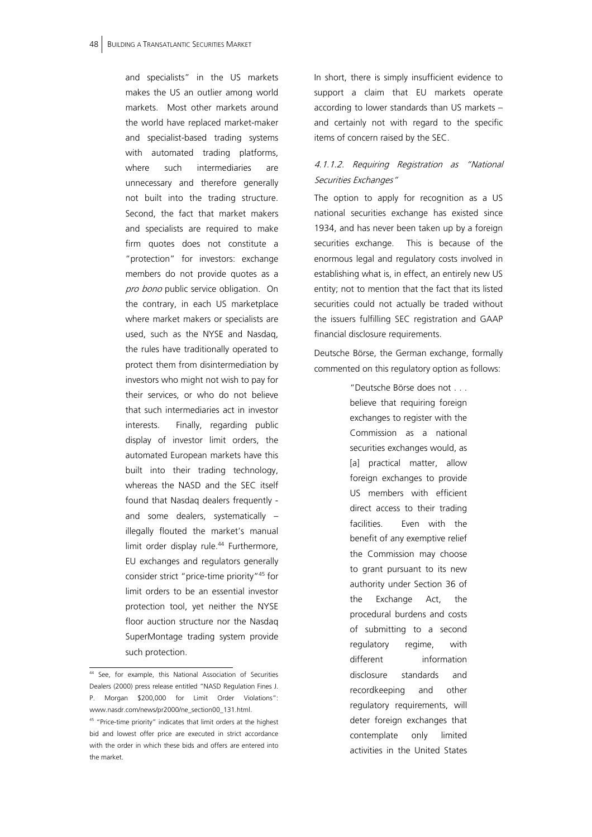and specialists" in the US markets makes the US an outlier among world markets. Most other markets around the world have replaced market-maker and specialist-based trading systems with automated trading platforms, where such intermediaries are unnecessary and therefore generally not built into the trading structure. Second, the fact that market makers and specialists are required to make firm quotes does not constitute a "protection" for investors: exchange members do not provide quotes as a pro bono public service obligation. On the contrary, in each US marketplace where market makers or specialists are used, such as the NYSE and Nasdaq, the rules have traditionally operated to protect them from disintermediation by investors who might not wish to pay for their services, or who do not believe that such intermediaries act in investor interests. Finally, regarding public display of investor limit orders, the automated European markets have this built into their trading technology, whereas the NASD and the SEC itself found that Nasdaq dealers frequently and some dealers, systematically illegally flouted the market's manual limit order display rule.<sup>44</sup> Furthermore, EU exchanges and regulators generally consider strict "price-time priority"45 for limit orders to be an essential investor protection tool, yet neither the NYSE floor auction structure nor the Nasdaq SuperMontage trading system provide such protection.

In short, there is simply insufficient evidence to support a claim that EU markets operate according to lower standards than US markets and certainly not with regard to the specific items of concern raised by the SEC.

### 4.1.1.2. Requiring Registration as "National Securities Exchanges"

The option to apply for recognition as a US national securities exchange has existed since 1934, and has never been taken up by a foreign securities exchange. This is because of the enormous legal and regulatory costs involved in establishing what is, in effect, an entirely new US entity; not to mention that the fact that its listed securities could not actually be traded without the issuers fulfilling SEC registration and GAAP financial disclosure requirements.

Deutsche Börse, the German exchange, formally commented on this regulatory option as follows:

> "Deutsche Börse does not . . . believe that requiring foreign exchanges to register with the Commission as a national securities exchanges would, as [a] practical matter, allow foreign exchanges to provide US members with efficient direct access to their trading facilities. Even with the benefit of any exemptive relief the Commission may choose to grant pursuant to its new authority under Section 36 of the Exchange Act, the procedural burdens and costs of submitting to a second regulatory regime, with different information disclosure standards and recordkeeping and other regulatory requirements, will deter foreign exchanges that contemplate only limited activities in the United States

 44 See, for example, this National Association of Securities Dealers (2000) press release entitled "NASD Regulation Fines J. P. Morgan \$200,000 for Limit Order Violations": www.nasdr.com/news/pr2000/ne\_section00\_131.html.

<sup>&</sup>lt;sup>45</sup> "Price-time priority" indicates that limit orders at the highest bid and lowest offer price are executed in strict accordance with the order in which these bids and offers are entered into the market.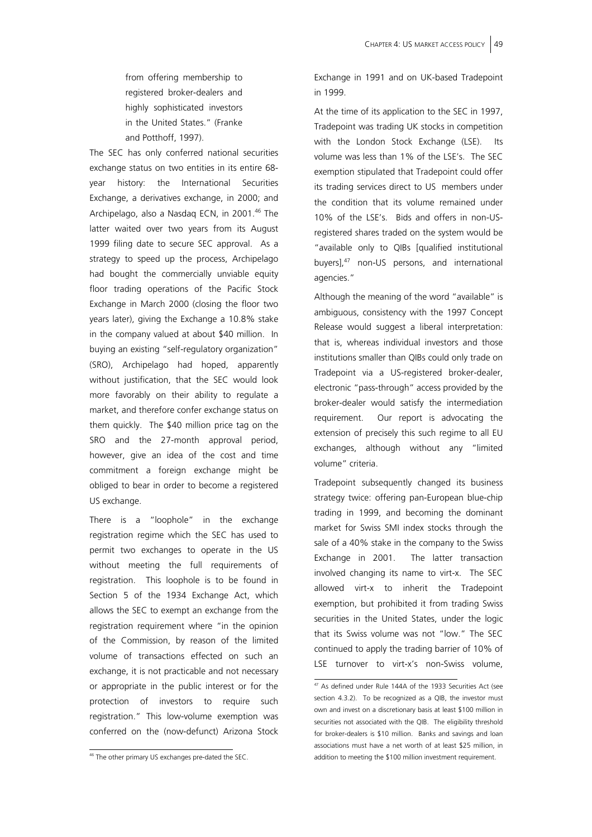from offering membership to registered broker-dealers and highly sophisticated investors in the United States." (Franke and Potthoff, 1997).

The SEC has only conferred national securities exchange status on two entities in its entire 68 year history: the International Securities Exchange, a derivatives exchange, in 2000; and Archipelago, also a Nasdaq ECN, in 2001.46 The latter waited over two years from its August 1999 filing date to secure SEC approval. As a strategy to speed up the process, Archipelago had bought the commercially unviable equity floor trading operations of the Pacific Stock Exchange in March 2000 (closing the floor two years later), giving the Exchange a 10.8% stake in the company valued at about \$40 million. In buying an existing "self-regulatory organization" (SRO), Archipelago had hoped, apparently without justification, that the SEC would look more favorably on their ability to regulate a market, and therefore confer exchange status on them quickly. The \$40 million price tag on the SRO and the 27-month approval period, however, give an idea of the cost and time commitment a foreign exchange might be obliged to bear in order to become a registered US exchange.

There is a "loophole" in the exchange registration regime which the SEC has used to permit two exchanges to operate in the US without meeting the full requirements of registration. This loophole is to be found in Section 5 of the 1934 Exchange Act, which allows the SEC to exempt an exchange from the registration requirement where "in the opinion of the Commission, by reason of the limited volume of transactions effected on such an exchange, it is not practicable and not necessary or appropriate in the public interest or for the protection of investors to require such registration." This low-volume exemption was conferred on the (now-defunct) Arizona Stock

Exchange in 1991 and on UK-based Tradepoint in 1999.

At the time of its application to the SEC in 1997, Tradepoint was trading UK stocks in competition with the London Stock Exchange (LSE). Its volume was less than 1% of the LSE's. The SEC exemption stipulated that Tradepoint could offer its trading services direct to US members under the condition that its volume remained under 10% of the LSE's. Bids and offers in non-USregistered shares traded on the system would be "available only to QIBs [qualified institutional buyers],<sup>47</sup> non-US persons, and international agencies."

Although the meaning of the word "available" is ambiguous, consistency with the 1997 Concept Release would suggest a liberal interpretation: that is, whereas individual investors and those institutions smaller than QIBs could only trade on Tradepoint via a US-registered broker-dealer, electronic "pass-through" access provided by the broker-dealer would satisfy the intermediation requirement. Our report is advocating the extension of precisely this such regime to all EU exchanges, although without any "limited volume" criteria.

Tradepoint subsequently changed its business strategy twice: offering pan-European blue-chip trading in 1999, and becoming the dominant market for Swiss SMI index stocks through the sale of a 40% stake in the company to the Swiss Exchange in 2001. The latter transaction involved changing its name to virt-x. The SEC allowed virt-x to inherit the Tradepoint exemption, but prohibited it from trading Swiss securities in the United States, under the logic that its Swiss volume was not "low." The SEC continued to apply the trading barrier of 10% of LSE turnover to virt-x's non-Swiss volume,

 46 The other primary US exchanges pre-dated the SEC.

 $47$  As defined under Rule 144A of the 1933 Securities Act (see section 4.3.2). To be recognized as a OIB, the investor must own and invest on a discretionary basis at least \$100 million in securities not associated with the QIB. The eligibility threshold for broker-dealers is \$10 million. Banks and savings and loan associations must have a net worth of at least \$25 million, in addition to meeting the \$100 million investment requirement.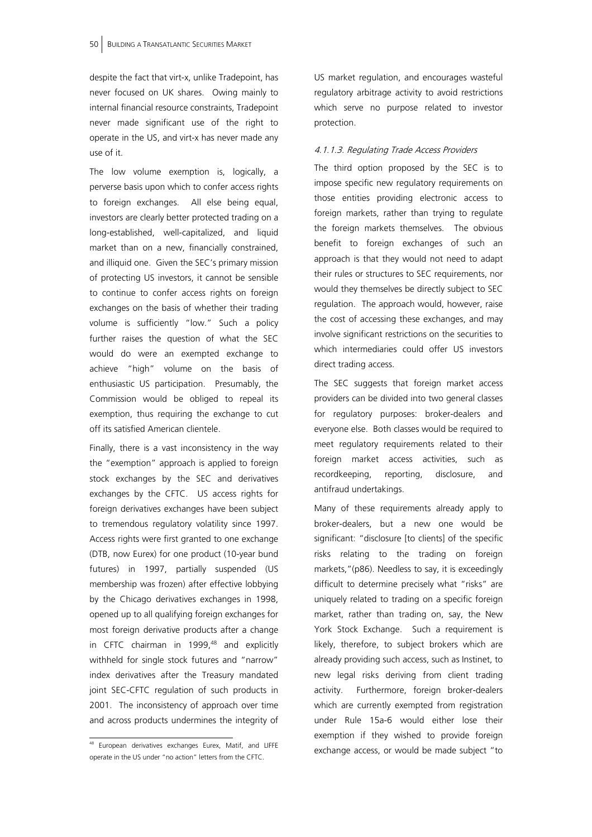despite the fact that virt-x, unlike Tradepoint, has never focused on UK shares. Owing mainly to internal financial resource constraints, Tradepoint never made significant use of the right to operate in the US, and virt-x has never made any use of it.

The low volume exemption is, logically, a perverse basis upon which to confer access rights to foreign exchanges. All else being equal, investors are clearly better protected trading on a long-established, well-capitalized, and liquid market than on a new, financially constrained, and illiquid one. Given the SEC's primary mission of protecting US investors, it cannot be sensible to continue to confer access rights on foreign exchanges on the basis of whether their trading volume is sufficiently "low." Such a policy further raises the question of what the SEC would do were an exempted exchange to achieve "high" volume on the basis of enthusiastic US participation. Presumably, the Commission would be obliged to repeal its exemption, thus requiring the exchange to cut off its satisfied American clientele.

Finally, there is a vast inconsistency in the way the "exemption" approach is applied to foreign stock exchanges by the SEC and derivatives exchanges by the CFTC. US access rights for foreign derivatives exchanges have been subject to tremendous regulatory volatility since 1997. Access rights were first granted to one exchange (DTB, now Eurex) for one product (10-year bund futures) in 1997, partially suspended (US membership was frozen) after effective lobbying by the Chicago derivatives exchanges in 1998, opened up to all qualifying foreign exchanges for most foreign derivative products after a change in CFTC chairman in  $1999,48$  and explicitly withheld for single stock futures and "narrow" index derivatives after the Treasury mandated joint SEC-CFTC regulation of such products in 2001. The inconsistency of approach over time and across products undermines the integrity of

<sup>48</sup> European derivatives exchanges Eurex, Matif, and LIFFE operate in the US under "no action" letters from the CFTC.

US market regulation, and encourages wasteful regulatory arbitrage activity to avoid restrictions which serve no purpose related to investor protection.

#### 4.1.1.3. Regulating Trade Access Providers

The third option proposed by the SEC is to impose specific new regulatory requirements on those entities providing electronic access to foreign markets, rather than trying to regulate the foreign markets themselves. The obvious benefit to foreign exchanges of such an approach is that they would not need to adapt their rules or structures to SEC requirements, nor would they themselves be directly subject to SEC regulation. The approach would, however, raise the cost of accessing these exchanges, and may involve significant restrictions on the securities to which intermediaries could offer US investors direct trading access.

The SEC suggests that foreign market access providers can be divided into two general classes for regulatory purposes: broker-dealers and everyone else. Both classes would be required to meet regulatory requirements related to their foreign market access activities, such as recordkeeping, reporting, disclosure, and antifraud undertakings.

Many of these requirements already apply to broker-dealers, but a new one would be significant: "disclosure [to clients] of the specific risks relating to the trading on foreign markets,"(p86). Needless to say, it is exceedingly difficult to determine precisely what "risks" are uniquely related to trading on a specific foreign market, rather than trading on, say, the New York Stock Exchange. Such a requirement is likely, therefore, to subject brokers which are already providing such access, such as Instinet, to new legal risks deriving from client trading activity. Furthermore, foreign broker-dealers which are currently exempted from registration under Rule 15a-6 would either lose their exemption if they wished to provide foreign exchange access, or would be made subject "to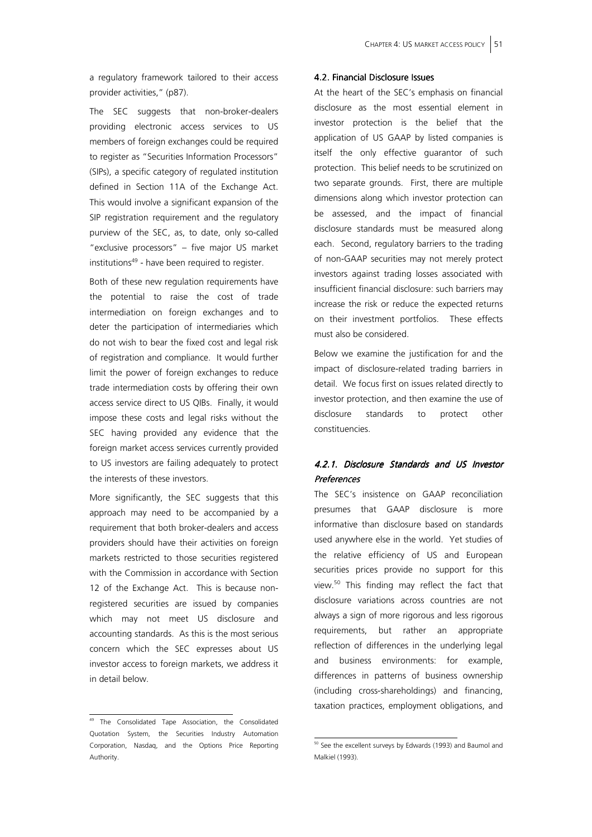<span id="page-50-0"></span>a regulatory framework tailored to their access provider activities," (p87).

The SEC suggests that non-broker-dealers providing electronic access services to US members of foreign exchanges could be required to register as "Securities Information Processors" (SIPs), a specific category of regulated institution defined in Section 11A of the Exchange Act. This would involve a significant expansion of the SIP registration requirement and the regulatory purview of the SEC, as, to date, only so-called "exclusive processors" — five major US market institutions<sup>49</sup> - have been required to register.

Both of these new regulation requirements have the potential to raise the cost of trade intermediation on foreign exchanges and to deter the participation of intermediaries which do not wish to bear the fixed cost and legal risk of registration and compliance. It would further limit the power of foreign exchanges to reduce trade intermediation costs by offering their own access service direct to US QIBs. Finally, it would impose these costs and legal risks without the SEC having provided any evidence that the foreign market access services currently provided to US investors are failing adequately to protect the interests of these investors.

More significantly, the SEC suggests that this approach may need to be accompanied by a requirement that both broker-dealers and access providers should have their activities on foreign markets restricted to those securities registered with the Commission in accordance with Section 12 of the Exchange Act. This is because nonregistered securities are issued by companies which may not meet US disclosure and accounting standards. As this is the most serious concern which the SEC expresses about US investor access to foreign markets, we address it in detail below.

#### 4.2. Financial Disclosure Issues

At the heart of the SEC's emphasis on financial disclosure as the most essential element in investor protection is the belief that the application of US GAAP by listed companies is itself the only effective guarantor of such protection. This belief needs to be scrutinized on two separate grounds. First, there are multiple dimensions along which investor protection can be assessed, and the impact of financial disclosure standards must be measured along each. Second, regulatory barriers to the trading of non-GAAP securities may not merely protect investors against trading losses associated with insufficient financial disclosure: such barriers may increase the risk or reduce the expected returns on their investment portfolios. These effects must also be considered.

Below we examine the justification for and the impact of disclosure-related trading barriers in detail. We focus first on issues related directly to investor protection, and then examine the use of disclosure standards to protect other constituencies.

### 4.2.1. Disclosure Standards and US Investor **Preferences**

The SEC's insistence on GAAP reconciliation presumes that GAAP disclosure is more informative than disclosure based on standards used anywhere else in the world. Yet studies of the relative efficiency of US and European securities prices provide no support for this view.50 This finding may reflect the fact that disclosure variations across countries are not always a sign of more rigorous and less rigorous requirements, but rather an appropriate reflection of differences in the underlying legal and business environments: for example, differences in patterns of business ownership (including cross-shareholdings) and financing, taxation practices, employment obligations, and

<sup>&</sup>lt;sup>49</sup> The Consolidated Tape Association, the Consolidated Quotation System, the Securities Industry Automation Corporation, Nasdaq, and the Options Price Reporting Authority.

 $\frac{50}{2}$  See the excellent surveys by Edwards (1993) and Baumol and Malkiel (1993).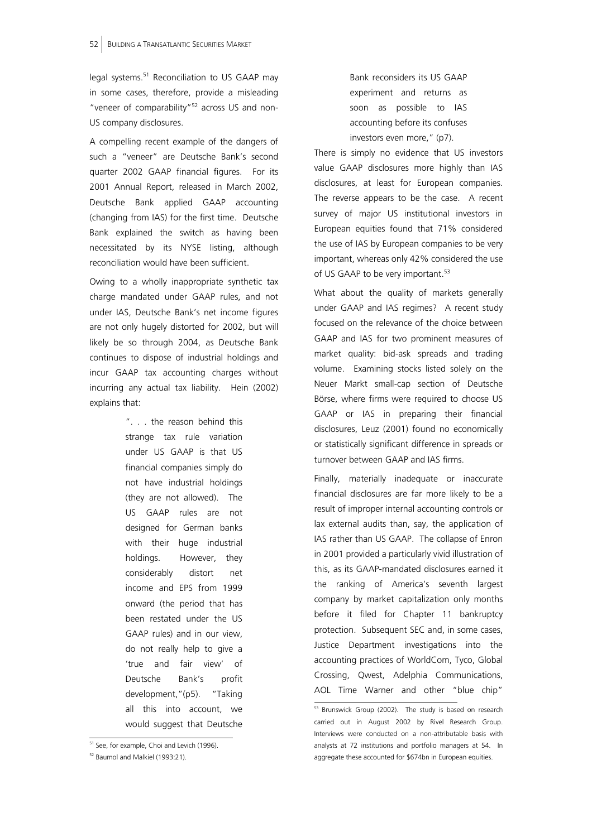legal systems.<sup>51</sup> Reconciliation to US GAAP may in some cases, therefore, provide a misleading "veneer of comparability"52 across US and non-US company disclosures.

A compelling recent example of the dangers of such a "veneer" are Deutsche Bank's second quarter 2002 GAAP financial figures. For its 2001 Annual Report, released in March 2002, Deutsche Bank applied GAAP accounting (changing from IAS) for the first time. Deutsche Bank explained the switch as having been necessitated by its NYSE listing, although reconciliation would have been sufficient.

Owing to a wholly inappropriate synthetic tax charge mandated under GAAP rules, and not under IAS, Deutsche Bank's net income figures are not only hugely distorted for 2002, but will likely be so through 2004, as Deutsche Bank continues to dispose of industrial holdings and incur GAAP tax accounting charges without incurring any actual tax liability. Hein (2002) explains that:

> ". . . the reason behind this strange tax rule variation under US GAAP is that US financial companies simply do not have industrial holdings (they are not allowed). The US GAAP rules are not designed for German banks with their huge industrial holdings. However, they considerably distort net income and EPS from 1999 onward (the period that has been restated under the US GAAP rules) and in our view, do not really help to give a 'true and fair view' of Deutsche Bank's profit development,"(p5). "Taking all this into account, we would suggest that Deutsche

<sup>51</sup> See, for example, Choi and Levich (1996).

Bank reconsiders its US GAAP experiment and returns as soon as possible to IAS accounting before its confuses investors even more," (p7).

There is simply no evidence that US investors value GAAP disclosures more highly than IAS disclosures, at least for European companies. The reverse appears to be the case. A recent survey of major US institutional investors in European equities found that 71% considered the use of IAS by European companies to be very important, whereas only 42% considered the use of US GAAP to be very important.<sup>53</sup>

What about the quality of markets generally under GAAP and IAS regimes? A recent study focused on the relevance of the choice between GAAP and IAS for two prominent measures of market quality: bid-ask spreads and trading volume. Examining stocks listed solely on the Neuer Markt small-cap section of Deutsche Börse, where firms were required to choose US GAAP or IAS in preparing their financial disclosures, Leuz (2001) found no economically or statistically significant difference in spreads or turnover between GAAP and IAS firms.

Finally, materially inadequate or inaccurate financial disclosures are far more likely to be a result of improper internal accounting controls or lax external audits than, say, the application of IAS rather than US GAAP. The collapse of Enron in 2001 provided a particularly vivid illustration of this, as its GAAP-mandated disclosures earned it the ranking of America's seventh largest company by market capitalization only months before it filed for Chapter 11 bankruptcy protection. Subsequent SEC and, in some cases, Justice Department investigations into the accounting practices of WorldCom, Tyco, Global Crossing, Qwest, Adelphia Communications, AOL Time Warner and other "blue chip"

<sup>52</sup> Baumol and Malkiel (1993:21).

<sup>&</sup>lt;sup>53</sup> Brunswick Group (2002). The study is based on research carried out in August 2002 by Rivel Research Group. Interviews were conducted on a non-attributable basis with analysts at 72 institutions and portfolio managers at 54. In aggregate these accounted for \$674bn in European equities.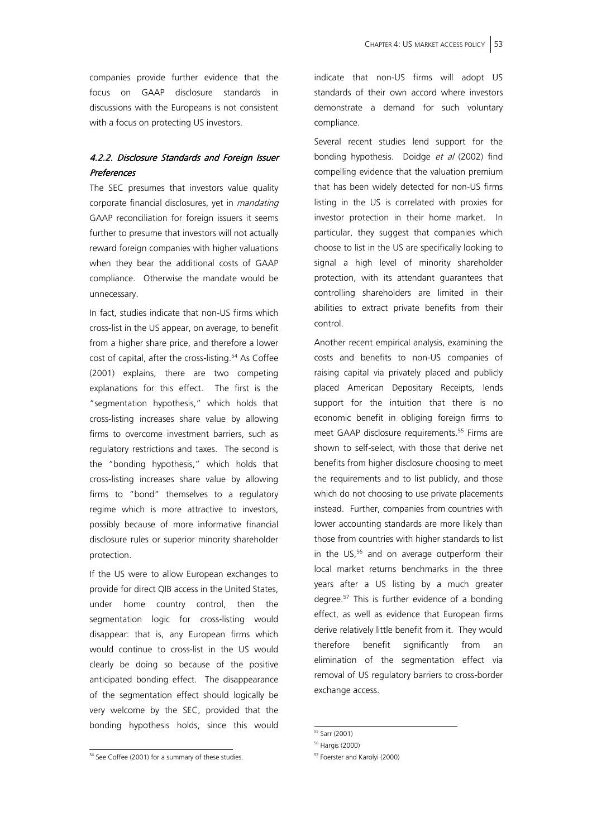<span id="page-52-0"></span>companies provide further evidence that the focus on GAAP disclosure standards in discussions with the Europeans is not consistent with a focus on protecting US investors.

## 4.2.2. Disclosure Standards and Foreign Issuer **Preferences**

The SEC presumes that investors value quality corporate financial disclosures, yet in mandating GAAP reconciliation for foreign issuers it seems further to presume that investors will not actually reward foreign companies with higher valuations when they bear the additional costs of GAAP compliance. Otherwise the mandate would be unnecessary.

In fact, studies indicate that non-US firms which cross-list in the US appear, on average, to benefit from a higher share price, and therefore a lower cost of capital, after the cross-listing.<sup>54</sup> As Coffee (2001) explains, there are two competing explanations for this effect. The first is the "segmentation hypothesis," which holds that cross-listing increases share value by allowing firms to overcome investment barriers, such as regulatory restrictions and taxes. The second is the "bonding hypothesis," which holds that cross-listing increases share value by allowing firms to "bond" themselves to a regulatory regime which is more attractive to investors, possibly because of more informative financial disclosure rules or superior minority shareholder protection.

If the US were to allow European exchanges to provide for direct QIB access in the United States, under home country control, then the segmentation logic for cross-listing would disappear: that is, any European firms which would continue to cross-list in the US would clearly be doing so because of the positive anticipated bonding effect. The disappearance of the segmentation effect should logically be very welcome by the SEC, provided that the bonding hypothesis holds, since this would indicate that non-US firms will adopt US standards of their own accord where investors demonstrate a demand for such voluntary compliance.

Several recent studies lend support for the bonding hypothesis. Doidge et al (2002) find compelling evidence that the valuation premium that has been widely detected for non-US firms listing in the US is correlated with proxies for investor protection in their home market. In particular, they suggest that companies which choose to list in the US are specifically looking to signal a high level of minority shareholder protection, with its attendant guarantees that controlling shareholders are limited in their abilities to extract private benefits from their control.

Another recent empirical analysis, examining the costs and benefits to non-US companies of raising capital via privately placed and publicly placed American Depositary Receipts, lends support for the intuition that there is no economic benefit in obliging foreign firms to meet GAAP disclosure requirements.<sup>55</sup> Firms are shown to self-select, with those that derive net benefits from higher disclosure choosing to meet the requirements and to list publicly, and those which do not choosing to use private placements instead. Further, companies from countries with lower accounting standards are more likely than those from countries with higher standards to list in the US, $56$  and on average outperform their local market returns benchmarks in the three years after a US listing by a much greater degree.<sup>57</sup> This is further evidence of a bonding effect, as well as evidence that European firms derive relatively little benefit from it. They would therefore benefit significantly from an elimination of the segmentation effect via removal of US regulatory barriers to cross-border exchange access.

<sup>&</sup>lt;sup>55</sup> Sarr (2001)

<sup>56</sup> Hargis (2000)

<sup>57</sup> Foerster and Karolyi (2000)

 $54$  See Coffee (2001) for a summary of these studies.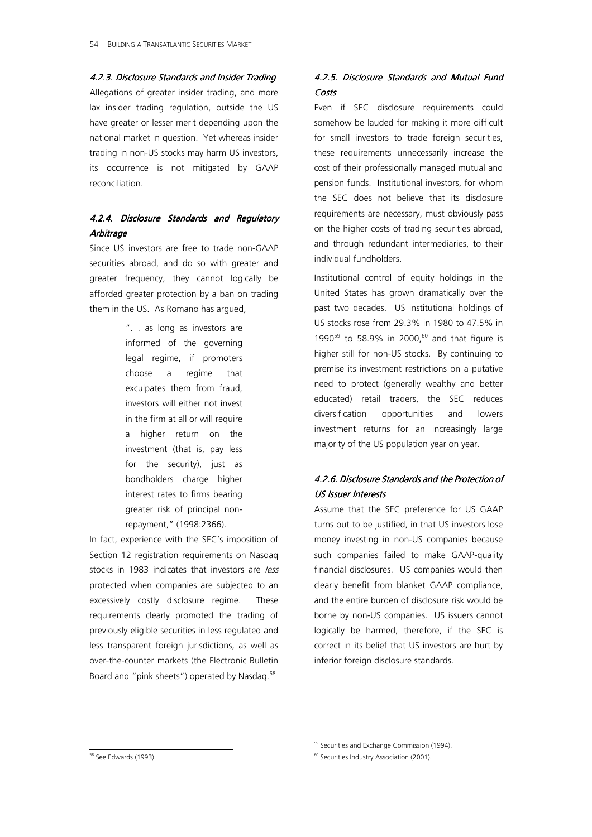#### <span id="page-53-0"></span>4.2.3. Disclosure Standards and Insider Trading

Allegations of greater insider trading, and more lax insider trading regulation, outside the US have greater or lesser merit depending upon the national market in question. Yet whereas insider trading in non-US stocks may harm US investors, its occurrence is not mitigated by GAAP reconciliation.

## 4.2.4. Disclosure Standards and Regulatory **Arbitrage**

Since US investors are free to trade non-GAAP securities abroad, and do so with greater and greater frequency, they cannot logically be afforded greater protection by a ban on trading them in the US. As Romano has argued,

> ". . as long as investors are informed of the governing legal regime, if promoters choose a regime that exculpates them from fraud investors will either not invest in the firm at all or will require a higher return on the investment (that is, pay less for the security), just as bondholders charge higher interest rates to firms bearing greater risk of principal nonrepayment," (1998:2366).

In fact, experience with the SEC's imposition of Section 12 registration requirements on Nasdaq stocks in 1983 indicates that investors are less protected when companies are subjected to an excessively costly disclosure regime. These requirements clearly promoted the trading of previously eligible securities in less regulated and less transparent foreign jurisdictions, as well as over-the-counter markets (the Electronic Bulletin Board and "pink sheets") operated by Nasdaq.<sup>58</sup>

## 4.2.5. Disclosure Standards and Mutual Fund Costs

Even if SEC disclosure requirements could somehow be lauded for making it more difficult for small investors to trade foreign securities, these requirements unnecessarily increase the cost of their professionally managed mutual and pension funds. Institutional investors, for whom the SEC does not believe that its disclosure requirements are necessary, must obviously pass on the higher costs of trading securities abroad, and through redundant intermediaries, to their individual fundholders.

Institutional control of equity holdings in the United States has grown dramatically over the past two decades. US institutional holdings of US stocks rose from 29.3% in 1980 to 47.5% in 1990 $^{59}$  to 58.9% in 2000, $^{60}$  and that figure is higher still for non-US stocks. By continuing to premise its investment restrictions on a putative need to protect (generally wealthy and better educated) retail traders, the SEC reduces diversification opportunities and lowers investment returns for an increasingly large majority of the US population year on year.

## 4.2.6. Disclosure Standards and the Protection of US Issuer Interests

Assume that the SEC preference for US GAAP turns out to be justified, in that US investors lose money investing in non-US companies because such companies failed to make GAAP-quality financial disclosures. US companies would then clearly benefit from blanket GAAP compliance, and the entire burden of disclosure risk would be borne by non-US companies. US issuers cannot logically be harmed, therefore, if the SEC is correct in its belief that US investors are hurt by inferior foreign disclosure standards.

<sup>&</sup>lt;sup>58</sup> See Edwards (1993)

<sup>&</sup>lt;sup>59</sup> Securities and Exchange Commission (1994).

<sup>&</sup>lt;sup>60</sup> Securities Industry Association (2001).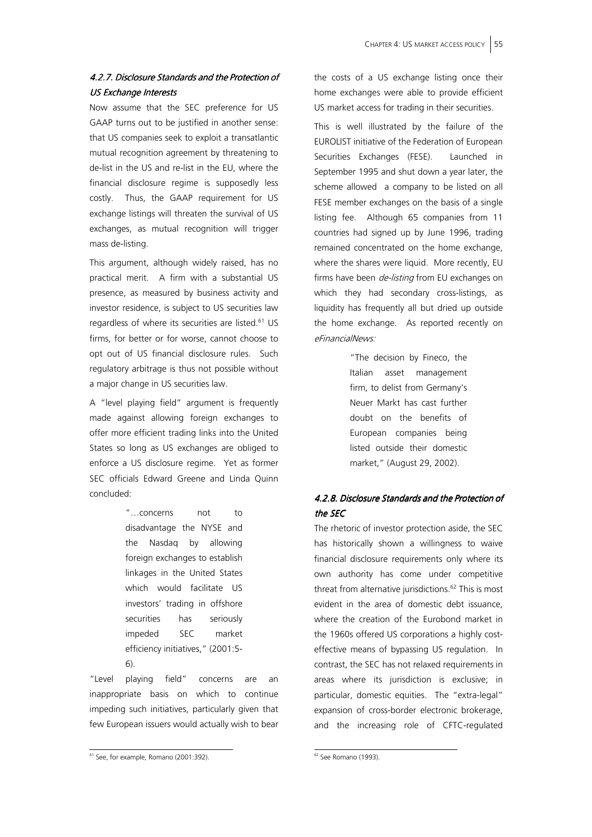# <span id="page-54-0"></span>4.2.7. Disclosure Standards and the Protection of US Exchange Interests

Now assume that the SEC preference for US GAAP turns out to be justified in another sense: that US companies seek to exploit a transatlantic mutual recognition agreement by threatening to de-list in the US and re-list in the EU, where the financial disclosure regime is supposedly less costly. Thus, the GAAP requirement for US exchange listings will threaten the survival of US exchanges, as mutual recognition will trigger mass de-listing.

This argument, although widely raised, has no practical merit. A firm with a substantial US presence, as measured by business activity and investor residence, is subject to US securities law regardless of where its securities are listed.<sup>61</sup> US firms, for better or for worse, cannot choose to opt out of US financial disclosure rules. Such regulatory arbitrage is thus not possible without a major change in US securities law.

A "level playing field" argument is frequently made against allowing foreign exchanges to offer more efficient trading links into the United States so long as US exchanges are obliged to enforce a US disclosure regime. Yet as former SEC officials Edward Greene and Linda Quinn concluded:

> "…concerns not to disadvantage the NYSE and the Nasdaq by allowing foreign exchanges to establish linkages in the United States which would facilitate US investors' trading in offshore securities has seriously impeded SEC market efficiency initiatives," (2001:5- 6).

"Level playing field" concerns are an inappropriate basis on which to continue impeding such initiatives, particularly given that few European issuers would actually wish to bear the costs of a US exchange listing once their home exchanges were able to provide efficient US market access for trading in their securities.

This is well illustrated by the failure of the EUROLIST initiative of the Federation of European Securities Exchanges (FESE). Launched in September 1995 and shut down a year later, the scheme allowed a company to be listed on all FESE member exchanges on the basis of a single listing fee. Although 65 companies from 11 countries had signed up by June 1996, trading remained concentrated on the home exchange, where the shares were liquid. More recently, EU firms have been *de-listing* from EU exchanges on which they had secondary cross-listings, as liquidity has frequently all but dried up outside the home exchange. As reported recently on eFinancialNews:

> "The decision by Fineco, the Italian asset management firm, to delist from Germany's Neuer Markt has cast further doubt on the benefits of European companies being listed outside their domestic market," (August 29, 2002).

### 4.2.8. Disclosure Standards and the Protection of the  $SFC$

The rhetoric of investor protection aside, the SEC has historically shown a willingness to waive financial disclosure requirements only where its own authority has come under competitive threat from alternative jurisdictions.<sup>62</sup> This is most evident in the area of domestic debt issuance, where the creation of the Eurobond market in the 1960s offered US corporations a highly costeffective means of bypassing US regulation. In contrast, the SEC has not relaxed requirements in areas where its jurisdiction is exclusive; in particular, domestic equities. The "extra-legal" expansion of cross-border electronic brokerage, and the increasing role of CFTC-regulated

 $\frac{61}{100}$  See, for example, Romano (2001:392).

 62 See Romano (1993).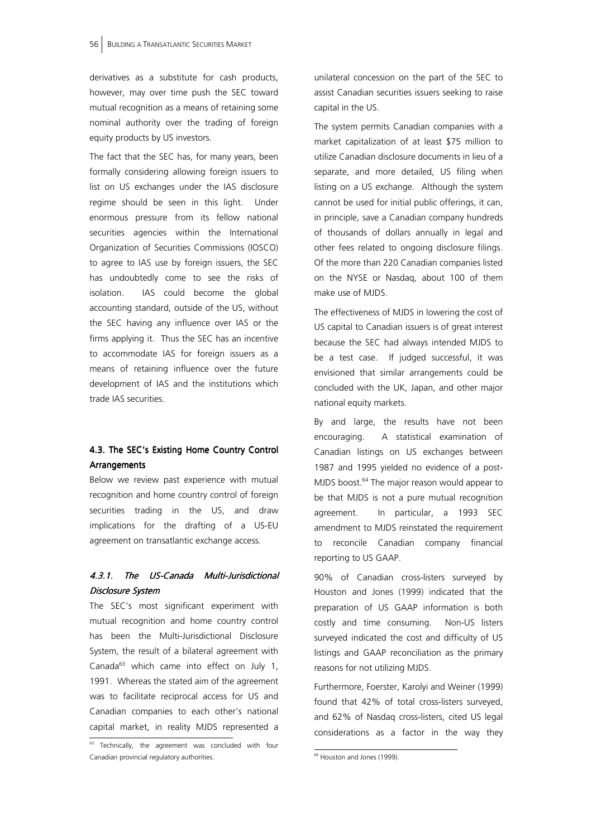<span id="page-55-0"></span>derivatives as a substitute for cash products, however, may over time push the SEC toward mutual recognition as a means of retaining some nominal authority over the trading of foreign equity products by US investors.

The fact that the SEC has, for many years, been formally considering allowing foreign issuers to list on US exchanges under the IAS disclosure regime should be seen in this light. Under enormous pressure from its fellow national securities agencies within the International Organization of Securities Commissions (IOSCO) to agree to IAS use by foreign issuers, the SEC has undoubtedly come to see the risks of isolation. IAS could become the global accounting standard, outside of the US, without the SEC having any influence over IAS or the firms applying it. Thus the SEC has an incentive to accommodate IAS for foreign issuers as a means of retaining influence over the future development of IAS and the institutions which trade IAS securities.

### 4.3. The SEC's Existing Home Country Control Arrangements Arrangements

Below we review past experience with mutual recognition and home country control of foreign securities trading in the US, and draw implications for the drafting of a US-EU agreement on transatlantic exchange access.

### 4.3.1. The US-Canada Multi-Jurisdictional Disclosure System

The SEC's most significant experiment with mutual recognition and home country control has been the Multi-Jurisdictional Disclosure System, the result of a bilateral agreement with Canada $^{63}$  which came into effect on July 1, 1991. Whereas the stated aim of the agreement was to facilitate reciprocal access for US and Canadian companies to each other's national capital market, in reality MJDS represented a unilateral concession on the part of the SEC to assist Canadian securities issuers seeking to raise capital in the US.

The system permits Canadian companies with a market capitalization of at least \$75 million to utilize Canadian disclosure documents in lieu of a separate, and more detailed, US filing when listing on a US exchange. Although the system cannot be used for initial public offerings, it can, in principle, save a Canadian company hundreds of thousands of dollars annually in legal and other fees related to ongoing disclosure filings. Of the more than 220 Canadian companies listed on the NYSE or Nasdaq, about 100 of them make use of MJDS.

The effectiveness of MJDS in lowering the cost of US capital to Canadian issuers is of great interest because the SEC had always intended MJDS to be a test case. If judged successful, it was envisioned that similar arrangements could be concluded with the UK, Japan, and other major national equity markets.

By and large, the results have not been encouraging. A statistical examination of Canadian listings on US exchanges between 1987 and 1995 yielded no evidence of a post-MJDS boost.<sup>64</sup> The major reason would appear to be that MJDS is not a pure mutual recognition agreement. In particular, a 1993 SEC amendment to MJDS reinstated the requirement to reconcile Canadian company financial reporting to US GAAP.

90% of Canadian cross-listers surveyed by Houston and Jones (1999) indicated that the preparation of US GAAP information is both costly and time consuming. Non-US listers surveyed indicated the cost and difficulty of US listings and GAAP reconciliation as the primary reasons for not utilizing MJDS.

Furthermore, Foerster, Karolyi and Weiner (1999) found that 42% of total cross-listers surveyed, and 62% of Nasdaq cross-listers, cited US legal considerations as a factor in the way they

 $\frac{63}{100}$  Technically, the agreement was concluded with four Canadian provincial regulatory authorities.

 $\frac{64}{100}$  Houston and Jones (1999).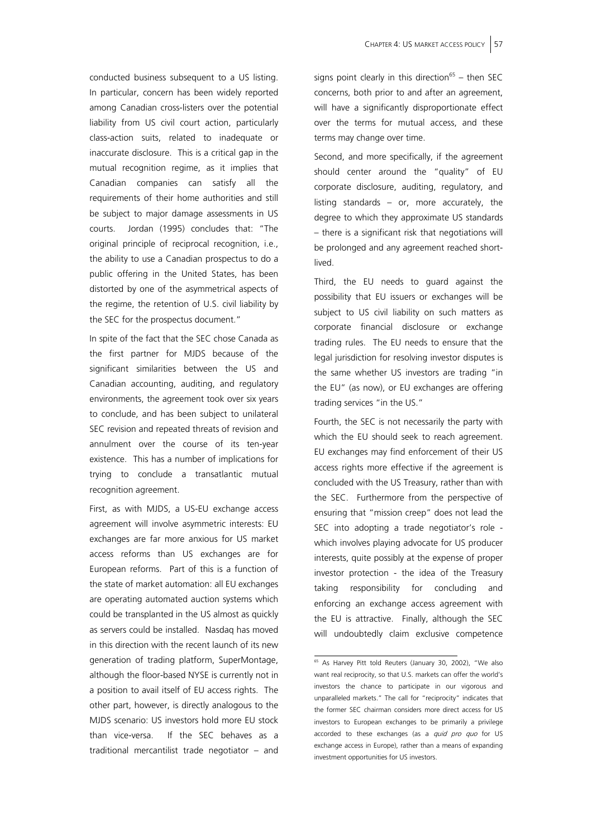conducted business subsequent to a US listing. In particular, concern has been widely reported among Canadian cross-listers over the potential liability from US civil court action, particularly class-action suits, related to inadequate or inaccurate disclosure. This is a critical gap in the mutual recognition regime, as it implies that Canadian companies can satisfy all the requirements of their home authorities and still be subject to major damage assessments in US courts. Jordan (1995) concludes that: "The original principle of reciprocal recognition, i.e., the ability to use a Canadian prospectus to do a public offering in the United States, has been distorted by one of the asymmetrical aspects of the regime, the retention of U.S. civil liability by the SEC for the prospectus document."

In spite of the fact that the SEC chose Canada as the first partner for MJDS because of the significant similarities between the US and Canadian accounting, auditing, and regulatory environments, the agreement took over six years to conclude, and has been subject to unilateral SEC revision and repeated threats of revision and annulment over the course of its ten-year existence. This has a number of implications for trying to conclude a transatlantic mutual recognition agreement.

First, as with MJDS, a US-EU exchange access agreement will involve asymmetric interests: EU exchanges are far more anxious for US market access reforms than US exchanges are for European reforms. Part of this is a function of the state of market automation: all EU exchanges are operating automated auction systems which could be transplanted in the US almost as quickly as servers could be installed. Nasdaq has moved in this direction with the recent launch of its new generation of trading platform, SuperMontage, although the floor-based NYSE is currently not in a position to avail itself of EU access rights. The other part, however, is directly analogous to the MJDS scenario: US investors hold more EU stock than vice-versa. If the SEC behaves as a traditional mercantilist trade negotiator — and signs point clearly in this direction<sup>65</sup> – then SEC concerns, both prior to and after an agreement, will have a significantly disproportionate effect over the terms for mutual access, and these terms may change over time.

Second, and more specifically, if the agreement should center around the "quality" of EU corporate disclosure, auditing, regulatory, and listing standards  $-$  or, more accurately, the degree to which they approximate US standards — there is a significant risk that negotiations will be prolonged and any agreement reached shortlived.

Third, the EU needs to guard against the possibility that EU issuers or exchanges will be subject to US civil liability on such matters as corporate financial disclosure or exchange trading rules. The EU needs to ensure that the legal jurisdiction for resolving investor disputes is the same whether US investors are trading "in the EU" (as now), or EU exchanges are offering trading services "in the US."

Fourth, the SEC is not necessarily the party with which the EU should seek to reach agreement. EU exchanges may find enforcement of their US access rights more effective if the agreement is concluded with the US Treasury, rather than with the SEC. Furthermore from the perspective of ensuring that "mission creep" does not lead the SEC into adopting a trade negotiator's role which involves playing advocate for US producer interests, quite possibly at the expense of proper investor protection - the idea of the Treasury taking responsibility for concluding and enforcing an exchange access agreement with the EU is attractive. Finally, although the SEC will undoubtedly claim exclusive competence

<sup>&</sup>lt;sup>65</sup> As Harvey Pitt told Reuters (January 30, 2002), "We also want real reciprocity, so that U.S. markets can offer the world's investors the chance to participate in our vigorous and unparalleled markets." The call for "reciprocity" indicates that the former SEC chairman considers more direct access for US investors to European exchanges to be primarily a privilege accorded to these exchanges (as a *quid pro quo* for US exchange access in Europe), rather than a means of expanding investment opportunities for US investors.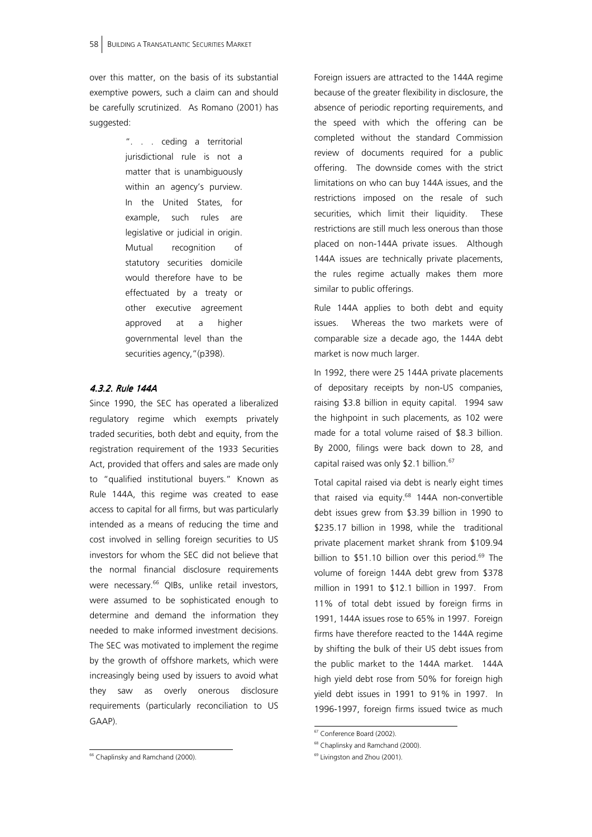<span id="page-57-0"></span>over this matter, on the basis of its substantial exemptive powers, such a claim can and should be carefully scrutinized. As Romano (2001) has suggested:

> ". . . ceding a territorial jurisdictional rule is not a matter that is unambiguously within an agency's purview. In the United States, for example, such rules are legislative or judicial in origin. Mutual recognition of statutory securities domicile would therefore have to be effectuated by a treaty or other executive agreement approved at a higher governmental level than the securities agency,"(p398).

### 4.3.2. Rule 144A 144A

Since 1990, the SEC has operated a liberalized regulatory regime which exempts privately traded securities, both debt and equity, from the registration requirement of the 1933 Securities Act, provided that offers and sales are made only to "qualified institutional buyers." Known as Rule 144A, this regime was created to ease access to capital for all firms, but was particularly intended as a means of reducing the time and cost involved in selling foreign securities to US investors for whom the SEC did not believe that the normal financial disclosure requirements were necessary.<sup>66</sup> QIBs, unlike retail investors, were assumed to be sophisticated enough to determine and demand the information they needed to make informed investment decisions. The SEC was motivated to implement the regime by the growth of offshore markets, which were increasingly being used by issuers to avoid what they saw as overly onerous disclosure requirements (particularly reconciliation to US GAAP).

Foreign issuers are attracted to the 144A regime because of the greater flexibility in disclosure, the absence of periodic reporting requirements, and the speed with which the offering can be completed without the standard Commission review of documents required for a public offering. The downside comes with the strict limitations on who can buy 144A issues, and the restrictions imposed on the resale of such securities, which limit their liquidity. These restrictions are still much less onerous than those placed on non-144A private issues. Although 144A issues are technically private placements, the rules regime actually makes them more similar to public offerings.

Rule 144A applies to both debt and equity issues. Whereas the two markets were of comparable size a decade ago, the 144A debt market is now much larger.

In 1992, there were 25 144A private placements of depositary receipts by non-US companies, raising \$3.8 billion in equity capital. 1994 saw the highpoint in such placements, as 102 were made for a total volume raised of \$8.3 billion. By 2000, filings were back down to 28, and capital raised was only \$2.1 billion.<sup>67</sup>

Total capital raised via debt is nearly eight times that raised via equity. $68$  144A non-convertible debt issues grew from \$3.39 billion in 1990 to \$235.17 billion in 1998, while the traditional private placement market shrank from \$109.94 billion to  $$51.10$  billion over this period.<sup>69</sup> The volume of foreign 144A debt grew from \$378 million in 1991 to \$12.1 billion in 1997. From 11% of total debt issued by foreign firms in 1991, 144A issues rose to 65% in 1997. Foreign firms have therefore reacted to the 144A regime by shifting the bulk of their US debt issues from the public market to the 144A market. 144A high yield debt rose from 50% for foreign high yield debt issues in 1991 to 91% in 1997. In 1996-1997, foreign firms issued twice as much

<sup>&</sup>lt;sup>66</sup> Chaplinsky and Ramchand (2000).

<sup>&</sup>lt;sup>67</sup> Conference Board (2002).

<sup>&</sup>lt;sup>68</sup> Chaplinsky and Ramchand (2000).

<sup>&</sup>lt;sup>69</sup> Livingston and Zhou (2001).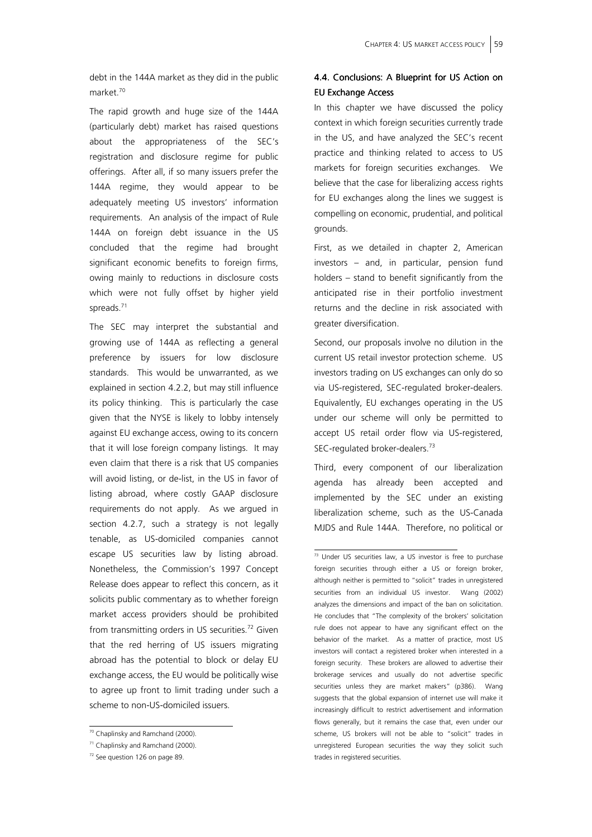<span id="page-58-0"></span>debt in the 144A market as they did in the public market<sup>70</sup>

The rapid growth and huge size of the 144A (particularly debt) market has raised questions about the appropriateness of the SEC's registration and disclosure regime for public offerings. After all, if so many issuers prefer the 144A regime, they would appear to be adequately meeting US investors' information requirements. An analysis of the impact of Rule 144A on foreign debt issuance in the US concluded that the regime had brought significant economic benefits to foreign firms, owing mainly to reductions in disclosure costs which were not fully offset by higher yield spreads.<sup>71</sup>

The SEC may interpret the substantial and growing use of 144A as reflecting a general preference by issuers for low disclosure standards. This would be unwarranted, as we explained in section 4.2.2, but may still influence its policy thinking. This is particularly the case given that the NYSE is likely to lobby intensely against EU exchange access, owing to its concern that it will lose foreign company listings. It may even claim that there is a risk that US companies will avoid listing, or de-list, in the US in favor of listing abroad, where costly GAAP disclosure requirements do not apply. As we argued in section 4.2.7, such a strategy is not legally tenable, as US-domiciled companies cannot escape US securities law by listing abroad. Nonetheless, the Commission's 1997 Concept Release does appear to reflect this concern, as it solicits public commentary as to whether foreign market access providers should be prohibited from transmitting orders in US securities.<sup>72</sup> Given that the red herring of US issuers migrating abroad has the potential to block or delay EU exchange access, the EU would be politically wise to agree up front to limit trading under such a scheme to non-US-domiciled issuers.

## 4.4. Conclusions: A Blueprint for US Action on **EU Exchange Access**

In this chapter we have discussed the policy context in which foreign securities currently trade in the US, and have analyzed the SEC's recent practice and thinking related to access to US markets for foreign securities exchanges. We believe that the case for liberalizing access rights for EU exchanges along the lines we suggest is compelling on economic, prudential, and political grounds.

First, as we detailed in chapter 2, American investors — and, in particular, pension fund holders — stand to benefit significantly from the anticipated rise in their portfolio investment returns and the decline in risk associated with greater diversification.

Second, our proposals involve no dilution in the current US retail investor protection scheme. US investors trading on US exchanges can only do so via US-registered, SEC-regulated broker-dealers. Equivalently, EU exchanges operating in the US under our scheme will only be permitted to accept US retail order flow via US-registered, SEC-regulated broker-dealers.<sup>73</sup>

Third, every component of our liberalization agenda has already been accepted and implemented by the SEC under an existing liberalization scheme, such as the US-Canada MJDS and Rule 144A. Therefore, no political or

 $\frac{70}{10}$  Chaplinsky and Ramchand (2000).

<sup>&</sup>lt;sup>71</sup> Chaplinsky and Ramchand (2000).

 $72$  See question 126 on page 89.

 $\frac{73}{12}$  Under US securities law, a US investor is free to purchase foreign securities through either a US or foreign broker, although neither is permitted to "solicit" trades in unregistered securities from an individual US investor. Wang (2002) analyzes the dimensions and impact of the ban on solicitation. He concludes that "The complexity of the brokers' solicitation rule does not appear to have any significant effect on the behavior of the market. As a matter of practice, most US investors will contact a registered broker when interested in a foreign security. These brokers are allowed to advertise their brokerage services and usually do not advertise specific securities unless they are market makers" (p386). Wang suggests that the global expansion of internet use will make it increasingly difficult to restrict advertisement and information flows generally, but it remains the case that, even under our scheme, US brokers will not be able to "solicit" trades in unregistered European securities the way they solicit such trades in registered securities.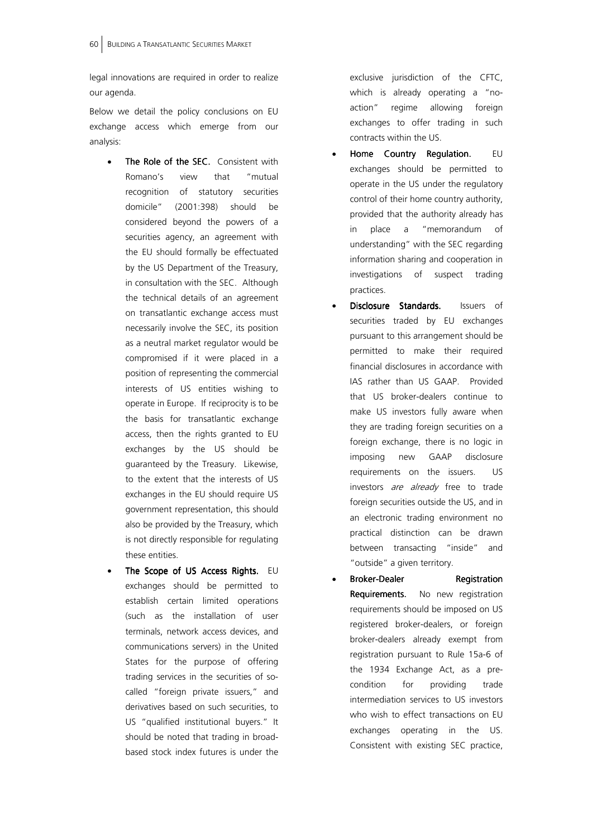legal innovations are required in order to realize our agenda.

Below we detail the policy conclusions on EU exchange access which emerge from our analysis:

- The Role of the SEC. Consistent with Romano's view that "mutual recognition of statutory securities domicile" (2001:398) should be considered beyond the powers of a securities agency, an agreement with the EU should formally be effectuated by the US Department of the Treasury, in consultation with the SEC. Although the technical details of an agreement on transatlantic exchange access must necessarily involve the SEC, its position as a neutral market regulator would be compromised if it were placed in a position of representing the commercial interests of US entities wishing to operate in Europe. If reciprocity is to be the basis for transatlantic exchange access, then the rights granted to EU exchanges by the US should be guaranteed by the Treasury. Likewise, to the extent that the interests of US exchanges in the EU should require US government representation, this should also be provided by the Treasury, which is not directly responsible for regulating these entities.
- The Scope of US Access Rights. EU exchanges should be permitted to establish certain limited operations (such as the installation of user terminals, network access devices, and communications servers) in the United States for the purpose of offering trading services in the securities of socalled "foreign private issuers." and derivatives based on such securities, to US "qualified institutional buyers." It should be noted that trading in broadbased stock index futures is under the

exclusive jurisdiction of the CFTC, which is already operating a "noaction" regime allowing foreign exchanges to offer trading in such contracts within the US.

- Home Country Regulation. EU exchanges should be permitted to operate in the US under the regulatory control of their home country authority, provided that the authority already has in place a "memorandum of understanding" with the SEC regarding information sharing and cooperation in investigations of suspect trading practices.
- Disclosure Standards. Issuers of securities traded by EU exchanges pursuant to this arrangement should be permitted to make their required financial disclosures in accordance with IAS rather than US GAAP. Provided that US broker-dealers continue to make US investors fully aware when they are trading foreign securities on a foreign exchange, there is no logic in imposing new GAAP disclosure requirements on the issuers. US investors *are already* free to trade foreign securities outside the US, and in an electronic trading environment no practical distinction can be drawn between transacting "inside" and "outside" a given territory.
- **Broker-Dealer Registration** Requirements. No new registration requirements should be imposed on US registered broker-dealers, or foreign broker-dealers already exempt from registration pursuant to Rule 15a-6 of the 1934 Exchange Act, as a precondition for providing trade intermediation services to US investors who wish to effect transactions on FU exchanges operating in the US. Consistent with existing SEC practice,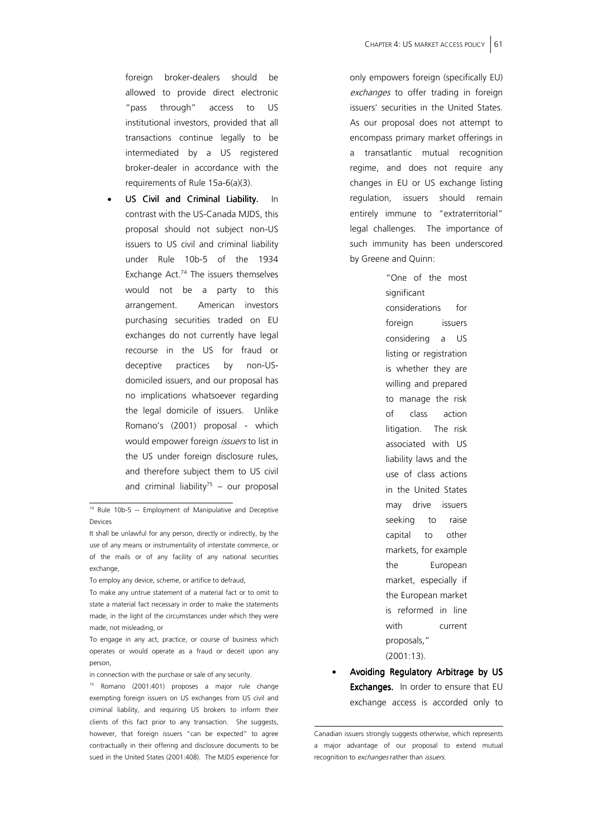foreign broker-dealers should be allowed to provide direct electronic "pass through" access to US institutional investors, provided that all transactions continue legally to be intermediated by a US registered broker-dealer in accordance with the requirements of Rule 15a-6(a)(3).

US Civil and Criminal Liability. In contrast with the US-Canada MJDS, this proposal should not subject non-US issuers to US civil and criminal liability under Rule 10b-5 of the 1934 Exchange Act.74 The issuers themselves would not be a party to this arrangement. American investors purchasing securities traded on EU exchanges do not currently have legal recourse in the US for fraud or deceptive practices by non-USdomiciled issuers, and our proposal has no implications whatsoever regarding the legal domicile of issuers. Unlike Romano's (2001) proposal - which would empower foreign *issuers* to list in the US under foreign disclosure rules, and therefore subject them to US civil and criminal liability<sup>75</sup> – our proposal

To employ any device, scheme, or artifice to defraud,

in connection with the purchase or sale of any security.

only empowers foreign (specifically EU) exchanges to offer trading in foreign issuers' securities in the United States. As our proposal does not attempt to encompass primary market offerings in a transatlantic mutual recognition regime, and does not require any changes in EU or US exchange listing regulation, issuers should remain entirely immune to "extraterritorial" legal challenges. The importance of such immunity has been underscored by Greene and Quinn:

> "One of the most significant considerations for foreign issuers considering a US listing or registration is whether they are willing and prepared to manage the risk of class action litigation. The risk associated with US liability laws and the use of class actions in the United States may drive issuers seeking to raise capital to other markets, for example the European market, especially if the European market is reformed in line with current proposals," (2001:13).

• Avoiding Regulatory Arbitrage by US Exchanges. In order to ensure that EU exchange access is accorded only to

 $14$  Rule 10b-5 -- Employment of Manipulative and Deceptive Devices

It shall be unlawful for any person, directly or indirectly, by the use of any means or instrumentality of interstate commerce, or of the mails or of any facility of any national securities exchange,

To make any untrue statement of a material fact or to omit to state a material fact necessary in order to make the statements made, in the light of the circumstances under which they were made, not misleading, or

To engage in any act, practice, or course of business which operates or would operate as a fraud or deceit upon any person,

<sup>75</sup> Romano (2001:401) proposes a major rule change exempting foreign issuers on US exchanges from US civil and criminal liability, and requiring US brokers to inform their clients of this fact prior to any transaction. She suggests, however, that foreign issuers "can be expected" to agree contractually in their offering and disclosure documents to be sued in the United States (2001:408). The MJDS experience for

 Canadian issuers strongly suggests otherwise, which represents a major advantage of our proposal to extend mutual recognition to *exchanges* rather than *issuers*.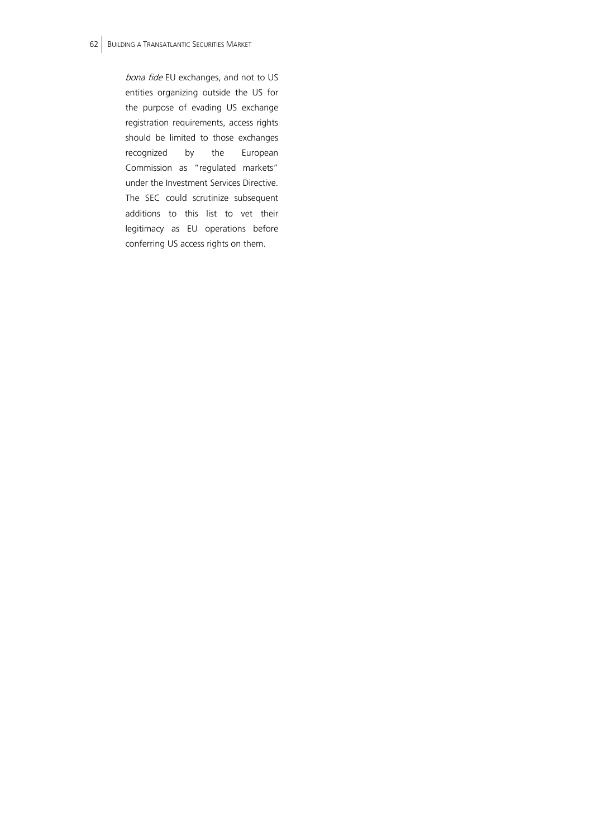bona fide EU exchanges, and not to US entities organizing outside the US for the purpose of evading US exchange registration requirements, access rights should be limited to those exchanges recognized by the European Commission as "regulated markets" under the Investment Services Directive. The SEC could scrutinize subsequent additions to this list to vet their legitimacy as EU operations before conferring US access rights on them.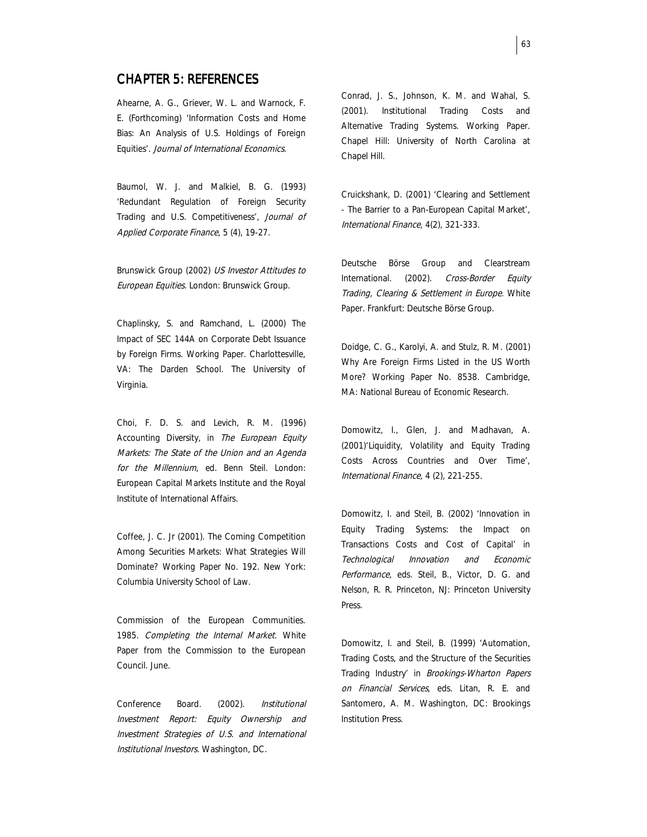### CHAPTER 5: REFERENCES

Ahearne, A. G., Griever, W. L. and Warnock, F. E. (Forthcoming) 'Information Costs and Home Bias: An Analysis of U.S. Holdings of Foreign Equities'. Journal of International Economics.

Baumol, W. J. and Malkiel, B. G. (1993) 'Redundant Regulation of Foreign Security Trading and U.S. Competitiveness', Journal of Applied Corporate Finance, 5 (4), 19-27.

Brunswick Group (2002) US Investor Attitudes to European Equities. London: Brunswick Group.

Chaplinsky, S. and Ramchand, L. (2000) The Impact of SEC 144A on Corporate Debt Issuance by Foreign Firms. Working Paper. Charlottesville, VA: The Darden School. The University of Virginia.

Choi, F. D. S. and Levich, R. M. (1996) Accounting Diversity, in The European Equity Markets: The State of the Union and an Agenda for the Millennium, ed. Benn Steil. London: European Capital Markets Institute and the Royal Institute of International Affairs.

Coffee, J. C. Jr (2001). The Coming Competition Among Securities Markets: What Strategies Will Dominate? Working Paper No. 192. New York: Columbia University School of Law.

Commission of the European Communities. 1985. Completing the Internal Market. White Paper from the Commission to the European Council. June.

Conference Board. (2002). Institutional Investment Report: Equity Ownership and Investment Strategies of U.S. and International Institutional Investors. Washington, DC.

Conrad, J. S., Johnson, K. M. and Wahal, S. (2001). Institutional Trading Costs and Alternative Trading Systems. Working Paper. Chapel Hill: University of North Carolina at Chapel Hill.

Cruickshank, D. (2001) 'Clearing and Settlement - The Barrier to a Pan-European Capital Market', International Finance, 4(2), 321-333.

Deutsche Börse Group and Clearstream International. (2002). Cross-Border Equity Trading, Clearing & Settlement in Europe. White Paper. Frankfurt: Deutsche Börse Group.

Doidge, C. G., Karolyi, A. and Stulz, R. M. (2001) Why Are Foreign Firms Listed in the US Worth More? Working Paper No. 8538. Cambridge, MA: National Bureau of Economic Research.

Domowitz, I., Glen, J. and Madhavan, A. (2001)'Liquidity, Volatility and Equity Trading Costs Across Countries and Over Time', International Finance, 4 (2), 221-255.

Domowitz, I. and Steil, B. (2002) 'Innovation in Equity Trading Systems: the Impact on Transactions Costs and Cost of Capital' in Technological Innovation and Economic Performance, eds. Steil, B., Victor, D. G. and Nelson, R. R. Princeton, NJ: Princeton University Press.

Domowitz, I. and Steil, B. (1999) 'Automation, Trading Costs, and the Structure of the Securities Trading Industry' in Brookings-Wharton Papers on Financial Services, eds. Litan, R. E. and Santomero, A. M. Washington, DC: Brookings Institution Press.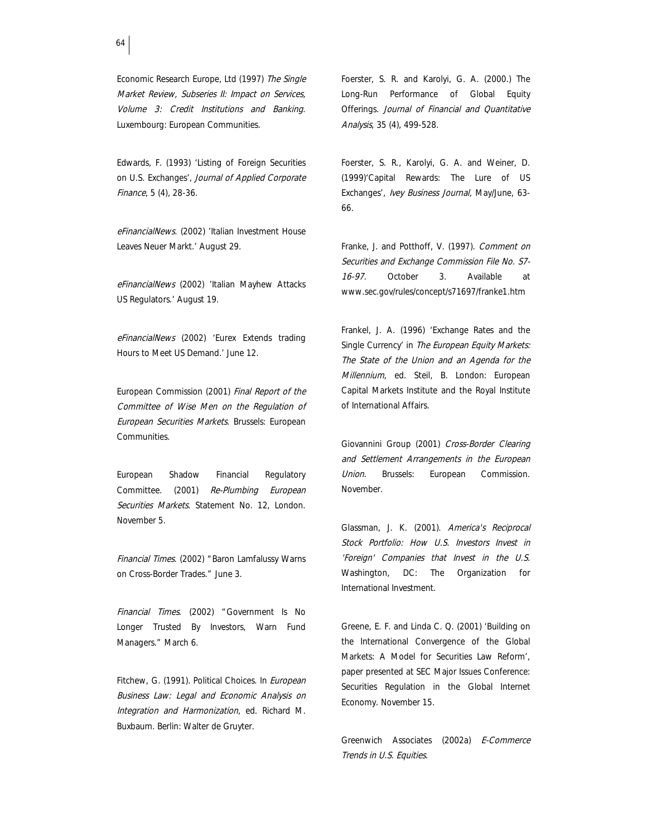Economic Research Europe, Ltd (1997) The Single Market Review, Subseries II: Impact on Services, Volume 3: Credit Institutions and Banking. Luxembourg: European Communities.

Edwards, F. (1993) 'Listing of Foreign Securities on U.S. Exchanges', Journal of Applied Corporate Finance, 5 (4), 28-36.

eFinancialNews. (2002) 'Italian Investment House Leaves Neuer Markt.' August 29.

eFinancialNews (2002) 'Italian Mayhew Attacks US Regulators.' August 19.

eFinancialNews (2002) 'Eurex Extends trading Hours to Meet US Demand.' June 12.

European Commission (2001) Final Report of the Committee of Wise Men on the Regulation of European Securities Markets. Brussels: European Communities.

European Shadow Financial Regulatory Committee. (2001) Re-Plumbing European Securities Markets. Statement No. 12, London. November 5.

Financial Times. (2002) "Baron Lamfalussy Warns on Cross-Border Trades." June 3.

Financial Times. (2002) "Government Is No Longer Trusted By Investors, Warn Fund Managers." March 6.

Fitchew, G. (1991). Political Choices. In European Business Law: Legal and Economic Analysis on Integration and Harmonization, ed. Richard M. Buxbaum. Berlin: Walter de Gruyter.

Foerster, S. R. and Karolyi, G. A. (2000.) The Long-Run Performance of Global Equity Offerings. Journal of Financial and Quantitative Analysis, 35 (4), 499-528.

Foerster, S. R., Karolyi, G. A. and Weiner, D. (1999)'Capital Rewards: The Lure of US Exchanges', Ivey Business Journal, May/June, 63- 66.

Franke, J. and Potthoff, V. (1997). Comment on Securities and Exchange Commission File No. S7- 16-97. October 3. Available at www.sec.gov/rules/concept/s71697/franke1.htm

Frankel, J. A. (1996) 'Exchange Rates and the Single Currency' in The European Equity Markets: The State of the Union and an Agenda for the Millennium, ed. Steil, B. London: European Capital Markets Institute and the Royal Institute of International Affairs.

Giovannini Group (2001) Cross-Border Clearing and Settlement Arrangements in the European Union. Brussels: European Commission. November.

Glassman, J. K. (2001). America's Reciprocal Stock Portfolio: How U.S. Investors Invest in 'Foreign' Companies that Invest in the U.S. Washington, DC: The Organization for International Investment.

Greene, E. F. and Linda C. Q. (2001) 'Building on the International Convergence of the Global Markets: A Model for Securities Law Reform', paper presented at SEC Major Issues Conference: Securities Regulation in the Global Internet Economy. November 15.

Greenwich Associates (2002a) E-Commerce Trends in U.S. Equities.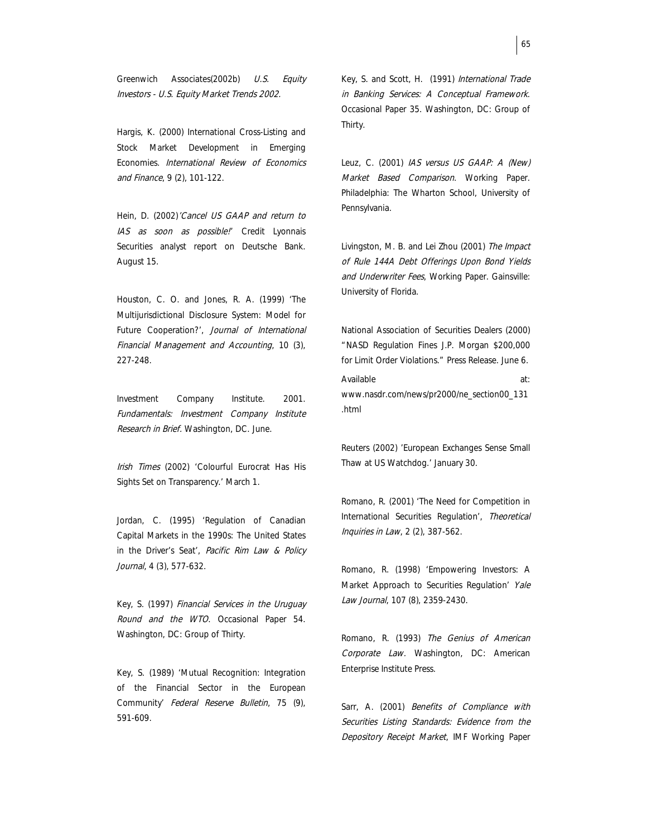Greenwich Associates(2002b) U.S. Equity Investors - U.S. Equity Market Trends 2002.

Hargis, K. (2000) International Cross-Listing and Stock Market Development in Emerging Economies. International Review of Economics and Finance, 9 (2), 101-122.

Hein, D. (2002) 'Cancel US GAAP and return to IAS as soon as possible!' Credit Lyonnais Securities analyst report on Deutsche Bank. August 15.

Houston, C. O. and Jones, R. A. (1999) 'The Multijurisdictional Disclosure System: Model for Future Cooperation?', Journal of International Financial Management and Accounting, 10 (3), 227-248.

Investment Company Institute. 2001. Fundamentals: Investment Company Institute Research in Brief. Washington, DC. June.

Irish Times (2002) 'Colourful Eurocrat Has His Sights Set on Transparency.' March 1.

Jordan, C. (1995) 'Regulation of Canadian Capital Markets in the 1990s: The United States in the Driver's Seat', Pacific Rim Law & Policy Journal, 4 (3), 577-632.

Key, S. (1997) Financial Services in the Uruguay Round and the WTO. Occasional Paper 54. Washington, DC: Group of Thirty.

Key, S. (1989) 'Mutual Recognition: Integration of the Financial Sector in the European Community' Federal Reserve Bulletin, 75 (9), 591-609.

Key, S. and Scott, H. (1991) International Trade in Banking Services: A Conceptual Framework. Occasional Paper 35. Washington, DC: Group of Thirty.

Leuz, C. (2001) IAS versus US GAAP: A (New) Market Based Comparison. Working Paper. Philadelphia: The Wharton School, University of Pennsylvania.

Livingston, M. B. and Lei Zhou (2001) The Impact of Rule 144A Debt Offerings Upon Bond Yields and Underwriter Fees, Working Paper. Gainsville: University of Florida.

National Association of Securities Dealers (2000) "NASD Regulation Fines J.P. Morgan \$200,000 for Limit Order Violations." Press Release. June 6. Available at: at: www.nasdr.com/news/pr2000/ne\_section00\_131 .html

Reuters (2002) 'European Exchanges Sense Small Thaw at US Watchdog.' January 30.

Romano, R. (2001) 'The Need for Competition in International Securities Regulation', Theoretical Inquiries in Law, 2 (2), 387-562.

Romano, R. (1998) 'Empowering Investors: A Market Approach to Securities Regulation' Yale Law Journal, 107 (8), 2359-2430.

Romano, R. (1993) The Genius of American Corporate Law. Washington, DC: American Enterprise Institute Press.

Sarr, A. (2001) Benefits of Compliance with Securities Listing Standards: Evidence from the Depository Receipt Market, IMF Working Paper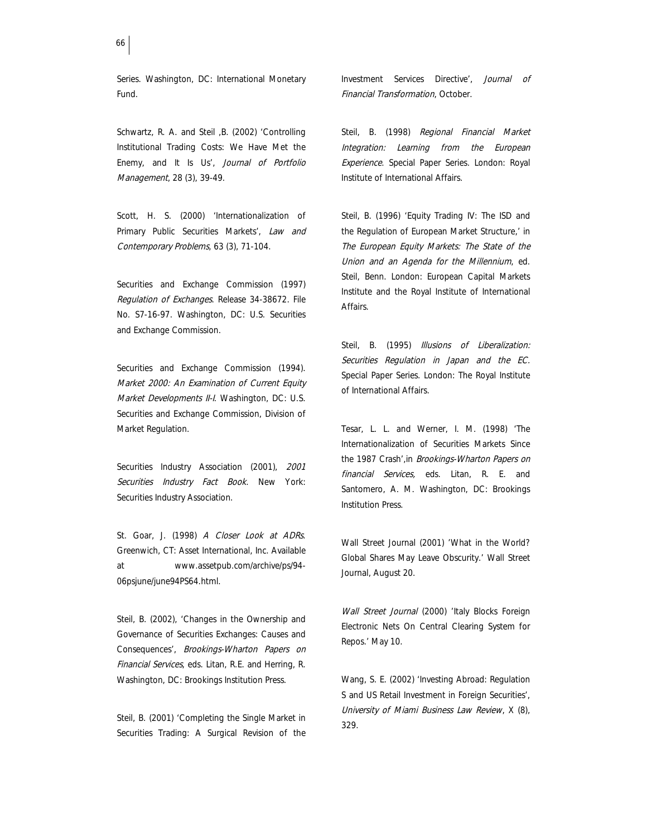Series. Washington, DC: International Monetary Fund.

Schwartz, R. A. and Steil , B. (2002) 'Controlling Institutional Trading Costs: We Have Met the Enemy, and It Is Us', Journal of Portfolio Management, 28 (3), 39-49.

Scott, H. S. (2000) 'Internationalization of Primary Public Securities Markets', Law and Contemporary Problems, 63 (3), 71-104.

Securities and Exchange Commission (1997) Regulation of Exchanges. Release 34-38672. File No. S7-16-97. Washington, DC: U.S. Securities and Exchange Commission.

Securities and Exchange Commission (1994). Market 2000: An Examination of Current Equity Market Developments II-I. Washington, DC: U.S. Securities and Exchange Commission, Division of Market Regulation.

Securities Industry Association (2001), 2001 Securities Industry Fact Book. New York: Securities Industry Association.

St. Goar, J. (1998) A Closer Look at ADRs. Greenwich, CT: Asset International, Inc. Available at www.assetpub.com/archive/ps/94- 06psjune/june94PS64.html.

Steil, B. (2002), 'Changes in the Ownership and Governance of Securities Exchanges: Causes and Consequences', Brookings-Wharton Papers on Financial Services, eds. Litan, R.E. and Herring, R. Washington, DC: Brookings Institution Press.

Steil, B. (2001) 'Completing the Single Market in Securities Trading: A Surgical Revision of the

Investment Services Directive', Journal of Financial Transformation, October.

Steil, B. (1998) Regional Financial Market Integration: Learning from the European Experience. Special Paper Series. London: Royal Institute of International Affairs.

Steil, B. (1996) 'Equity Trading IV: The ISD and the Regulation of European Market Structure,' in The European Equity Markets: The State of the Union and an Agenda for the Millennium, ed. Steil, Benn. London: European Capital Markets Institute and the Royal Institute of International Affairs.

Steil, B. (1995) Illusions of Liberalization: Securities Regulation in Japan and the EC. Special Paper Series. London: The Royal Institute of International Affairs.

Tesar, L. L. and Werner, I. M. (1998) 'The Internationalization of Securities Markets Since the 1987 Crash', in Brookings-Wharton Papers on financial Services, eds. Litan, R. E. and Santomero, A. M. Washington, DC: Brookings Institution Press.

Wall Street Journal (2001) 'What in the World? Global Shares May Leave Obscurity.' Wall Street Journal, August 20.

Wall Street Journal (2000) 'Italy Blocks Foreign Electronic Nets On Central Clearing System for Repos.' May 10.

Wang, S. E. (2002) 'Investing Abroad: Regulation S and US Retail Investment in Foreign Securities', University of Miami Business Law Review, X (8), 329.